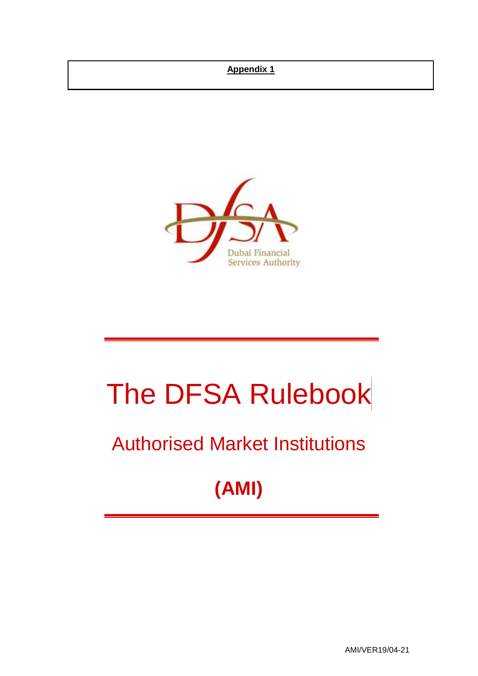# **Appendix 1**



# The DFSA Rulebook

# Authorised Market Institutions

# **(AMI)**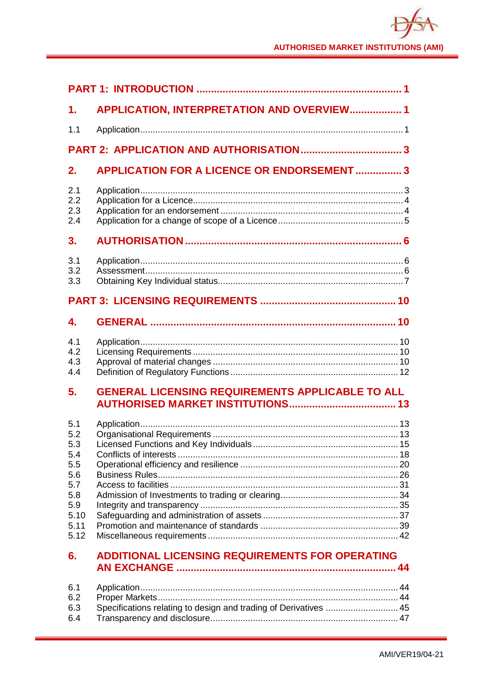| 1.                                                                                  | <b>APPLICATION, INTERPRETATION AND OVERVIEW 1</b>                |  |  |  |  |
|-------------------------------------------------------------------------------------|------------------------------------------------------------------|--|--|--|--|
| 1.1                                                                                 |                                                                  |  |  |  |  |
|                                                                                     |                                                                  |  |  |  |  |
| 2.                                                                                  | <b>APPLICATION FOR A LICENCE OR ENDORSEMENT  3</b>               |  |  |  |  |
| 2.1<br>2.2<br>2.3<br>2.4                                                            |                                                                  |  |  |  |  |
| 3.                                                                                  |                                                                  |  |  |  |  |
| 3.1<br>3.2<br>3.3                                                                   |                                                                  |  |  |  |  |
|                                                                                     |                                                                  |  |  |  |  |
| 4.                                                                                  |                                                                  |  |  |  |  |
| 4.1<br>4.2<br>4.3<br>4.4                                                            |                                                                  |  |  |  |  |
| 5.                                                                                  | <b>GENERAL LICENSING REQUIREMENTS APPLICABLE TO ALL</b>          |  |  |  |  |
| 5.1<br>5.2<br>5.3<br>5.4<br>5.5<br>5.6<br>5.7<br>5.8<br>5.9<br>5.10<br>5.11<br>5.12 |                                                                  |  |  |  |  |
| 6.                                                                                  | <b>ADDITIONAL LICENSING REQUIREMENTS FOR OPERATING</b>           |  |  |  |  |
| 6.1<br>6.2<br>6.3<br>6.4                                                            | Specifications relating to design and trading of Derivatives  45 |  |  |  |  |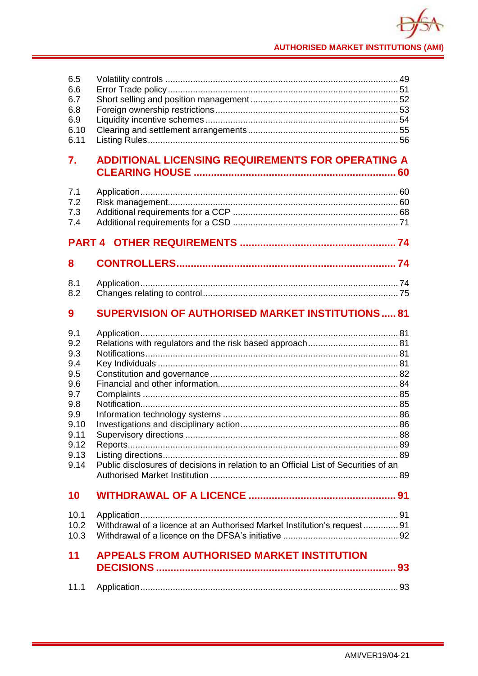| 6.5<br>6.6<br>6.7<br>6.8<br>6.9<br>6.10<br>6.11                                                     |                                                                                     |  |  |  |  |  |  |
|-----------------------------------------------------------------------------------------------------|-------------------------------------------------------------------------------------|--|--|--|--|--|--|
| 7.                                                                                                  | <b>ADDITIONAL LICENSING REQUIREMENTS FOR OPERATING A</b>                            |  |  |  |  |  |  |
| 7.1<br>7.2<br>7.3<br>7.4                                                                            |                                                                                     |  |  |  |  |  |  |
|                                                                                                     |                                                                                     |  |  |  |  |  |  |
| 8                                                                                                   |                                                                                     |  |  |  |  |  |  |
| 8.1<br>8.2                                                                                          |                                                                                     |  |  |  |  |  |  |
| 9                                                                                                   | <b>SUPERVISION OF AUTHORISED MARKET INSTITUTIONS81</b>                              |  |  |  |  |  |  |
| 9.1<br>9.2<br>9.3<br>9.4<br>9.5<br>9.6<br>9.7<br>9.8<br>9.9<br>9.10<br>9.11<br>9.12<br>9.13<br>9.14 | Public disclosures of decisions in relation to an Official List of Securities of an |  |  |  |  |  |  |
| 10                                                                                                  |                                                                                     |  |  |  |  |  |  |
| 10.1<br>10.2<br>10.3                                                                                | Withdrawal of a licence at an Authorised Market Institution's request 91            |  |  |  |  |  |  |
| 11                                                                                                  | <b>APPEALS FROM AUTHORISED MARKET INSTITUTION</b>                                   |  |  |  |  |  |  |
| 11.1                                                                                                |                                                                                     |  |  |  |  |  |  |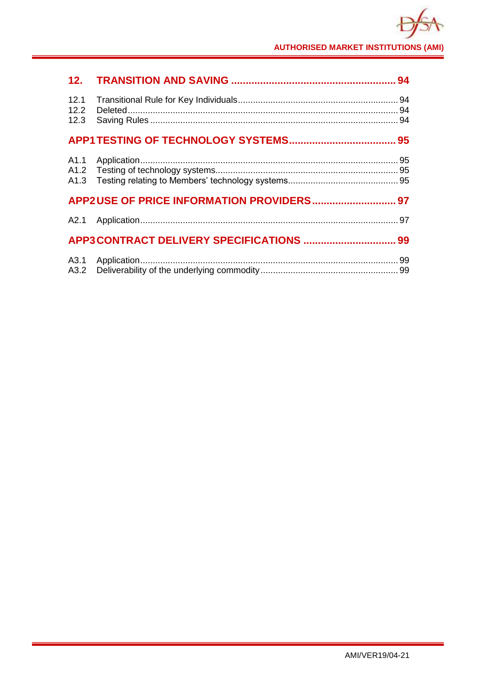|                      |  | 94 |  |
|----------------------|--|----|--|
| 12.1<br>12.2<br>12.3 |  |    |  |
|                      |  |    |  |
| A1.1                 |  |    |  |
|                      |  |    |  |
|                      |  |    |  |
|                      |  |    |  |
|                      |  |    |  |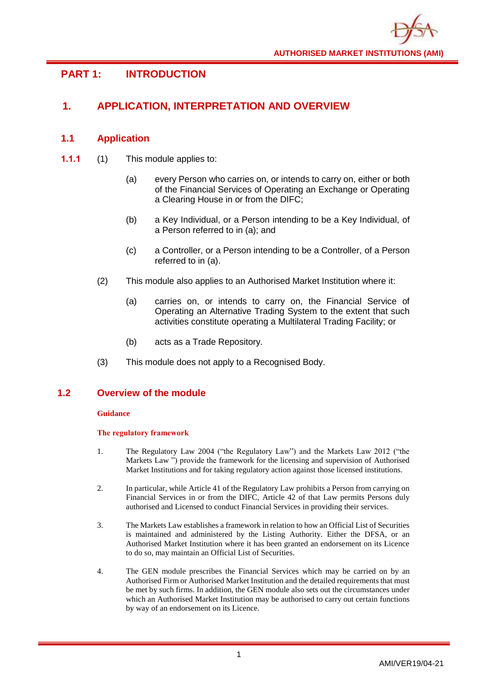# <span id="page-4-0"></span>**PART 1: INTRODUCTION**

# <span id="page-4-1"></span>**1. APPLICATION, INTERPRETATION AND OVERVIEW**

# <span id="page-4-2"></span>**1.1 Application**

- **1.1.1** (1) This module applies to:
	- (a) every Person who carries on, or intends to carry on, either or both of the Financial Services of Operating an Exchange or Operating a Clearing House in or from the DIFC;
	- (b) a Key Individual, or a Person intending to be a Key Individual, of a Person referred to in (a); and
	- (c) a Controller, or a Person intending to be a Controller, of a Person referred to in (a).
	- (2) This module also applies to an Authorised Market Institution where it:
		- (a) carries on, or intends to carry on, the Financial Service of Operating an Alternative Trading System to the extent that such activities constitute operating a Multilateral Trading Facility; or
		- (b) acts as a Trade Repository.
	- (3) This module does not apply to a Recognised Body.

# **1.2 Overview of the module**

# **Guidance**

# **The regulatory framework**

- 1. The Regulatory Law 2004 ("the Regulatory Law") and the Markets Law 2012 ("the Markets Law ") provide the framework for the licensing and supervision of Authorised Market Institutions and for taking regulatory action against those licensed institutions.
- 2. In particular, while Article 41 of the Regulatory Law prohibits a Person from carrying on Financial Services in or from the DIFC, Article 42 of that Law permits Persons duly authorised and Licensed to conduct Financial Services in providing their services.
- 3. The Markets Law establishes a framework in relation to how an Official List of Securities is maintained and administered by the Listing Authority. Either the DFSA, or an Authorised Market Institution where it has been granted an endorsement on its Licence to do so, may maintain an Official List of Securities.
- 4. The GEN module prescribes the Financial Services which may be carried on by an Authorised Firm or Authorised Market Institution and the detailed requirements that must be met by such firms. In addition, the GEN module also sets out the circumstances under which an Authorised Market Institution may be authorised to carry out certain functions by way of an endorsement on its Licence.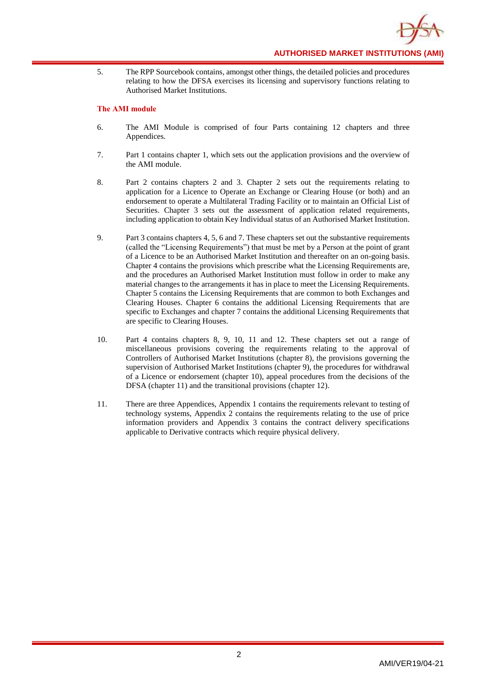**AUTHORISED MARKET INSTITUTIONS (AMI)**

5. The RPP Sourcebook contains, amongst other things, the detailed policies and procedures relating to how the DFSA exercises its licensing and supervisory functions relating to Authorised Market Institutions.

#### **The AMI module**

- 6. The AMI Module is comprised of four Parts containing 12 chapters and three Appendices.
- 7. Part 1 contains chapter 1, which sets out the application provisions and the overview of the AMI module.
- 8. Part 2 contains chapters 2 and 3. Chapter 2 sets out the requirements relating to application for a Licence to Operate an Exchange or Clearing House (or both) and an endorsement to operate a Multilateral Trading Facility or to maintain an Official List of Securities. Chapter 3 sets out the assessment of application related requirements, including application to obtain Key Individual status of an Authorised Market Institution.
- 9. Part 3 contains chapters 4, 5, 6 and 7. These chapters set out the substantive requirements (called the "Licensing Requirements") that must be met by a Person at the point of grant of a Licence to be an Authorised Market Institution and thereafter on an on-going basis. Chapter 4 contains the provisions which prescribe what the Licensing Requirements are, and the procedures an Authorised Market Institution must follow in order to make any material changes to the arrangements it has in place to meet the Licensing Requirements. Chapter 5 contains the Licensing Requirements that are common to both Exchanges and Clearing Houses. Chapter 6 contains the additional Licensing Requirements that are specific to Exchanges and chapter 7 contains the additional Licensing Requirements that are specific to Clearing Houses.
- 10. Part 4 contains chapters 8, 9, 10, 11 and 12. These chapters set out a range of miscellaneous provisions covering the requirements relating to the approval of Controllers of Authorised Market Institutions (chapter 8), the provisions governing the supervision of Authorised Market Institutions (chapter 9), the procedures for withdrawal of a Licence or endorsement (chapter 10), appeal procedures from the decisions of the DFSA (chapter 11) and the transitional provisions (chapter 12).
- 11. There are three Appendices, Appendix 1 contains the requirements relevant to testing of technology systems, Appendix 2 contains the requirements relating to the use of price information providers and Appendix 3 contains the contract delivery specifications applicable to Derivative contracts which require physical delivery.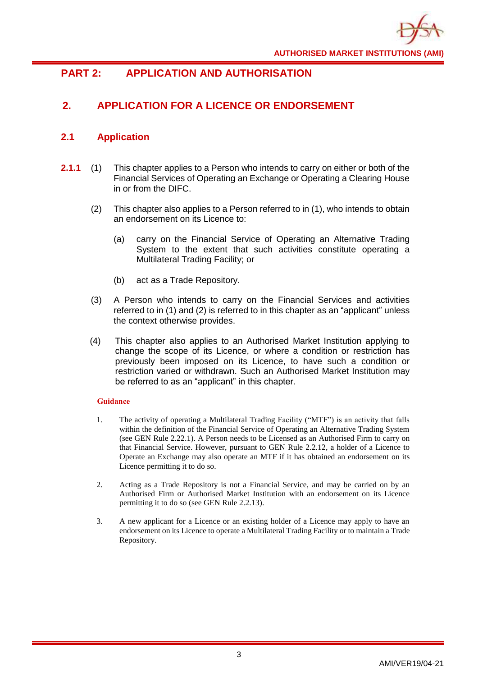

# <span id="page-6-0"></span>**PART 2: APPLICATION AND AUTHORISATION**

# <span id="page-6-1"></span>**2. APPLICATION FOR A LICENCE OR ENDORSEMENT**

# <span id="page-6-2"></span>**2.1 Application**

- **2.1.1** (1) This chapter applies to a Person who intends to carry on either or both of the Financial Services of Operating an Exchange or Operating a Clearing House in or from the DIFC.
	- (2) This chapter also applies to a Person referred to in (1), who intends to obtain an endorsement on its Licence to:
		- (a) carry on the Financial Service of Operating an Alternative Trading System to the extent that such activities constitute operating a Multilateral Trading Facility; or
		- (b) act as a Trade Repository.
	- (3) A Person who intends to carry on the Financial Services and activities referred to in (1) and (2) is referred to in this chapter as an "applicant" unless the context otherwise provides.
	- (4) This chapter also applies to an Authorised Market Institution applying to change the scope of its Licence, or where a condition or restriction has previously been imposed on its Licence, to have such a condition or restriction varied or withdrawn. Such an Authorised Market Institution may be referred to as an "applicant" in this chapter.

- 1. The activity of operating a Multilateral Trading Facility ("MTF") is an activity that falls within the definition of the Financial Service of Operating an Alternative Trading System (see GEN Rule 2.22.1). A Person needs to be Licensed as an Authorised Firm to carry on that Financial Service. However, pursuant to GEN Rule 2.2.12, a holder of a Licence to Operate an Exchange may also operate an MTF if it has obtained an endorsement on its Licence permitting it to do so.
- 2. Acting as a Trade Repository is not a Financial Service, and may be carried on by an Authorised Firm or Authorised Market Institution with an endorsement on its Licence permitting it to do so (see GEN Rule 2.2.13).
- 3. A new applicant for a Licence or an existing holder of a Licence may apply to have an endorsement on its Licence to operate a Multilateral Trading Facility or to maintain a Trade Repository.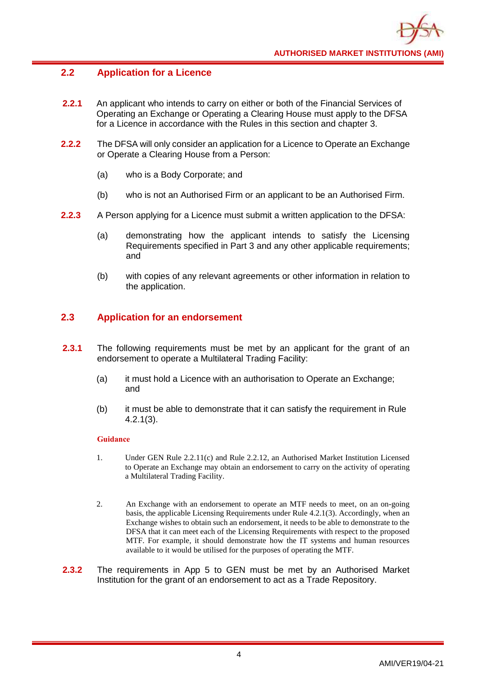# <span id="page-7-0"></span>**2.2 Application for a Licence**

- **2.2.1** An applicant who intends to carry on either or both of the Financial Services of Operating an Exchange or Operating a Clearing House must apply to the DFSA for a Licence in accordance with the Rules in this section and chapter 3.
- **2.2.2** The DFSA will only consider an application for a Licence to Operate an Exchange or Operate a Clearing House from a Person:
	- (a) who is a Body Corporate; and
	- (b) who is not an Authorised Firm or an applicant to be an Authorised Firm.
- **2.2.3** A Person applying for a Licence must submit a written application to the DFSA:
	- (a) demonstrating how the applicant intends to satisfy the Licensing Requirements specified in Part 3 and any other applicable requirements; and
	- (b) with copies of any relevant agreements or other information in relation to the application.

# <span id="page-7-1"></span>**2.3 Application for an endorsement**

- **2.3.1** The following requirements must be met by an applicant for the grant of an endorsement to operate a Multilateral Trading Facility:
	- (a) it must hold a Licence with an authorisation to Operate an Exchange; and
	- (b) it must be able to demonstrate that it can satisfy the requirement in Rule 4.2.1(3).

- 1. Under GEN Rule 2.2.11(c) and Rule 2.2.12, an Authorised Market Institution Licensed to Operate an Exchange may obtain an endorsement to carry on the activity of operating a Multilateral Trading Facility.
- 2. An Exchange with an endorsement to operate an MTF needs to meet, on an on-going basis, the applicable Licensing Requirements under Rule 4.2.1(3). Accordingly, when an Exchange wishes to obtain such an endorsement, it needs to be able to demonstrate to the DFSA that it can meet each of the Licensing Requirements with respect to the proposed MTF. For example, it should demonstrate how the IT systems and human resources available to it would be utilised for the purposes of operating the MTF.
- **2.3.2** The requirements in App 5 to GEN must be met by an Authorised Market Institution for the grant of an endorsement to act as a Trade Repository.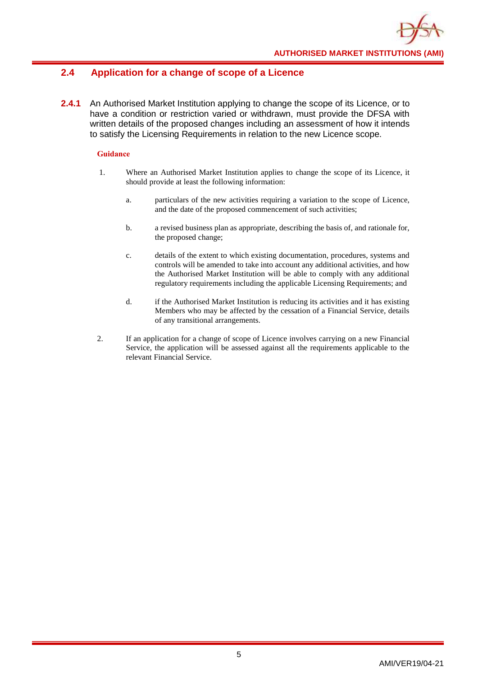# <span id="page-8-0"></span>**2.4 Application for a change of scope of a Licence**

**2.4.1** An Authorised Market Institution applying to change the scope of its Licence, or to have a condition or restriction varied or withdrawn, must provide the DFSA with written details of the proposed changes including an assessment of how it intends to satisfy the Licensing Requirements in relation to the new Licence scope.

- 1. Where an Authorised Market Institution applies to change the scope of its Licence, it should provide at least the following information:
	- a. particulars of the new activities requiring a variation to the scope of Licence, and the date of the proposed commencement of such activities;
	- b. a revised business plan as appropriate, describing the basis of, and rationale for, the proposed change;
	- c. details of the extent to which existing documentation, procedures, systems and controls will be amended to take into account any additional activities, and how the Authorised Market Institution will be able to comply with any additional regulatory requirements including the applicable Licensing Requirements; and
	- d. if the Authorised Market Institution is reducing its activities and it has existing Members who may be affected by the cessation of a Financial Service, details of any transitional arrangements.
- 2. If an application for a change of scope of Licence involves carrying on a new Financial Service, the application will be assessed against all the requirements applicable to the relevant Financial Service.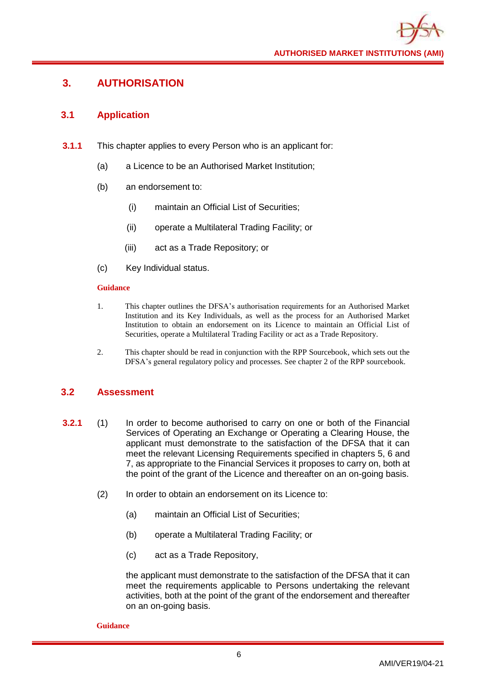# <span id="page-9-0"></span>**3. AUTHORISATION**

# <span id="page-9-1"></span>**3.1 Application**

- **3.1.1** This chapter applies to every Person who is an applicant for:
	- (a) a Licence to be an Authorised Market Institution;
	- (b) an endorsement to:
		- (i) maintain an Official List of Securities;
		- (ii) operate a Multilateral Trading Facility; or
		- (iii) act as a Trade Repository; or
	- (c) Key Individual status.

# **Guidance**

- 1. This chapter outlines the DFSA's authorisation requirements for an Authorised Market Institution and its Key Individuals, as well as the process for an Authorised Market Institution to obtain an endorsement on its Licence to maintain an Official List of Securities, operate a Multilateral Trading Facility or act as a Trade Repository.
- 2. This chapter should be read in conjunction with the RPP Sourcebook, which sets out the DFSA's general regulatory policy and processes. See chapter 2 of the RPP sourcebook.

# <span id="page-9-2"></span>**3.2 Assessment**

- **3.2.1** (1) In order to become authorised to carry on one or both of the Financial Services of Operating an Exchange or Operating a Clearing House, the applicant must demonstrate to the satisfaction of the DFSA that it can meet the relevant Licensing Requirements specified in chapters 5, 6 and 7, as appropriate to the Financial Services it proposes to carry on, both at the point of the grant of the Licence and thereafter on an on-going basis.
	- (2) In order to obtain an endorsement on its Licence to:
		- (a) maintain an Official List of Securities;
		- (b) operate a Multilateral Trading Facility; or
		- (c) act as a Trade Repository,

the applicant must demonstrate to the satisfaction of the DFSA that it can meet the requirements applicable to Persons undertaking the relevant activities, both at the point of the grant of the endorsement and thereafter on an on-going basis.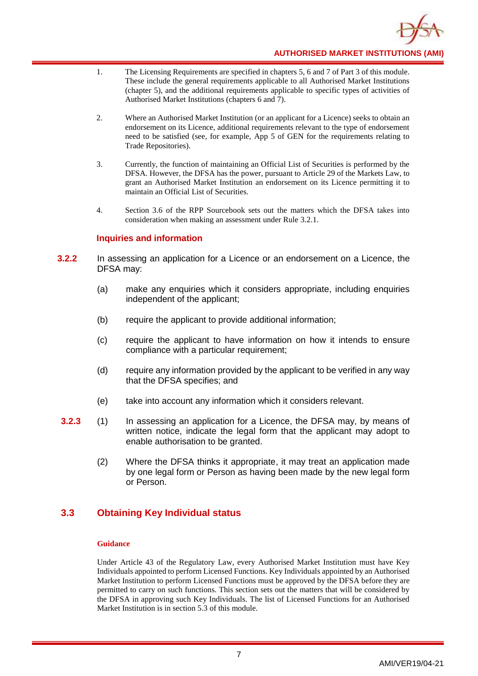

- 1. The Licensing Requirements are specified in chapters 5, 6 and 7 of Part 3 of this module. These include the general requirements applicable to all Authorised Market Institutions (chapter 5), and the additional requirements applicable to specific types of activities of Authorised Market Institutions (chapters 6 and 7).
- 2. Where an Authorised Market Institution (or an applicant for a Licence) seeks to obtain an endorsement on its Licence, additional requirements relevant to the type of endorsement need to be satisfied (see, for example, App 5 of GEN for the requirements relating to Trade Repositories).
- 3. Currently, the function of maintaining an Official List of Securities is performed by the DFSA. However, the DFSA has the power, pursuant to Article 29 of the Markets Law, to grant an Authorised Market Institution an endorsement on its Licence permitting it to maintain an Official List of Securities.
- 4. Section 3.6 of the RPP Sourcebook sets out the matters which the DFSA takes into consideration when making an assessment under Rule 3.2.1.

# **Inquiries and information**

- **3.2.2** In assessing an application for a Licence or an endorsement on a Licence, the DFSA may:
	- (a) make any enquiries which it considers appropriate, including enquiries independent of the applicant;
	- (b) require the applicant to provide additional information;
	- (c) require the applicant to have information on how it intends to ensure compliance with a particular requirement;
	- (d) require any information provided by the applicant to be verified in any way that the DFSA specifies; and
	- (e) take into account any information which it considers relevant.
- **3.2.3** (1) In assessing an application for a Licence, the DFSA may, by means of written notice, indicate the legal form that the applicant may adopt to enable authorisation to be granted.
	- (2) Where the DFSA thinks it appropriate, it may treat an application made by one legal form or Person as having been made by the new legal form or Person.

# <span id="page-10-0"></span>**3.3 Obtaining Key Individual status**

#### **Guidance**

Under Article 43 of the Regulatory Law, every Authorised Market Institution must have Key Individuals appointed to perform Licensed Functions. Key Individuals appointed by an Authorised Market Institution to perform Licensed Functions must be approved by the DFSA before they are permitted to carry on such functions. This section sets out the matters that will be considered by the DFSA in approving such Key Individuals. The list of Licensed Functions for an Authorised Market Institution is in section 5.3 of this module.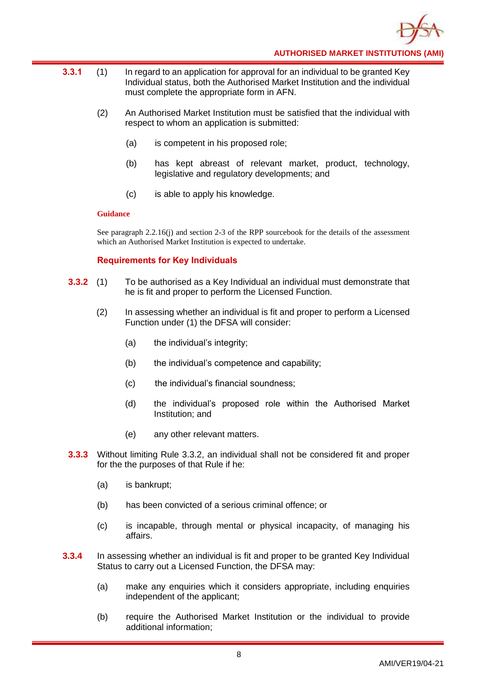

- **3.3.1** (1) In regard to an application for approval for an individual to be granted Key Individual status, both the Authorised Market Institution and the individual must complete the appropriate form in AFN.
	- (2) An Authorised Market Institution must be satisfied that the individual with respect to whom an application is submitted:
		- (a) is competent in his proposed role;
		- (b) has kept abreast of relevant market, product, technology, legislative and regulatory developments; and
		- (c) is able to apply his knowledge.

See paragraph 2.2.16(j) and section 2-3 of the RPP sourcebook for the details of the assessment which an Authorised Market Institution is expected to undertake.

# **Requirements for Key Individuals**

- **3.3.2** (1) To be authorised as a Key Individual an individual must demonstrate that he is fit and proper to perform the Licensed Function.
	- (2) In assessing whether an individual is fit and proper to perform a Licensed Function under (1) the DFSA will consider:
		- (a) the individual's integrity;
		- (b) the individual's competence and capability;
		- (c) the individual's financial soundness;
		- (d) the individual's proposed role within the Authorised Market Institution; and
		- (e) any other relevant matters.
- **3.3.3** Without limiting Rule 3.3.2, an individual shall not be considered fit and proper for the the purposes of that Rule if he:
	- (a) is bankrupt;
	- (b) has been convicted of a serious criminal offence; or
	- (c) is incapable, through mental or physical incapacity, of managing his affairs.
- **3.3.4** In assessing whether an individual is fit and proper to be granted Key Individual Status to carry out a Licensed Function, the DFSA may:
	- (a) make any enquiries which it considers appropriate, including enquiries independent of the applicant;
	- (b) require the Authorised Market Institution or the individual to provide additional information;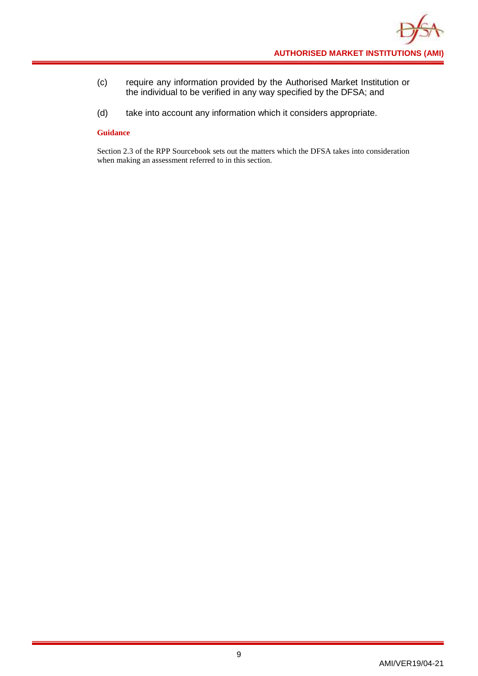- (c) require any information provided by the Authorised Market Institution or the individual to be verified in any way specified by the DFSA; and
- (d) take into account any information which it considers appropriate.

Section 2.3 of the RPP Sourcebook sets out the matters which the DFSA takes into consideration when making an assessment referred to in this section.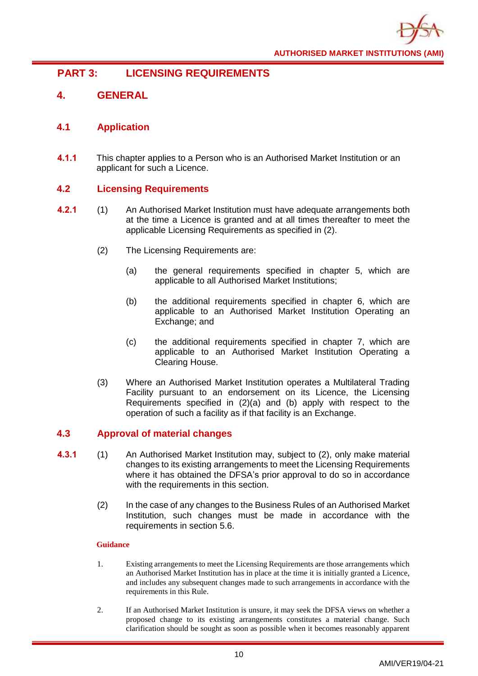

# <span id="page-13-0"></span>**PART 3: LICENSING REQUIREMENTS**

# <span id="page-13-1"></span>**4. GENERAL**

# <span id="page-13-2"></span>**4.1 Application**

**4.1.1** This chapter applies to a Person who is an Authorised Market Institution or an applicant for such a Licence.

# <span id="page-13-3"></span>**4.2 Licensing Requirements**

- **4.2.1** (1) An Authorised Market Institution must have adequate arrangements both at the time a Licence is granted and at all times thereafter to meet the applicable Licensing Requirements as specified in (2).
	- (2) The Licensing Requirements are:
		- (a) the general requirements specified in chapter 5, which are applicable to all Authorised Market Institutions;
		- (b) the additional requirements specified in chapter 6, which are applicable to an Authorised Market Institution Operating an Exchange; and
		- (c) the additional requirements specified in chapter 7, which are applicable to an Authorised Market Institution Operating a Clearing House.
	- (3) Where an Authorised Market Institution operates a Multilateral Trading Facility pursuant to an endorsement on its Licence, the Licensing Requirements specified in (2)(a) and (b) apply with respect to the operation of such a facility as if that facility is an Exchange.

# <span id="page-13-4"></span>**4.3 Approval of material changes**

- **4.3.1** (1) An Authorised Market Institution may, subject to (2), only make material changes to its existing arrangements to meet the Licensing Requirements where it has obtained the DFSA's prior approval to do so in accordance with the requirements in this section.
	- (2) In the case of any changes to the Business Rules of an Authorised Market Institution, such changes must be made in accordance with the requirements in section 5.6.

- 1. Existing arrangements to meet the Licensing Requirements are those arrangements which an Authorised Market Institution has in place at the time it is initially granted a Licence, and includes any subsequent changes made to such arrangements in accordance with the requirements in this Rule.
- 2. If an Authorised Market Institution is unsure, it may seek the DFSA views on whether a proposed change to its existing arrangements constitutes a material change. Such clarification should be sought as soon as possible when it becomes reasonably apparent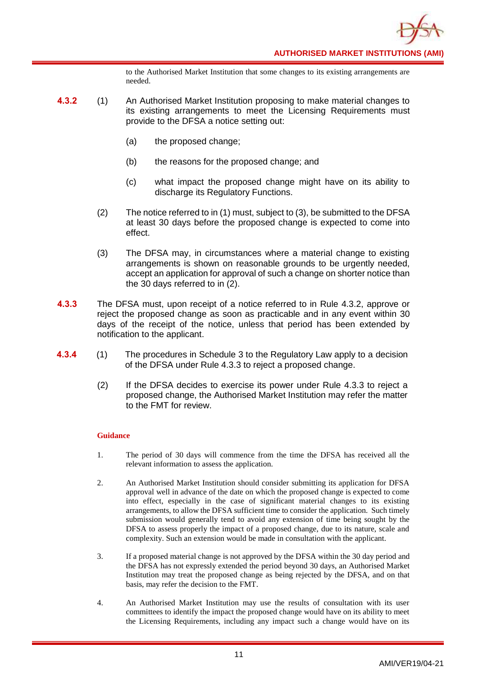to the Authorised Market Institution that some changes to its existing arrangements are needed.

- **4.3.2** (1) An Authorised Market Institution proposing to make material changes to its existing arrangements to meet the Licensing Requirements must provide to the DFSA a notice setting out:
	- (a) the proposed change;
	- (b) the reasons for the proposed change; and
	- (c) what impact the proposed change might have on its ability to discharge its Regulatory Functions.
	- (2) The notice referred to in (1) must, subject to (3), be submitted to the DFSA at least 30 days before the proposed change is expected to come into effect.
	- (3) The DFSA may, in circumstances where a material change to existing arrangements is shown on reasonable grounds to be urgently needed, accept an application for approval of such a change on shorter notice than the 30 days referred to in (2).
- **4.3.3** The DFSA must, upon receipt of a notice referred to in Rule 4.3.2, approve or reject the proposed change as soon as practicable and in any event within 30 days of the receipt of the notice, unless that period has been extended by notification to the applicant.
- **4.3.4** (1) The procedures in Schedule 3 to the Regulatory Law apply to a decision of the DFSA under Rule 4.3.3 to reject a proposed change.
	- (2) If the DFSA decides to exercise its power under Rule 4.3.3 to reject a proposed change, the Authorised Market Institution may refer the matter to the FMT for review.

- 1. The period of 30 days will commence from the time the DFSA has received all the relevant information to assess the application.
- 2. An Authorised Market Institution should consider submitting its application for DFSA approval well in advance of the date on which the proposed change is expected to come into effect, especially in the case of significant material changes to its existing arrangements, to allow the DFSA sufficient time to consider the application. Such timely submission would generally tend to avoid any extension of time being sought by the DFSA to assess properly the impact of a proposed change, due to its nature, scale and complexity. Such an extension would be made in consultation with the applicant.
- 3. If a proposed material change is not approved by the DFSA within the 30 day period and the DFSA has not expressly extended the period beyond 30 days, an Authorised Market Institution may treat the proposed change as being rejected by the DFSA, and on that basis, may refer the decision to the FMT.
- 4. An Authorised Market Institution may use the results of consultation with its user committees to identify the impact the proposed change would have on its ability to meet the Licensing Requirements, including any impact such a change would have on its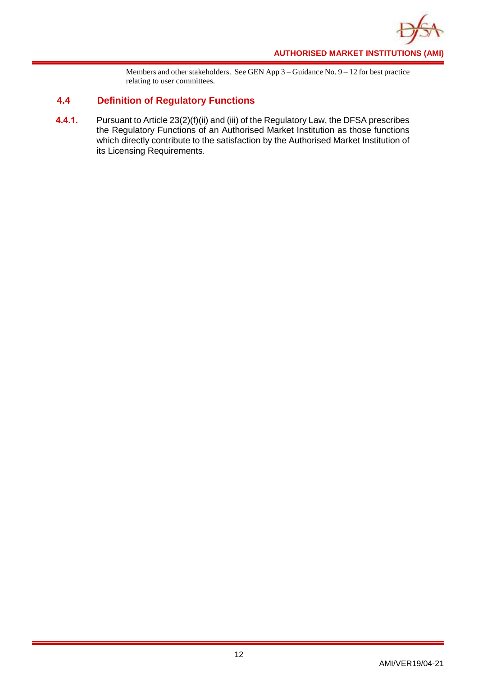

Members and other stakeholders. See GEN App 3 – Guidance No. 9 – 12 for best practice relating to user committees.

# <span id="page-15-0"></span>**4.4 Definition of Regulatory Functions**

**4.4.1.** Pursuant to Article 23(2)(f)(ii) and (iii) of the Regulatory Law, the DFSA prescribes the Regulatory Functions of an Authorised Market Institution as those functions which directly contribute to the satisfaction by the Authorised Market Institution of its Licensing Requirements.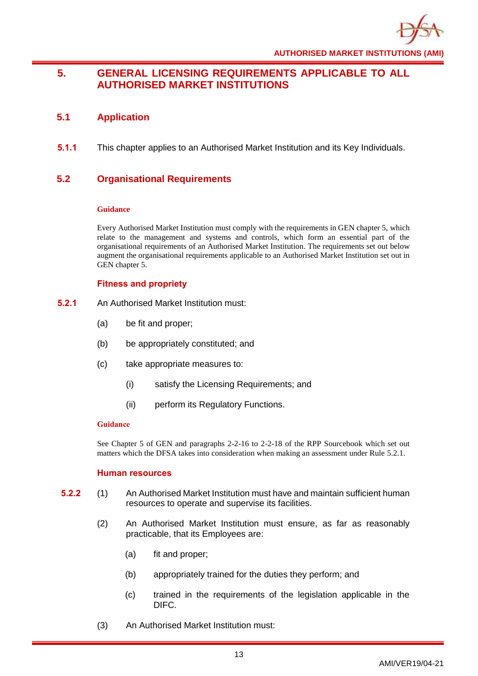

# <span id="page-16-0"></span>**5. GENERAL LICENSING REQUIREMENTS APPLICABLE TO ALL AUTHORISED MARKET INSTITUTIONS**

# <span id="page-16-1"></span>**5.1 Application**

**5.1.1** This chapter applies to an Authorised Market Institution and its Key Individuals.

# <span id="page-16-2"></span>**5.2 Organisational Requirements**

# **Guidance**

Every Authorised Market Institution must comply with the requirements in GEN chapter 5, which relate to the management and systems and controls, which form an essential part of the organisational requirements of an Authorised Market Institution. The requirements set out below augment the organisational requirements applicable to an Authorised Market Institution set out in GEN chapter 5.

# **Fitness and propriety**

- **5.2.1** An Authorised Market Institution must:
	- (a) be fit and proper;
	- (b) be appropriately constituted; and
	- (c) take appropriate measures to:
		- (i) satisfy the Licensing Requirements; and
		- (ii) perform its Regulatory Functions.

# **Guidance**

See Chapter 5 of GEN and paragraphs 2-2-16 to 2-2-18 of the RPP Sourcebook which set out matters which the DFSA takes into consideration when making an assessment under Rule 5.2.1.

# **Human resources**

- **5.2.2** (1) An Authorised Market Institution must have and maintain sufficient human resources to operate and supervise its facilities.
	- (2) An Authorised Market Institution must ensure, as far as reasonably practicable, that its Employees are:
		- (a) fit and proper;
		- (b) appropriately trained for the duties they perform; and
		- (c) trained in the requirements of the legislation applicable in the DIFC.
	- (3) An Authorised Market Institution must: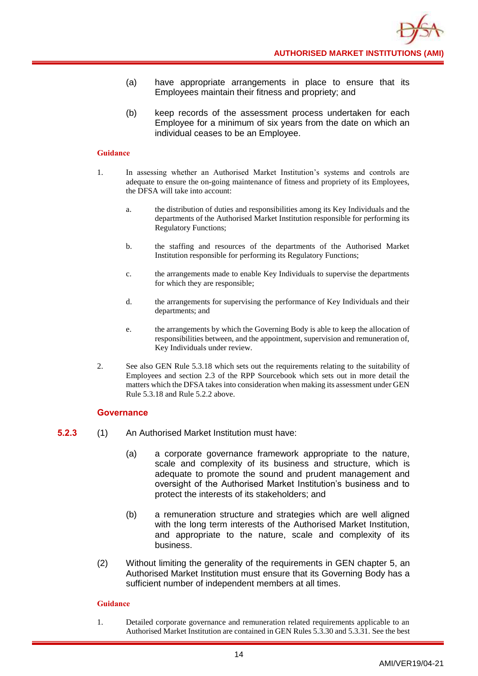- (a) have appropriate arrangements in place to ensure that its Employees maintain their fitness and propriety; and
- (b) keep records of the assessment process undertaken for each Employee for a minimum of six years from the date on which an individual ceases to be an Employee.

- 1. In assessing whether an Authorised Market Institution's systems and controls are adequate to ensure the on-going maintenance of fitness and propriety of its Employees, the DFSA will take into account:
	- a. the distribution of duties and responsibilities among its Key Individuals and the departments of the Authorised Market Institution responsible for performing its Regulatory Functions;
	- b. the staffing and resources of the departments of the Authorised Market Institution responsible for performing its Regulatory Functions;
	- c. the arrangements made to enable Key Individuals to supervise the departments for which they are responsible;
	- d. the arrangements for supervising the performance of Key Individuals and their departments; and
	- e. the arrangements by which the Governing Body is able to keep the allocation of responsibilities between, and the appointment, supervision and remuneration of, Key Individuals under review.
- 2. See also GEN Rule 5.3.18 which sets out the requirements relating to the suitability of Employees and section 2.3 of the RPP Sourcebook which sets out in more detail the matters which the DFSA takes into consideration when making its assessment under GEN Rule 5.3.18 and Rule 5.2.2 above.

#### **Governance**

- **5.2.3** (1) An Authorised Market Institution must have:
	- (a) a corporate governance framework appropriate to the nature, scale and complexity of its business and structure, which is adequate to promote the sound and prudent management and oversight of the Authorised Market Institution's business and to protect the interests of its stakeholders; and
	- (b) a remuneration structure and strategies which are well aligned with the long term interests of the Authorised Market Institution, and appropriate to the nature, scale and complexity of its business.
	- (2) Without limiting the generality of the requirements in GEN chapter 5, an Authorised Market Institution must ensure that its Governing Body has a sufficient number of independent members at all times.

#### **Guidance**

1. Detailed corporate governance and remuneration related requirements applicable to an Authorised Market Institution are contained in GEN Rules 5.3.30 and 5.3.31. See the best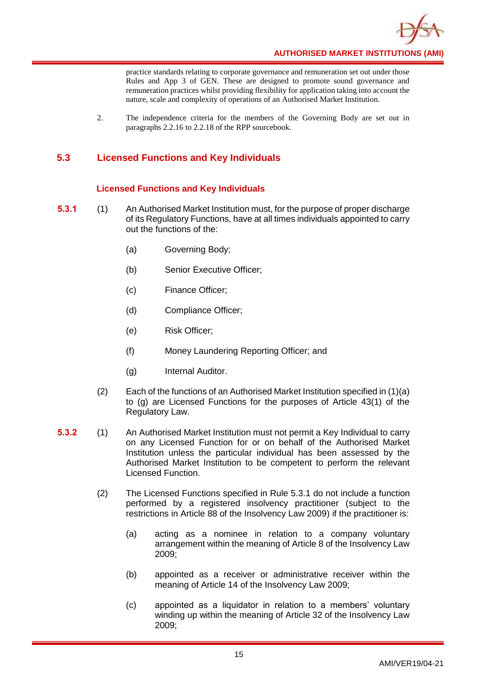

practice standards relating to corporate governance and remuneration set out under those Rules and App 3 of GEN. These are designed to promote sound governance and remuneration practices whilst providing flexibility for application taking into account the nature, scale and complexity of operations of an Authorised Market Institution.

2. The independence criteria for the members of the Governing Body are set out in paragraphs 2.2.16 to 2.2.18 of the RPP sourcebook.

# <span id="page-18-0"></span>**5.3 Licensed Functions and Key Individuals**

# **Licensed Functions and Key Individuals**

- **5.3.1** (1) An Authorised Market Institution must, for the purpose of proper discharge of its Regulatory Functions, have at all times individuals appointed to carry out the functions of the:
	- (a) Governing Body;
	- (b) Senior Executive Officer;
	- (c) Finance Officer;
	- (d) Compliance Officer;
	- (e) Risk Officer;
	- (f) Money Laundering Reporting Officer; and
	- (g) Internal Auditor.
	- (2) Each of the functions of an Authorised Market Institution specified in (1)(a) to (g) are Licensed Functions for the purposes of Article 43(1) of the Regulatory Law.
- **5.3.2** (1) An Authorised Market Institution must not permit a Key Individual to carry on any Licensed Function for or on behalf of the Authorised Market Institution unless the particular individual has been assessed by the Authorised Market Institution to be competent to perform the relevant Licensed Function.
	- (2) The Licensed Functions specified in Rule 5.3.1 do not include a function performed by a registered insolvency practitioner (subject to the restrictions in Article 88 of the Insolvency Law 2009) if the practitioner is:
		- (a) acting as a nominee in relation to a company voluntary arrangement within the meaning of Article 8 of the Insolvency Law 2009;
		- (b) appointed as a receiver or administrative receiver within the meaning of Article 14 of the Insolvency Law 2009;
		- (c) appointed as a liquidator in relation to a members' voluntary winding up within the meaning of Article 32 of the Insolvency Law 2009;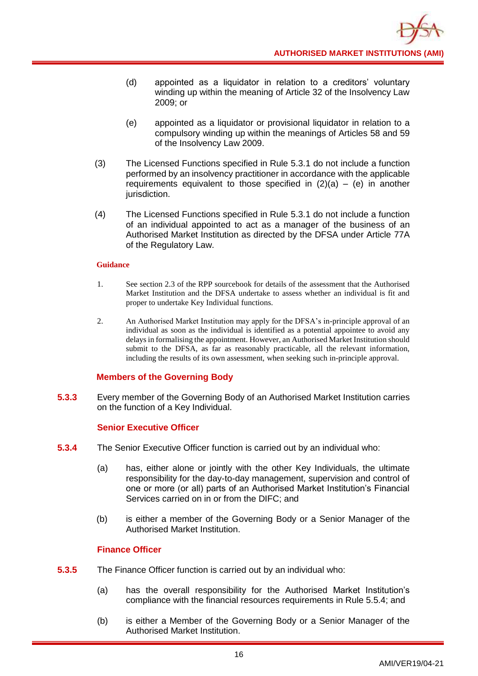- (d) appointed as a liquidator in relation to a creditors' voluntary winding up within the meaning of Article 32 of the Insolvency Law 2009; or
- (e) appointed as a liquidator or provisional liquidator in relation to a compulsory winding up within the meanings of Articles 58 and 59 of the Insolvency Law 2009.
- (3) The Licensed Functions specified in Rule 5.3.1 do not include a function performed by an insolvency practitioner in accordance with the applicable requirements equivalent to those specified in  $(2)(a) - (e)$  in another jurisdiction.
- (4) The Licensed Functions specified in Rule 5.3.1 do not include a function of an individual appointed to act as a manager of the business of an Authorised Market Institution as directed by the DFSA under Article 77A of the Regulatory Law.

- 1. See section 2.3 of the RPP sourcebook for details of the assessment that the Authorised Market Institution and the DFSA undertake to assess whether an individual is fit and proper to undertake Key Individual functions.
- 2. An Authorised Market Institution may apply for the DFSA's in-principle approval of an individual as soon as the individual is identified as a potential appointee to avoid any delays in formalising the appointment. However, an Authorised Market Institution should submit to the DFSA, as far as reasonably practicable, all the relevant information, including the results of its own assessment, when seeking such in-principle approval.

# **Members of the Governing Body**

**5.3.3** Every member of the Governing Body of an Authorised Market Institution carries on the function of a Key Individual.

# **Senior Executive Officer**

- **5.3.4** The Senior Executive Officer function is carried out by an individual who:
	- (a) has, either alone or jointly with the other Key Individuals, the ultimate responsibility for the day-to-day management, supervision and control of one or more (or all) parts of an Authorised Market Institution's Financial Services carried on in or from the DIFC; and
	- (b) is either a member of the Governing Body or a Senior Manager of the Authorised Market Institution.

# **Finance Officer**

- **5.3.5** The Finance Officer function is carried out by an individual who:
	- (a) has the overall responsibility for the Authorised Market Institution's compliance with the financial resources requirements in Rule 5.5.4; and
	- (b) is either a Member of the Governing Body or a Senior Manager of the Authorised Market Institution.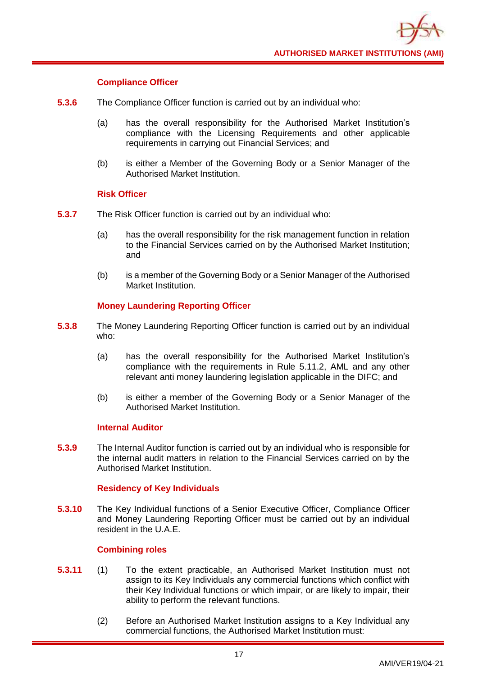

# **Compliance Officer**

- **5.3.6** The Compliance Officer function is carried out by an individual who:
	- (a) has the overall responsibility for the Authorised Market Institution's compliance with the Licensing Requirements and other applicable requirements in carrying out Financial Services; and
	- (b) is either a Member of the Governing Body or a Senior Manager of the Authorised Market Institution.

# **Risk Officer**

- **5.3.7** The Risk Officer function is carried out by an individual who:
	- (a) has the overall responsibility for the risk management function in relation to the Financial Services carried on by the Authorised Market Institution; and
	- (b) is a member of the Governing Body or a Senior Manager of the Authorised Market Institution.

# **Money Laundering Reporting Officer**

- **5.3.8** The Money Laundering Reporting Officer function is carried out by an individual who:
	- (a) has the overall responsibility for the Authorised Market Institution's compliance with the requirements in Rule 5.11.2, AML and any other relevant anti money laundering legislation applicable in the DIFC; and
	- (b) is either a member of the Governing Body or a Senior Manager of the Authorised Market Institution.

# **Internal Auditor**

**5.3.9** The Internal Auditor function is carried out by an individual who is responsible for the internal audit matters in relation to the Financial Services carried on by the Authorised Market Institution.

# **Residency of Key Individuals**

**5.3.10** The Key Individual functions of a Senior Executive Officer, Compliance Officer and Money Laundering Reporting Officer must be carried out by an individual resident in the U.A.E.

# **Combining roles**

- **5.3.11** (1) To the extent practicable, an Authorised Market Institution must not assign to its Key Individuals any commercial functions which conflict with their Key Individual functions or which impair, or are likely to impair, their ability to perform the relevant functions.
	- (2) Before an Authorised Market Institution assigns to a Key Individual any commercial functions, the Authorised Market Institution must: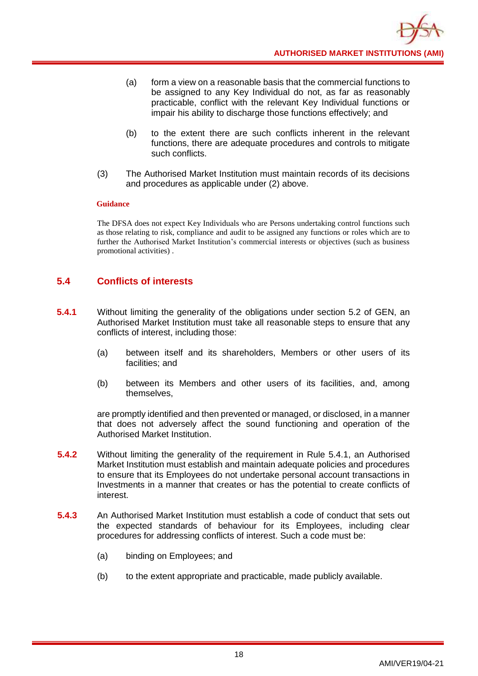- (a) form a view on a reasonable basis that the commercial functions to be assigned to any Key Individual do not, as far as reasonably practicable, conflict with the relevant Key Individual functions or impair his ability to discharge those functions effectively; and
- (b) to the extent there are such conflicts inherent in the relevant functions, there are adequate procedures and controls to mitigate such conflicts.
- (3) The Authorised Market Institution must maintain records of its decisions and procedures as applicable under (2) above.

The DFSA does not expect Key Individuals who are Persons undertaking control functions such as those relating to risk, compliance and audit to be assigned any functions or roles which are to further the Authorised Market Institution's commercial interests or objectives (such as business promotional activities) .

# <span id="page-21-0"></span>**5.4 Conflicts of interests**

- **5.4.1** Without limiting the generality of the obligations under section 5.2 of GEN, an Authorised Market Institution must take all reasonable steps to ensure that any conflicts of interest, including those:
	- (a) between itself and its shareholders, Members or other users of its facilities; and
	- (b) between its Members and other users of its facilities, and, among themselves,

are promptly identified and then prevented or managed, or disclosed, in a manner that does not adversely affect the sound functioning and operation of the Authorised Market Institution.

- **5.4.2** Without limiting the generality of the requirement in Rule 5.4.1, an Authorised Market Institution must establish and maintain adequate policies and procedures to ensure that its Employees do not undertake personal account transactions in Investments in a manner that creates or has the potential to create conflicts of interest.
- **5.4.3** An Authorised Market Institution must establish a code of conduct that sets out the expected standards of behaviour for its Employees, including clear procedures for addressing conflicts of interest. Such a code must be:
	- (a) binding on Employees; and
	- (b) to the extent appropriate and practicable, made publicly available.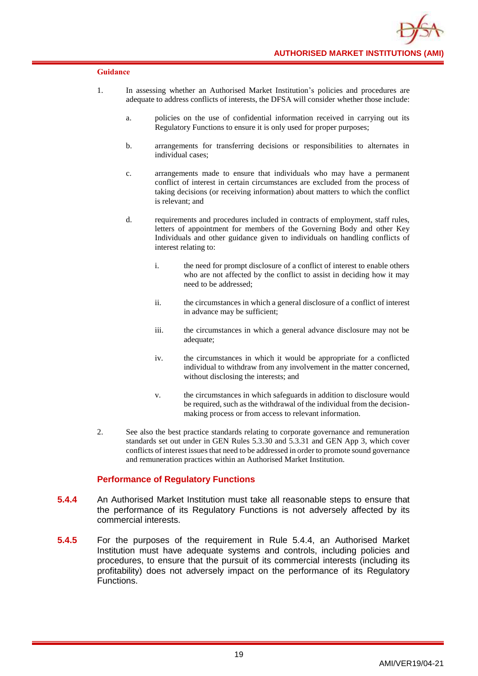- 1. In assessing whether an Authorised Market Institution's policies and procedures are adequate to address conflicts of interests, the DFSA will consider whether those include:
	- a. policies on the use of confidential information received in carrying out its Regulatory Functions to ensure it is only used for proper purposes;
	- b. arrangements for transferring decisions or responsibilities to alternates in individual cases;
	- c. arrangements made to ensure that individuals who may have a permanent conflict of interest in certain circumstances are excluded from the process of taking decisions (or receiving information) about matters to which the conflict is relevant; and
	- d. requirements and procedures included in contracts of employment, staff rules, letters of appointment for members of the Governing Body and other Key Individuals and other guidance given to individuals on handling conflicts of interest relating to:
		- i. the need for prompt disclosure of a conflict of interest to enable others who are not affected by the conflict to assist in deciding how it may need to be addressed;
		- ii. the circumstances in which a general disclosure of a conflict of interest in advance may be sufficient;
		- iii. the circumstances in which a general advance disclosure may not be adequate;
		- iv. the circumstances in which it would be appropriate for a conflicted individual to withdraw from any involvement in the matter concerned, without disclosing the interests; and
		- v. the circumstances in which safeguards in addition to disclosure would be required, such as the withdrawal of the individual from the decisionmaking process or from access to relevant information.
- 2. See also the best practice standards relating to corporate governance and remuneration standards set out under in GEN Rules 5.3.30 and 5.3.31 and GEN App 3, which cover conflicts of interest issues that need to be addressed in order to promote sound governance and remuneration practices within an Authorised Market Institution.

# **Performance of Regulatory Functions**

- **5.4.4** An Authorised Market Institution must take all reasonable steps to ensure that the performance of its Regulatory Functions is not adversely affected by its commercial interests.
- **5.4.5** For the purposes of the requirement in Rule 5.4.4, an Authorised Market Institution must have adequate systems and controls, including policies and procedures, to ensure that the pursuit of its commercial interests (including its profitability) does not adversely impact on the performance of its Regulatory Functions.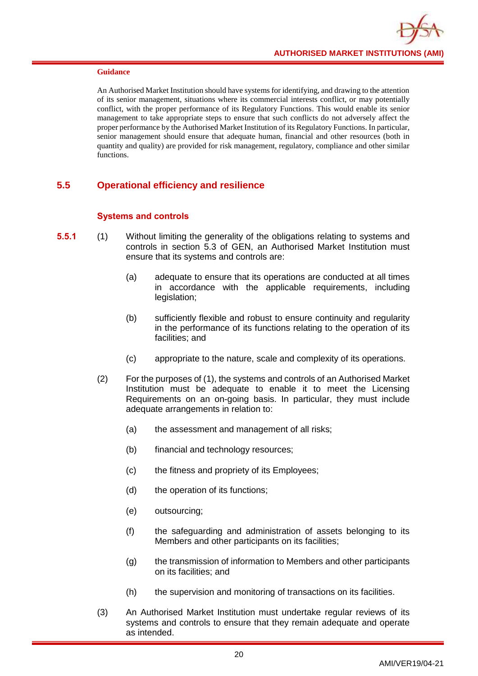An Authorised Market Institution should have systems for identifying, and drawing to the attention of its senior management, situations where its commercial interests conflict, or may potentially conflict, with the proper performance of its Regulatory Functions. This would enable its senior management to take appropriate steps to ensure that such conflicts do not adversely affect the proper performance by the Authorised Market Institution of its Regulatory Functions. In particular, senior management should ensure that adequate human, financial and other resources (both in quantity and quality) are provided for risk management, regulatory, compliance and other similar functions.

# <span id="page-23-0"></span>**5.5 Operational efficiency and resilience**

# **Systems and controls**

- **5.5.1** (1) Without limiting the generality of the obligations relating to systems and controls in section 5.3 of GEN, an Authorised Market Institution must ensure that its systems and controls are:
	- (a) adequate to ensure that its operations are conducted at all times in accordance with the applicable requirements, including legislation:
	- (b) sufficiently flexible and robust to ensure continuity and regularity in the performance of its functions relating to the operation of its facilities; and
	- (c) appropriate to the nature, scale and complexity of its operations.
	- (2) For the purposes of (1), the systems and controls of an Authorised Market Institution must be adequate to enable it to meet the Licensing Requirements on an on-going basis. In particular, they must include adequate arrangements in relation to:
		- (a) the assessment and management of all risks;
		- (b) financial and technology resources;
		- (c) the fitness and propriety of its Employees;
		- (d) the operation of its functions;
		- (e) outsourcing;
		- (f) the safeguarding and administration of assets belonging to its Members and other participants on its facilities;
		- (g) the transmission of information to Members and other participants on its facilities; and
		- (h) the supervision and monitoring of transactions on its facilities.
	- (3) An Authorised Market Institution must undertake regular reviews of its systems and controls to ensure that they remain adequate and operate as intended.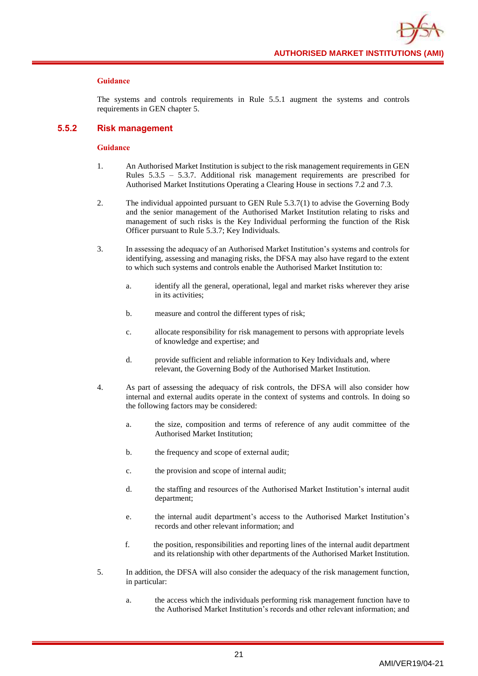

The systems and controls requirements in Rule 5.5.1 augment the systems and controls requirements in GEN chapter 5.

#### **5.5.2 Risk management**

- 1. An Authorised Market Institution is subject to the risk management requirements in GEN Rules 5.3.5 – 5.3.7. Additional risk management requirements are prescribed for Authorised Market Institutions Operating a Clearing House in sections 7.2 and 7.3.
- 2. The individual appointed pursuant to GEN Rule 5.3.7(1) to advise the Governing Body and the senior management of the Authorised Market Institution relating to risks and management of such risks is the Key Individual performing the function of the Risk Officer pursuant to Rule 5.3.7; Key Individuals.
- 3. In assessing the adequacy of an Authorised Market Institution's systems and controls for identifying, assessing and managing risks, the DFSA may also have regard to the extent to which such systems and controls enable the Authorised Market Institution to:
	- a. identify all the general, operational, legal and market risks wherever they arise in its activities;
	- b. measure and control the different types of risk;
	- c. allocate responsibility for risk management to persons with appropriate levels of knowledge and expertise; and
	- d. provide sufficient and reliable information to Key Individuals and, where relevant, the Governing Body of the Authorised Market Institution.
- 4. As part of assessing the adequacy of risk controls, the DFSA will also consider how internal and external audits operate in the context of systems and controls. In doing so the following factors may be considered:
	- a. the size, composition and terms of reference of any audit committee of the Authorised Market Institution;
	- b. the frequency and scope of external audit;
	- c. the provision and scope of internal audit;
	- d. the staffing and resources of the Authorised Market Institution's internal audit department;
	- e. the internal audit department's access to the Authorised Market Institution's records and other relevant information; and
	- f. the position, responsibilities and reporting lines of the internal audit department and its relationship with other departments of the Authorised Market Institution.
- 5. In addition, the DFSA will also consider the adequacy of the risk management function, in particular:
	- a. the access which the individuals performing risk management function have to the Authorised Market Institution's records and other relevant information; and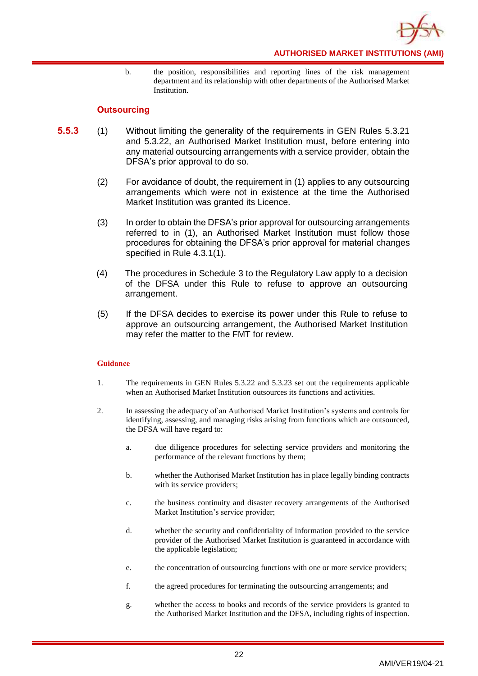

b. the position, responsibilities and reporting lines of the risk management department and its relationship with other departments of the Authorised Market Institution.

# **Outsourcing**

- **5.5.3** (1) Without limiting the generality of the requirements in GEN Rules 5.3.21 and 5.3.22, an Authorised Market Institution must, before entering into any material outsourcing arrangements with a service provider, obtain the DFSA's prior approval to do so.
	- (2) For avoidance of doubt, the requirement in (1) applies to any outsourcing arrangements which were not in existence at the time the Authorised Market Institution was granted its Licence.
	- (3) In order to obtain the DFSA's prior approval for outsourcing arrangements referred to in (1), an Authorised Market Institution must follow those procedures for obtaining the DFSA's prior approval for material changes specified in Rule 4.3.1(1).
	- (4) The procedures in Schedule 3 to the Regulatory Law apply to a decision of the DFSA under this Rule to refuse to approve an outsourcing arrangement.
	- (5) If the DFSA decides to exercise its power under this Rule to refuse to approve an outsourcing arrangement, the Authorised Market Institution may refer the matter to the FMT for review.

- 1. The requirements in GEN Rules 5.3.22 and 5.3.23 set out the requirements applicable when an Authorised Market Institution outsources its functions and activities.
- 2. In assessing the adequacy of an Authorised Market Institution's systems and controls for identifying, assessing, and managing risks arising from functions which are outsourced, the DFSA will have regard to:
	- a. due diligence procedures for selecting service providers and monitoring the performance of the relevant functions by them;
	- b. whether the Authorised Market Institution has in place legally binding contracts with its service providers;
	- c. the business continuity and disaster recovery arrangements of the Authorised Market Institution's service provider;
	- d. whether the security and confidentiality of information provided to the service provider of the Authorised Market Institution is guaranteed in accordance with the applicable legislation;
	- e. the concentration of outsourcing functions with one or more service providers;
	- f. the agreed procedures for terminating the outsourcing arrangements; and
	- g. whether the access to books and records of the service providers is granted to the Authorised Market Institution and the DFSA, including rights of inspection.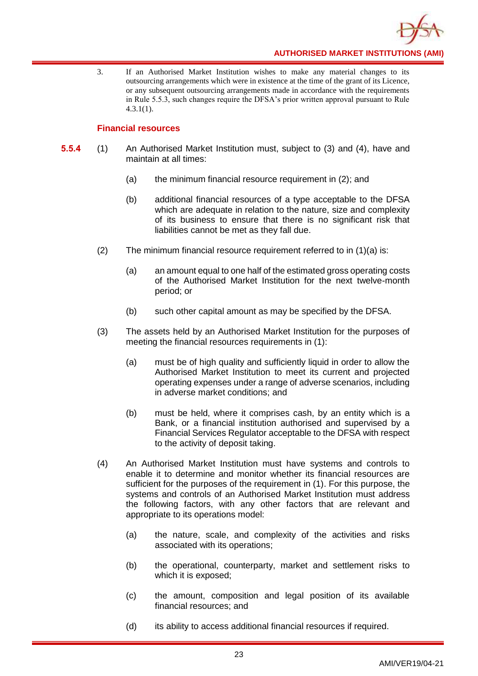

3. If an Authorised Market Institution wishes to make any material changes to its outsourcing arrangements which were in existence at the time of the grant of its Licence, or any subsequent outsourcing arrangements made in accordance with the requirements in Rule 5.5.3, such changes require the DFSA's prior written approval pursuant to Rule 4.3.1(1).

# **Financial resources**

- **5.5.4** (1) An Authorised Market Institution must, subject to (3) and (4), have and maintain at all times:
	- (a) the minimum financial resource requirement in (2); and
	- (b) additional financial resources of a type acceptable to the DFSA which are adequate in relation to the nature, size and complexity of its business to ensure that there is no significant risk that liabilities cannot be met as they fall due.
	- (2) The minimum financial resource requirement referred to in (1)(a) is:
		- (a) an amount equal to one half of the estimated gross operating costs of the Authorised Market Institution for the next twelve-month period; or
		- (b) such other capital amount as may be specified by the DFSA.
	- (3) The assets held by an Authorised Market Institution for the purposes of meeting the financial resources requirements in (1):
		- (a) must be of high quality and sufficiently liquid in order to allow the Authorised Market Institution to meet its current and projected operating expenses under a range of adverse scenarios, including in adverse market conditions; and
		- (b) must be held, where it comprises cash, by an entity which is a Bank, or a financial institution authorised and supervised by a Financial Services Regulator acceptable to the DFSA with respect to the activity of deposit taking.
	- (4) An Authorised Market Institution must have systems and controls to enable it to determine and monitor whether its financial resources are sufficient for the purposes of the requirement in (1). For this purpose, the systems and controls of an Authorised Market Institution must address the following factors, with any other factors that are relevant and appropriate to its operations model:
		- (a) the nature, scale, and complexity of the activities and risks associated with its operations;
		- (b) the operational, counterparty, market and settlement risks to which it is exposed;
		- (c) the amount, composition and legal position of its available financial resources; and
		- (d) its ability to access additional financial resources if required.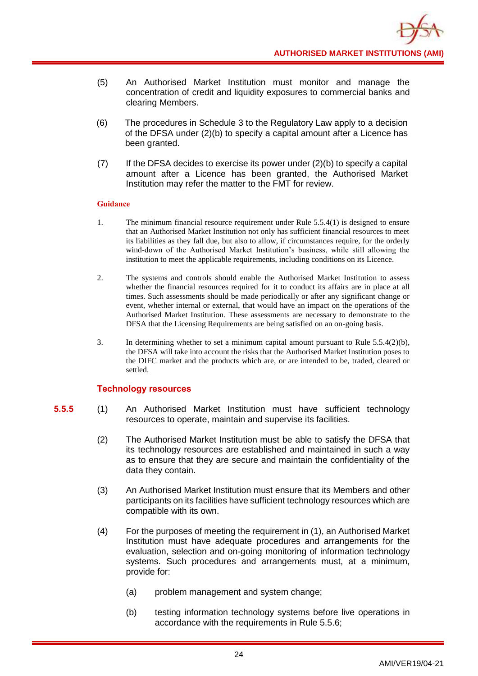- (5) An Authorised Market Institution must monitor and manage the concentration of credit and liquidity exposures to commercial banks and clearing Members.
- (6) The procedures in Schedule 3 to the Regulatory Law apply to a decision of the DFSA under (2)(b) to specify a capital amount after a Licence has been granted.
- $(7)$  If the DFSA decides to exercise its power under  $(2)(b)$  to specify a capital amount after a Licence has been granted, the Authorised Market Institution may refer the matter to the FMT for review.

- 1. The minimum financial resource requirement under Rule 5.5.4(1) is designed to ensure that an Authorised Market Institution not only has sufficient financial resources to meet its liabilities as they fall due, but also to allow, if circumstances require, for the orderly wind-down of the Authorised Market Institution's business, while still allowing the institution to meet the applicable requirements, including conditions on its Licence.
- 2. The systems and controls should enable the Authorised Market Institution to assess whether the financial resources required for it to conduct its affairs are in place at all times. Such assessments should be made periodically or after any significant change or event, whether internal or external, that would have an impact on the operations of the Authorised Market Institution. These assessments are necessary to demonstrate to the DFSA that the Licensing Requirements are being satisfied on an on-going basis.
- 3. In determining whether to set a minimum capital amount pursuant to Rule 5.5.4(2)(b), the DFSA will take into account the risks that the Authorised Market Institution poses to the DIFC market and the products which are, or are intended to be, traded, cleared or settled.

# **Technology resources**

- **5.5.5** (1) An Authorised Market Institution must have sufficient technology resources to operate, maintain and supervise its facilities.
	- (2) The Authorised Market Institution must be able to satisfy the DFSA that its technology resources are established and maintained in such a way as to ensure that they are secure and maintain the confidentiality of the data they contain.
	- (3) An Authorised Market Institution must ensure that its Members and other participants on its facilities have sufficient technology resources which are compatible with its own.
	- (4) For the purposes of meeting the requirement in (1), an Authorised Market Institution must have adequate procedures and arrangements for the evaluation, selection and on-going monitoring of information technology systems. Such procedures and arrangements must, at a minimum, provide for:
		- (a) problem management and system change;
		- (b) testing information technology systems before live operations in accordance with the requirements in Rule 5.5.6;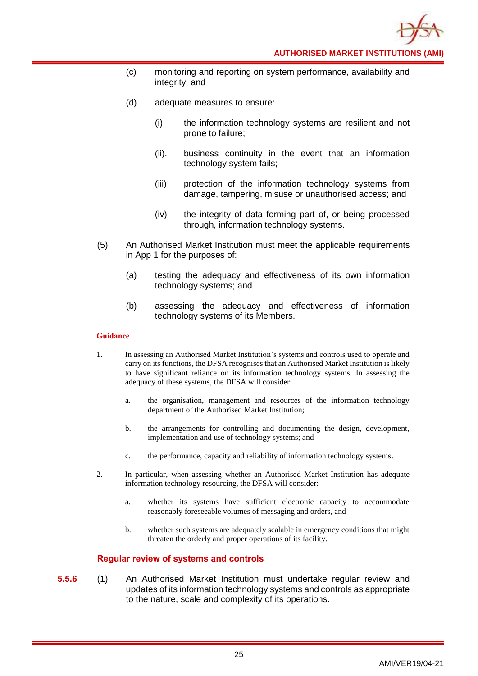- (c) monitoring and reporting on system performance, availability and integrity; and
- (d) adequate measures to ensure:
	- (i) the information technology systems are resilient and not prone to failure;
	- (ii). business continuity in the event that an information technology system fails;
	- (iii) protection of the information technology systems from damage, tampering, misuse or unauthorised access; and
	- (iv) the integrity of data forming part of, or being processed through, information technology systems.
- (5) An Authorised Market Institution must meet the applicable requirements in App 1 for the purposes of:
	- (a) testing the adequacy and effectiveness of its own information technology systems; and
	- (b) assessing the adequacy and effectiveness of information technology systems of its Members.

- 1. In assessing an Authorised Market Institution's systems and controls used to operate and carry on its functions, the DFSA recognises that an Authorised Market Institution is likely to have significant reliance on its information technology systems. In assessing the adequacy of these systems, the DFSA will consider:
	- a. the organisation, management and resources of the information technology department of the Authorised Market Institution;
	- b. the arrangements for controlling and documenting the design, development, implementation and use of technology systems; and
	- c. the performance, capacity and reliability of information technology systems.
- 2. In particular, when assessing whether an Authorised Market Institution has adequate information technology resourcing, the DFSA will consider:
	- a. whether its systems have sufficient electronic capacity to accommodate reasonably foreseeable volumes of messaging and orders, and
	- b. whether such systems are adequately scalable in emergency conditions that might threaten the orderly and proper operations of its facility.

# **Regular review of systems and controls**

**5.5.6** (1) An Authorised Market Institution must undertake regular review and updates of its information technology systems and controls as appropriate to the nature, scale and complexity of its operations.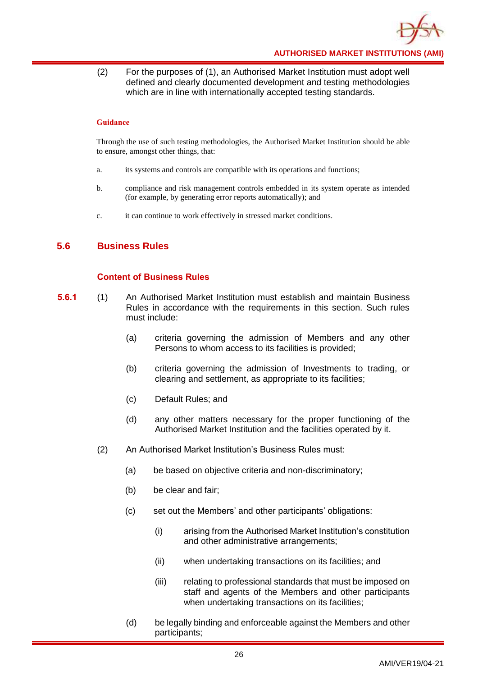

(2) For the purposes of (1), an Authorised Market Institution must adopt well defined and clearly documented development and testing methodologies which are in line with internationally accepted testing standards.

#### **Guidance**

Through the use of such testing methodologies, the Authorised Market Institution should be able to ensure, amongst other things, that:

- a. its systems and controls are compatible with its operations and functions;
- b. compliance and risk management controls embedded in its system operate as intended (for example, by generating error reports automatically); and
- c. it can continue to work effectively in stressed market conditions.

# <span id="page-29-0"></span>**5.6 Business Rules**

# **Content of Business Rules**

- **5.6.1** (1) An Authorised Market Institution must establish and maintain Business Rules in accordance with the requirements in this section. Such rules must include:
	- (a) criteria governing the admission of Members and any other Persons to whom access to its facilities is provided;
	- (b) criteria governing the admission of Investments to trading, or clearing and settlement, as appropriate to its facilities;
	- (c) Default Rules; and
	- (d) any other matters necessary for the proper functioning of the Authorised Market Institution and the facilities operated by it.
	- (2) An Authorised Market Institution's Business Rules must:
		- (a) be based on objective criteria and non-discriminatory;
		- (b) be clear and fair;
		- (c) set out the Members' and other participants' obligations:
			- (i) arising from the Authorised Market Institution's constitution and other administrative arrangements;
			- (ii) when undertaking transactions on its facilities; and
			- (iii) relating to professional standards that must be imposed on staff and agents of the Members and other participants when undertaking transactions on its facilities;
		- (d) be legally binding and enforceable against the Members and other participants;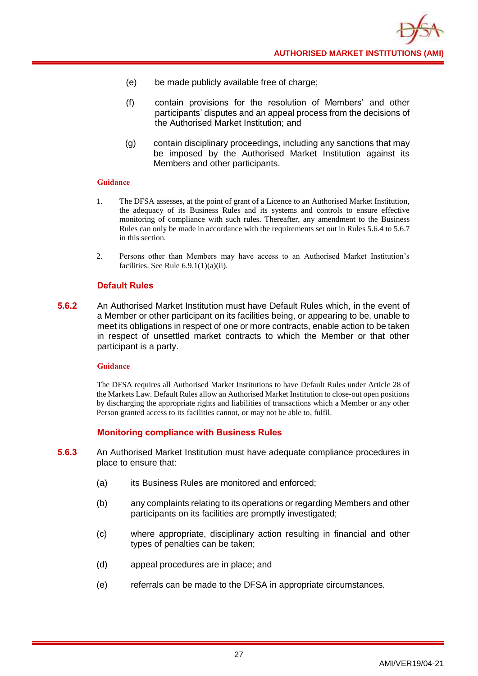- (e) be made publicly available free of charge;
- (f) contain provisions for the resolution of Members' and other participants' disputes and an appeal process from the decisions of the Authorised Market Institution; and
- (g) contain disciplinary proceedings, including any sanctions that may be imposed by the Authorised Market Institution against its Members and other participants.

- 1. The DFSA assesses, at the point of grant of a Licence to an Authorised Market Institution, the adequacy of its Business Rules and its systems and controls to ensure effective monitoring of compliance with such rules. Thereafter, any amendment to the Business Rules can only be made in accordance with the requirements set out in Rules 5.6.4 to 5.6.7 in this section.
- 2. Persons other than Members may have access to an Authorised Market Institution's facilities. See Rule  $6.9.1(1)(a)(ii)$ .

# **Default Rules**

**5.6.2** An Authorised Market Institution must have Default Rules which, in the event of a Member or other participant on its facilities being, or appearing to be, unable to meet its obligations in respect of one or more contracts, enable action to be taken in respect of unsettled market contracts to which the Member or that other participant is a party.

# **Guidance**

The DFSA requires all Authorised Market Institutions to have Default Rules under Article 28 of the Markets Law. Default Rules allow an Authorised Market Institution to close-out open positions by discharging the appropriate rights and liabilities of transactions which a Member or any other Person granted access to its facilities cannot, or may not be able to, fulfil.

# **Monitoring compliance with Business Rules**

- **5.6.3** An Authorised Market Institution must have adequate compliance procedures in place to ensure that:
	- (a) its Business Rules are monitored and enforced;
	- (b) any complaints relating to its operations or regarding Members and other participants on its facilities are promptly investigated;
	- (c) where appropriate, disciplinary action resulting in financial and other types of penalties can be taken;
	- (d) appeal procedures are in place; and
	- (e) referrals can be made to the DFSA in appropriate circumstances.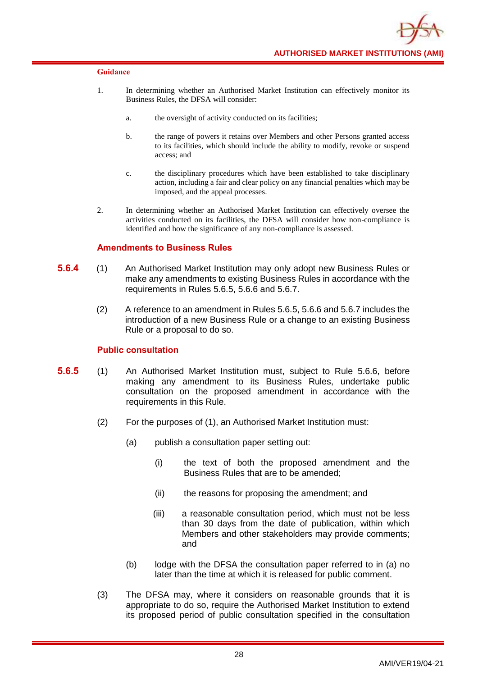

- 1. In determining whether an Authorised Market Institution can effectively monitor its Business Rules, the DFSA will consider:
	- a. the oversight of activity conducted on its facilities;
	- b. the range of powers it retains over Members and other Persons granted access to its facilities, which should include the ability to modify, revoke or suspend access; and
	- c. the disciplinary procedures which have been established to take disciplinary action, including a fair and clear policy on any financial penalties which may be imposed, and the appeal processes.
- 2. In determining whether an Authorised Market Institution can effectively oversee the activities conducted on its facilities, the DFSA will consider how non-compliance is identified and how the significance of any non-compliance is assessed.

# **Amendments to Business Rules**

- **5.6.4** (1) An Authorised Market Institution may only adopt new Business Rules or make any amendments to existing Business Rules in accordance with the requirements in Rules 5.6.5, 5.6.6 and 5.6.7.
	- (2) A reference to an amendment in Rules 5.6.5, 5.6.6 and 5.6.7 includes the introduction of a new Business Rule or a change to an existing Business Rule or a proposal to do so.

# **Public consultation**

- **5.6.5** (1) An Authorised Market Institution must, subject to Rule 5.6.6, before making any amendment to its Business Rules, undertake public consultation on the proposed amendment in accordance with the requirements in this Rule.
	- (2) For the purposes of (1), an Authorised Market Institution must:
		- (a) publish a consultation paper setting out:
			- (i) the text of both the proposed amendment and the Business Rules that are to be amended;
			- (ii) the reasons for proposing the amendment; and
			- (iii) a reasonable consultation period, which must not be less than 30 days from the date of publication, within which Members and other stakeholders may provide comments; and
		- (b) lodge with the DFSA the consultation paper referred to in (a) no later than the time at which it is released for public comment.
	- (3) The DFSA may, where it considers on reasonable grounds that it is appropriate to do so, require the Authorised Market Institution to extend its proposed period of public consultation specified in the consultation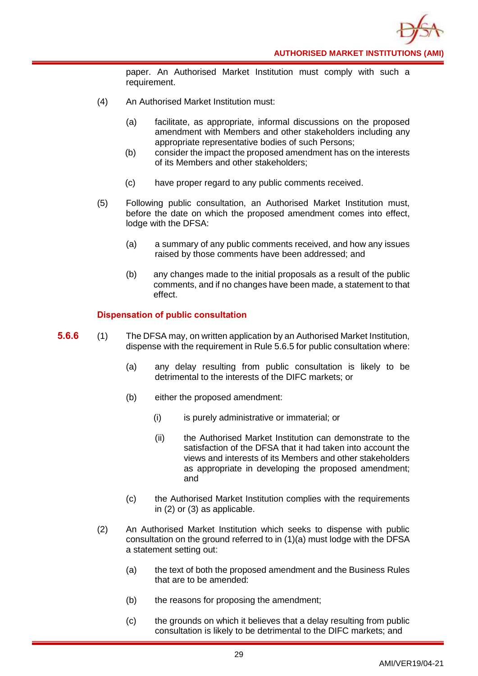paper. An Authorised Market Institution must comply with such a requirement.

- (4) An Authorised Market Institution must:
	- (a) facilitate, as appropriate, informal discussions on the proposed amendment with Members and other stakeholders including any appropriate representative bodies of such Persons;
	- (b) consider the impact the proposed amendment has on the interests of its Members and other stakeholders;
	- (c) have proper regard to any public comments received.
- (5) Following public consultation, an Authorised Market Institution must, before the date on which the proposed amendment comes into effect, lodge with the DFSA:
	- (a) a summary of any public comments received, and how any issues raised by those comments have been addressed; and
	- (b) any changes made to the initial proposals as a result of the public comments, and if no changes have been made, a statement to that effect.

# **Dispensation of public consultation**

- **5.6.6** (1) The DFSA may, on written application by an Authorised Market Institution, dispense with the requirement in Rule 5.6.5 for public consultation where:
	- (a) any delay resulting from public consultation is likely to be detrimental to the interests of the DIFC markets; or
	- (b) either the proposed amendment:
		- (i) is purely administrative or immaterial; or
		- (ii) the Authorised Market Institution can demonstrate to the satisfaction of the DFSA that it had taken into account the views and interests of its Members and other stakeholders as appropriate in developing the proposed amendment; and
	- (c) the Authorised Market Institution complies with the requirements in (2) or (3) as applicable.
	- (2) An Authorised Market Institution which seeks to dispense with public consultation on the ground referred to in (1)(a) must lodge with the DFSA a statement setting out:
		- (a) the text of both the proposed amendment and the Business Rules that are to be amended:
		- (b) the reasons for proposing the amendment;
		- (c) the grounds on which it believes that a delay resulting from public consultation is likely to be detrimental to the DIFC markets; and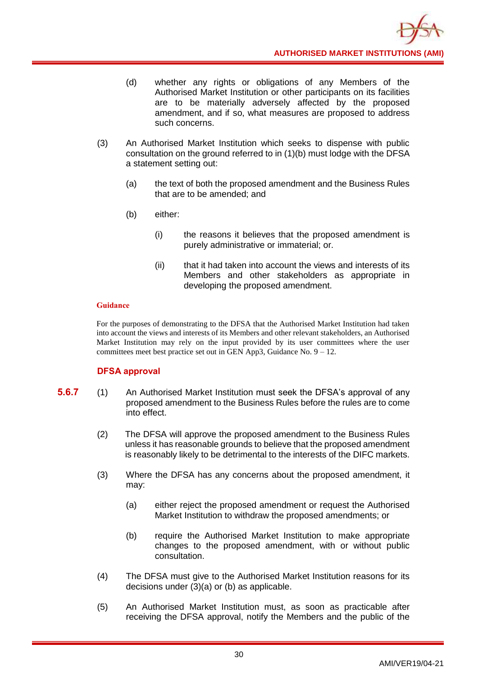- (d) whether any rights or obligations of any Members of the Authorised Market Institution or other participants on its facilities are to be materially adversely affected by the proposed amendment, and if so, what measures are proposed to address such concerns.
- (3) An Authorised Market Institution which seeks to dispense with public consultation on the ground referred to in (1)(b) must lodge with the DFSA a statement setting out:
	- (a) the text of both the proposed amendment and the Business Rules that are to be amended; and
	- (b) either:
		- (i) the reasons it believes that the proposed amendment is purely administrative or immaterial; or.
		- (ii) that it had taken into account the views and interests of its Members and other stakeholders as appropriate in developing the proposed amendment.

For the purposes of demonstrating to the DFSA that the Authorised Market Institution had taken into account the views and interests of its Members and other relevant stakeholders, an Authorised Market Institution may rely on the input provided by its user committees where the user committees meet best practice set out in GEN App3, Guidance No.  $9 - 12$ .

# **DFSA approval**

- **5.6.7** (1) An Authorised Market Institution must seek the DFSA's approval of any proposed amendment to the Business Rules before the rules are to come into effect.
	- (2) The DFSA will approve the proposed amendment to the Business Rules unless it has reasonable grounds to believe that the proposed amendment is reasonably likely to be detrimental to the interests of the DIFC markets.
	- (3) Where the DFSA has any concerns about the proposed amendment, it may:
		- (a) either reject the proposed amendment or request the Authorised Market Institution to withdraw the proposed amendments; or
		- (b) require the Authorised Market Institution to make appropriate changes to the proposed amendment, with or without public consultation.
	- (4) The DFSA must give to the Authorised Market Institution reasons for its decisions under (3)(a) or (b) as applicable.
	- (5) An Authorised Market Institution must, as soon as practicable after receiving the DFSA approval, notify the Members and the public of the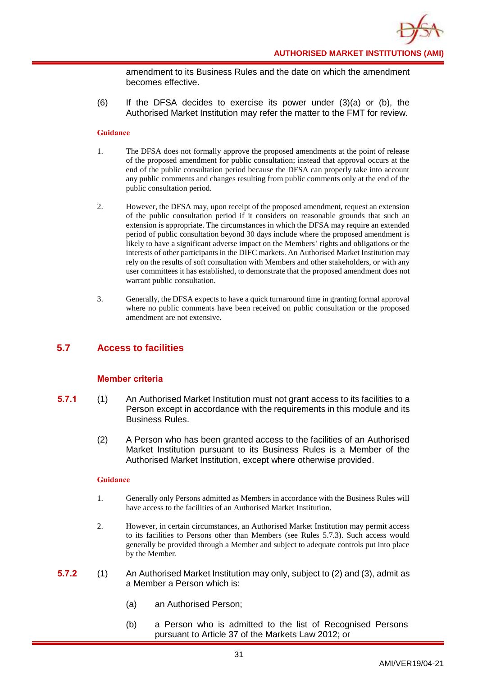amendment to its Business Rules and the date on which the amendment becomes effective.

(6) If the DFSA decides to exercise its power under (3)(a) or (b), the Authorised Market Institution may refer the matter to the FMT for review.

#### **Guidance**

- 1. The DFSA does not formally approve the proposed amendments at the point of release of the proposed amendment for public consultation; instead that approval occurs at the end of the public consultation period because the DFSA can properly take into account any public comments and changes resulting from public comments only at the end of the public consultation period.
- 2. However, the DFSA may, upon receipt of the proposed amendment, request an extension of the public consultation period if it considers on reasonable grounds that such an extension is appropriate. The circumstances in which the DFSA may require an extended period of public consultation beyond 30 days include where the proposed amendment is likely to have a significant adverse impact on the Members' rights and obligations or the interests of other participants in the DIFC markets. An Authorised Market Institution may rely on the results of soft consultation with Members and other stakeholders, or with any user committees it has established, to demonstrate that the proposed amendment does not warrant public consultation.
- 3. Generally, the DFSA expects to have a quick turnaround time in granting formal approval where no public comments have been received on public consultation or the proposed amendment are not extensive.

# <span id="page-34-0"></span>**5.7 Access to facilities**

# **Member criteria**

- **5.7.1** (1) An Authorised Market Institution must not grant access to its facilities to a Person except in accordance with the requirements in this module and its Business Rules.
	- (2) A Person who has been granted access to the facilities of an Authorised Market Institution pursuant to its Business Rules is a Member of the Authorised Market Institution, except where otherwise provided.

- 1. Generally only Persons admitted as Members in accordance with the Business Rules will have access to the facilities of an Authorised Market Institution.
- 2. However, in certain circumstances, an Authorised Market Institution may permit access to its facilities to Persons other than Members (see Rules 5.7.3). Such access would generally be provided through a Member and subject to adequate controls put into place by the Member.
- **5.7.2** (1) An Authorised Market Institution may only, subject to (2) and (3), admit as a Member a Person which is:
	- (a) an Authorised Person;
	- (b) a Person who is admitted to the list of Recognised Persons pursuant to Article 37 of the Markets Law 2012; or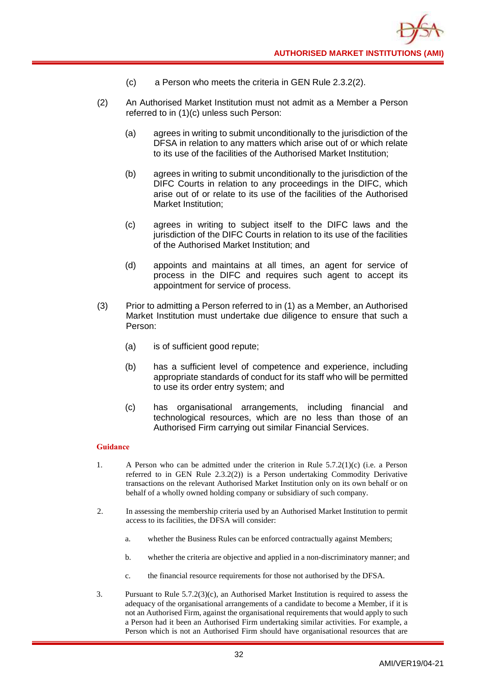

- (c) a Person who meets the criteria in GEN Rule 2.3.2(2).
- (2) An Authorised Market Institution must not admit as a Member a Person referred to in (1)(c) unless such Person:
	- (a) agrees in writing to submit unconditionally to the jurisdiction of the DFSA in relation to any matters which arise out of or which relate to its use of the facilities of the Authorised Market Institution;
	- (b) agrees in writing to submit unconditionally to the jurisdiction of the DIFC Courts in relation to any proceedings in the DIFC, which arise out of or relate to its use of the facilities of the Authorised Market Institution;
	- (c) agrees in writing to subject itself to the DIFC laws and the jurisdiction of the DIFC Courts in relation to its use of the facilities of the Authorised Market Institution; and
	- (d) appoints and maintains at all times, an agent for service of process in the DIFC and requires such agent to accept its appointment for service of process.
- (3) Prior to admitting a Person referred to in (1) as a Member, an Authorised Market Institution must undertake due diligence to ensure that such a Person:
	- (a) is of sufficient good repute;
	- (b) has a sufficient level of competence and experience, including appropriate standards of conduct for its staff who will be permitted to use its order entry system; and
	- (c) has organisational arrangements, including financial and technological resources, which are no less than those of an Authorised Firm carrying out similar Financial Services.

- 1. A Person who can be admitted under the criterion in Rule 5.7.2(1)(c) (i.e. a Person referred to in GEN Rule 2.3.2(2)) is a Person undertaking Commodity Derivative transactions on the relevant Authorised Market Institution only on its own behalf or on behalf of a wholly owned holding company or subsidiary of such company.
- 2. In assessing the membership criteria used by an Authorised Market Institution to permit access to its facilities, the DFSA will consider:
	- a. whether the Business Rules can be enforced contractually against Members;
	- b. whether the criteria are objective and applied in a non-discriminatory manner; and
	- c. the financial resource requirements for those not authorised by the DFSA.
- 3. Pursuant to Rule 5.7.2(3)(c), an Authorised Market Institution is required to assess the adequacy of the organisational arrangements of a candidate to become a Member, if it is not an Authorised Firm, against the organisational requirements that would apply to such a Person had it been an Authorised Firm undertaking similar activities. For example, a Person which is not an Authorised Firm should have organisational resources that are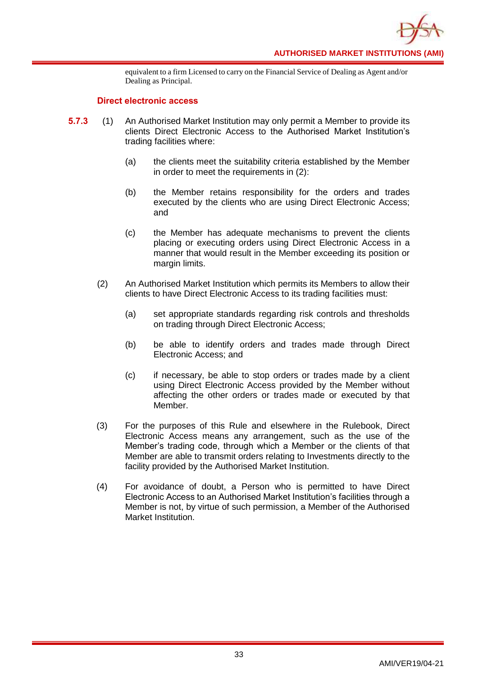

equivalent to a firm Licensed to carry on the Financial Service of Dealing as Agent and/or Dealing as Principal.

## **Direct electronic access**

- **5.7.3** (1) An Authorised Market Institution may only permit a Member to provide its clients Direct Electronic Access to the Authorised Market Institution's trading facilities where:
	- (a) the clients meet the suitability criteria established by the Member in order to meet the requirements in (2):
	- (b) the Member retains responsibility for the orders and trades executed by the clients who are using Direct Electronic Access; and
	- (c) the Member has adequate mechanisms to prevent the clients placing or executing orders using Direct Electronic Access in a manner that would result in the Member exceeding its position or margin limits.
	- (2) An Authorised Market Institution which permits its Members to allow their clients to have Direct Electronic Access to its trading facilities must:
		- (a) set appropriate standards regarding risk controls and thresholds on trading through Direct Electronic Access;
		- (b) be able to identify orders and trades made through Direct Electronic Access; and
		- (c) if necessary, be able to stop orders or trades made by a client using Direct Electronic Access provided by the Member without affecting the other orders or trades made or executed by that Member.
	- (3) For the purposes of this Rule and elsewhere in the Rulebook, Direct Electronic Access means any arrangement, such as the use of the Member's trading code, through which a Member or the clients of that Member are able to transmit orders relating to Investments directly to the facility provided by the Authorised Market Institution.
	- (4) For avoidance of doubt, a Person who is permitted to have Direct Electronic Access to an Authorised Market Institution's facilities through a Member is not, by virtue of such permission, a Member of the Authorised Market Institution.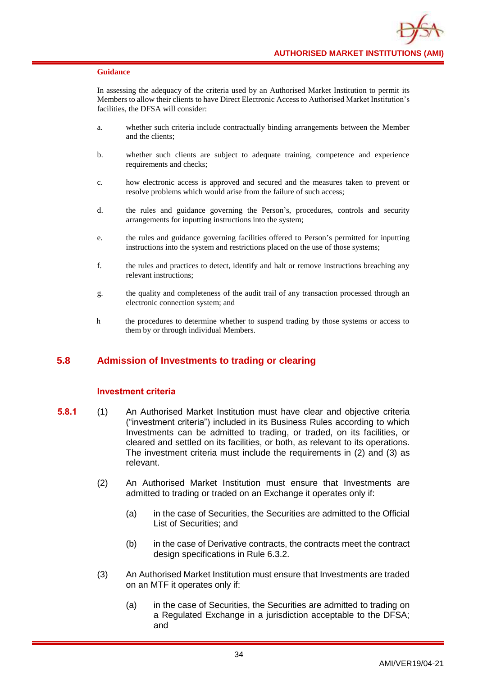In assessing the adequacy of the criteria used by an Authorised Market Institution to permit its Members to allow their clients to have Direct Electronic Access to Authorised Market Institution's facilities, the DFSA will consider:

- a. whether such criteria include contractually binding arrangements between the Member and the clients;
- b. whether such clients are subject to adequate training, competence and experience requirements and checks;
- c. how electronic access is approved and secured and the measures taken to prevent or resolve problems which would arise from the failure of such access;
- d. the rules and guidance governing the Person's, procedures, controls and security arrangements for inputting instructions into the system;
- e. the rules and guidance governing facilities offered to Person's permitted for inputting instructions into the system and restrictions placed on the use of those systems;
- f. the rules and practices to detect, identify and halt or remove instructions breaching any relevant instructions;
- g. the quality and completeness of the audit trail of any transaction processed through an electronic connection system; and
- h the procedures to determine whether to suspend trading by those systems or access to them by or through individual Members.

# **5.8 Admission of Investments to trading or clearing**

## **Investment criteria**

- **5.8.1** (1) An Authorised Market Institution must have clear and objective criteria ("investment criteria") included in its Business Rules according to which Investments can be admitted to trading, or traded, on its facilities, or cleared and settled on its facilities, or both, as relevant to its operations. The investment criteria must include the requirements in (2) and (3) as relevant.
	- (2) An Authorised Market Institution must ensure that Investments are admitted to trading or traded on an Exchange it operates only if:
		- (a) in the case of Securities, the Securities are admitted to the Official List of Securities; and
		- (b) in the case of Derivative contracts, the contracts meet the contract design specifications in Rule 6.3.2.
	- (3) An Authorised Market Institution must ensure that Investments are traded on an MTF it operates only if:
		- (a) in the case of Securities, the Securities are admitted to trading on a Regulated Exchange in a jurisdiction acceptable to the DFSA; and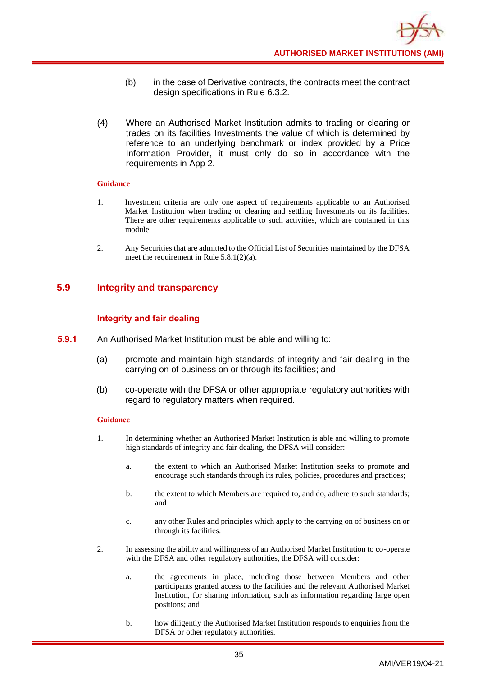- (b) in the case of Derivative contracts, the contracts meet the contract design specifications in Rule 6.3.2.
- (4) Where an Authorised Market Institution admits to trading or clearing or trades on its facilities Investments the value of which is determined by reference to an underlying benchmark or index provided by a Price Information Provider, it must only do so in accordance with the requirements in App 2.

- 1. Investment criteria are only one aspect of requirements applicable to an Authorised Market Institution when trading or clearing and settling Investments on its facilities. There are other requirements applicable to such activities, which are contained in this module.
- 2. Any Securities that are admitted to the Official List of Securities maintained by the DFSA meet the requirement in Rule 5.8.1(2)(a).

# **5.9 Integrity and transparency**

# **Integrity and fair dealing**

- **5.9.1** An Authorised Market Institution must be able and willing to:
	- (a) promote and maintain high standards of integrity and fair dealing in the carrying on of business on or through its facilities; and
	- (b) co-operate with the DFSA or other appropriate regulatory authorities with regard to regulatory matters when required.

- 1. In determining whether an Authorised Market Institution is able and willing to promote high standards of integrity and fair dealing, the DFSA will consider:
	- a. the extent to which an Authorised Market Institution seeks to promote and encourage such standards through its rules, policies, procedures and practices;
	- b. the extent to which Members are required to, and do, adhere to such standards; and
	- c. any other Rules and principles which apply to the carrying on of business on or through its facilities.
- 2. In assessing the ability and willingness of an Authorised Market Institution to co-operate with the DFSA and other regulatory authorities, the DFSA will consider:
	- a. the agreements in place, including those between Members and other participants granted access to the facilities and the relevant Authorised Market Institution, for sharing information, such as information regarding large open positions; and
	- b. how diligently the Authorised Market Institution responds to enquiries from the DFSA or other regulatory authorities.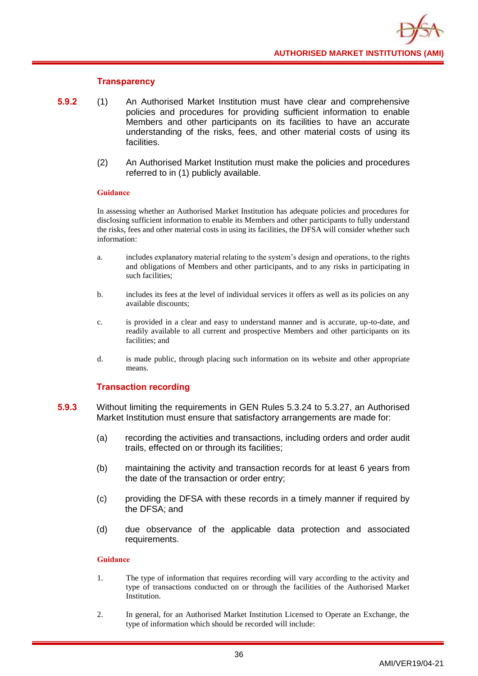## **Transparency**

- **5.9.2** (1) An Authorised Market Institution must have clear and comprehensive policies and procedures for providing sufficient information to enable Members and other participants on its facilities to have an accurate understanding of the risks, fees, and other material costs of using its facilities.
	- (2) An Authorised Market Institution must make the policies and procedures referred to in (1) publicly available.

### **Guidance**

In assessing whether an Authorised Market Institution has adequate policies and procedures for disclosing sufficient information to enable its Members and other participants to fully understand the risks, fees and other material costs in using its facilities, the DFSA will consider whether such information:

- a. includes explanatory material relating to the system's design and operations, to the rights and obligations of Members and other participants, and to any risks in participating in such facilities;
- b. includes its fees at the level of individual services it offers as well as its policies on any available discounts;
- c. is provided in a clear and easy to understand manner and is accurate, up-to-date, and readily available to all current and prospective Members and other participants on its facilities; and
- d. is made public, through placing such information on its website and other appropriate means.

# **Transaction recording**

- **5.9.3** Without limiting the requirements in GEN Rules 5.3.24 to 5.3.27, an Authorised Market Institution must ensure that satisfactory arrangements are made for:
	- (a) recording the activities and transactions, including orders and order audit trails, effected on or through its facilities;
	- (b) maintaining the activity and transaction records for at least 6 years from the date of the transaction or order entry;
	- (c) providing the DFSA with these records in a timely manner if required by the DFSA; and
	- (d) due observance of the applicable data protection and associated requirements.

- 1. The type of information that requires recording will vary according to the activity and type of transactions conducted on or through the facilities of the Authorised Market Institution.
- 2. In general, for an Authorised Market Institution Licensed to Operate an Exchange, the type of information which should be recorded will include: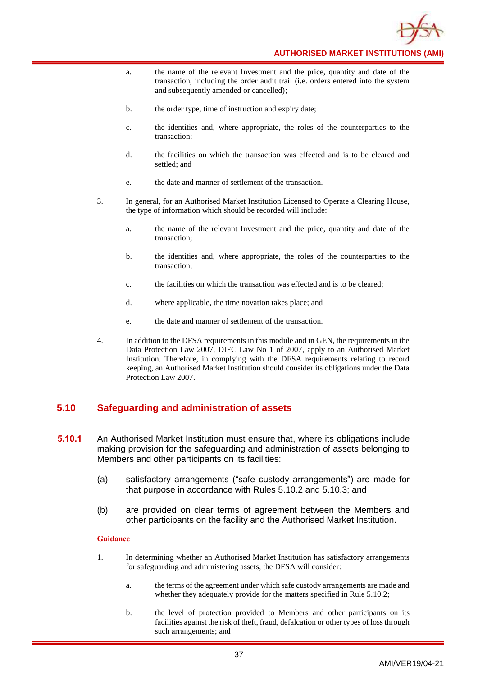

- a. the name of the relevant Investment and the price, quantity and date of the transaction, including the order audit trail (i.e. orders entered into the system and subsequently amended or cancelled);
- b. the order type, time of instruction and expiry date;
- c. the identities and, where appropriate, the roles of the counterparties to the transaction;
- d. the facilities on which the transaction was effected and is to be cleared and settled; and
- e. the date and manner of settlement of the transaction.
- 3. In general, for an Authorised Market Institution Licensed to Operate a Clearing House, the type of information which should be recorded will include:
	- a. the name of the relevant Investment and the price, quantity and date of the transaction;
	- b. the identities and, where appropriate, the roles of the counterparties to the transaction;
	- c. the facilities on which the transaction was effected and is to be cleared;
	- d. where applicable, the time novation takes place; and
	- e. the date and manner of settlement of the transaction.
- 4. In addition to the DFSA requirements in this module and in GEN, the requirements in the Data Protection Law 2007, DIFC Law No 1 of 2007, apply to an Authorised Market Institution. Therefore, in complying with the DFSA requirements relating to record keeping, an Authorised Market Institution should consider its obligations under the Data Protection Law 2007.

# **5.10 Safeguarding and administration of assets**

- **5.10.1** An Authorised Market Institution must ensure that, where its obligations include making provision for the safeguarding and administration of assets belonging to Members and other participants on its facilities:
	- (a) satisfactory arrangements ("safe custody arrangements") are made for that purpose in accordance with Rules 5.10.2 and 5.10.3; and
	- (b) are provided on clear terms of agreement between the Members and other participants on the facility and the Authorised Market Institution.

- 1. In determining whether an Authorised Market Institution has satisfactory arrangements for safeguarding and administering assets, the DFSA will consider:
	- a. the terms of the agreement under which safe custody arrangements are made and whether they adequately provide for the matters specified in Rule 5.10.2;
	- b. the level of protection provided to Members and other participants on its facilities against the risk of theft, fraud, defalcation or other types of loss through such arrangements; and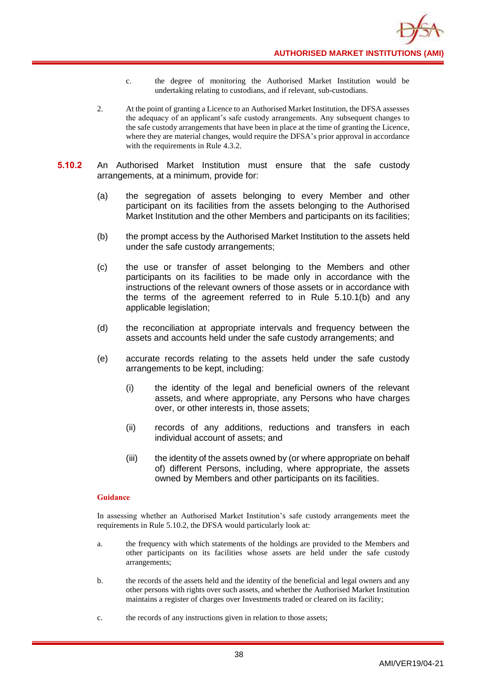**AUTHORISED MARKET INSTITUTIONS (AMI)**

- c. the degree of monitoring the Authorised Market Institution would be undertaking relating to custodians, and if relevant, sub-custodians.
- 2. At the point of granting a Licence to an Authorised Market Institution, the DFSA assesses the adequacy of an applicant's safe custody arrangements. Any subsequent changes to the safe custody arrangements that have been in place at the time of granting the Licence, where they are material changes, would require the DFSA's prior approval in accordance with the requirements in Rule 4.3.2.
- **5.10.2** An Authorised Market Institution must ensure that the safe custody arrangements, at a minimum, provide for:
	- (a) the segregation of assets belonging to every Member and other participant on its facilities from the assets belonging to the Authorised Market Institution and the other Members and participants on its facilities;
	- (b) the prompt access by the Authorised Market Institution to the assets held under the safe custody arrangements;
	- (c) the use or transfer of asset belonging to the Members and other participants on its facilities to be made only in accordance with the instructions of the relevant owners of those assets or in accordance with the terms of the agreement referred to in Rule 5.10.1(b) and any applicable legislation;
	- (d) the reconciliation at appropriate intervals and frequency between the assets and accounts held under the safe custody arrangements; and
	- (e) accurate records relating to the assets held under the safe custody arrangements to be kept, including:
		- (i) the identity of the legal and beneficial owners of the relevant assets, and where appropriate, any Persons who have charges over, or other interests in, those assets;
		- (ii) records of any additions, reductions and transfers in each individual account of assets; and
		- (iii) the identity of the assets owned by (or where appropriate on behalf of) different Persons, including, where appropriate, the assets owned by Members and other participants on its facilities.

### **Guidance**

In assessing whether an Authorised Market Institution's safe custody arrangements meet the requirements in Rule 5.10.2, the DFSA would particularly look at:

- a. the frequency with which statements of the holdings are provided to the Members and other participants on its facilities whose assets are held under the safe custody arrangements;
- b. the records of the assets held and the identity of the beneficial and legal owners and any other persons with rights over such assets, and whether the Authorised Market Institution maintains a register of charges over Investments traded or cleared on its facility;
- c. the records of any instructions given in relation to those assets;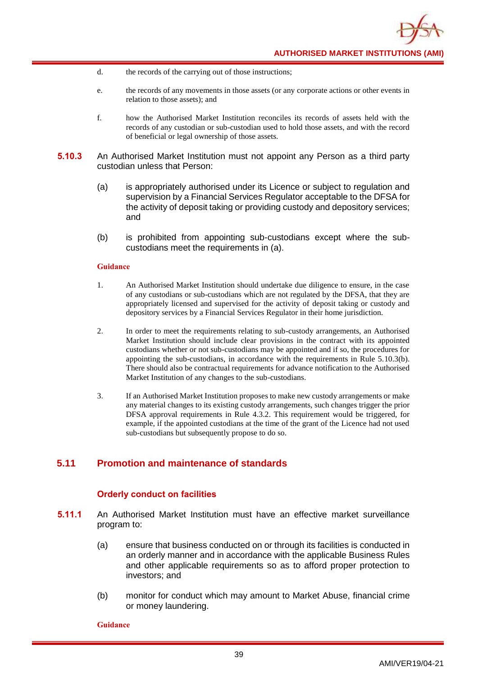- d. the records of the carrying out of those instructions;
- e. the records of any movements in those assets (or any corporate actions or other events in relation to those assets); and
- f. how the Authorised Market Institution reconciles its records of assets held with the records of any custodian or sub-custodian used to hold those assets, and with the record of beneficial or legal ownership of those assets.
- **5.10.3** An Authorised Market Institution must not appoint any Person as a third party custodian unless that Person:
	- (a) is appropriately authorised under its Licence or subject to regulation and supervision by a Financial Services Regulator acceptable to the DFSA for the activity of deposit taking or providing custody and depository services; and
	- (b) is prohibited from appointing sub-custodians except where the subcustodians meet the requirements in (a).

- 1. An Authorised Market Institution should undertake due diligence to ensure, in the case of any custodians or sub-custodians which are not regulated by the DFSA, that they are appropriately licensed and supervised for the activity of deposit taking or custody and depository services by a Financial Services Regulator in their home jurisdiction.
- 2. In order to meet the requirements relating to sub-custody arrangements, an Authorised Market Institution should include clear provisions in the contract with its appointed custodians whether or not sub-custodians may be appointed and if so, the procedures for appointing the sub-custodians, in accordance with the requirements in Rule 5.10.3(b). There should also be contractual requirements for advance notification to the Authorised Market Institution of any changes to the sub-custodians.
- 3. If an Authorised Market Institution proposes to make new custody arrangements or make any material changes to its existing custody arrangements, such changes trigger the prior DFSA approval requirements in Rule 4.3.2. This requirement would be triggered, for example, if the appointed custodians at the time of the grant of the Licence had not used sub-custodians but subsequently propose to do so.

# **5.11 Promotion and maintenance of standards**

## **Orderly conduct on facilities**

- **5.11.1** An Authorised Market Institution must have an effective market surveillance program to:
	- (a) ensure that business conducted on or through its facilities is conducted in an orderly manner and in accordance with the applicable Business Rules and other applicable requirements so as to afford proper protection to investors; and
	- (b) monitor for conduct which may amount to Market Abuse, financial crime or money laundering.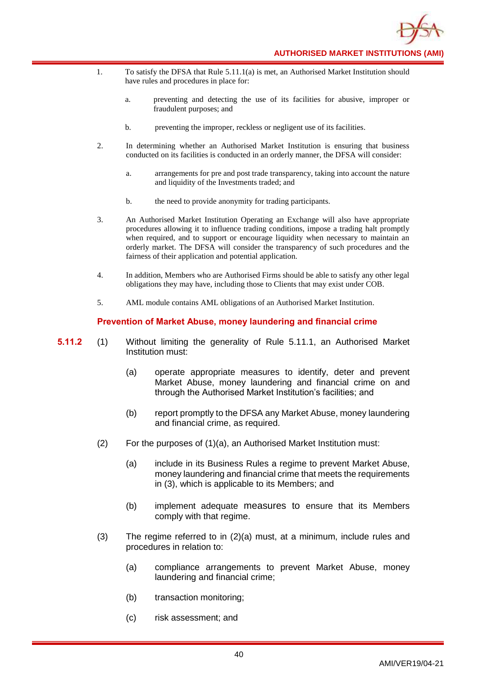

- 1. To satisfy the DFSA that Rule 5.11.1(a) is met, an Authorised Market Institution should have rules and procedures in place for:
	- a. preventing and detecting the use of its facilities for abusive, improper or fraudulent purposes; and
	- b. preventing the improper, reckless or negligent use of its facilities.
- 2. In determining whether an Authorised Market Institution is ensuring that business conducted on its facilities is conducted in an orderly manner, the DFSA will consider:
	- a. arrangements for pre and post trade transparency, taking into account the nature and liquidity of the Investments traded; and
	- b. the need to provide anonymity for trading participants.
- 3. An Authorised Market Institution Operating an Exchange will also have appropriate procedures allowing it to influence trading conditions, impose a trading halt promptly when required, and to support or encourage liquidity when necessary to maintain an orderly market. The DFSA will consider the transparency of such procedures and the fairness of their application and potential application.
- 4. In addition, Members who are Authorised Firms should be able to satisfy any other legal obligations they may have, including those to Clients that may exist under COB.
- 5. AML module contains AML obligations of an Authorised Market Institution.

## **Prevention of Market Abuse, money laundering and financial crime**

- **5.11.2** (1) Without limiting the generality of Rule 5.11.1, an Authorised Market Institution must:
	- (a) operate appropriate measures to identify, deter and prevent Market Abuse, money laundering and financial crime on and through the Authorised Market Institution's facilities; and
	- (b) report promptly to the DFSA any Market Abuse, money laundering and financial crime, as required.
	- (2) For the purposes of (1)(a), an Authorised Market Institution must:
		- (a) include in its Business Rules a regime to prevent Market Abuse, money laundering and financial crime that meets the requirements in (3), which is applicable to its Members; and
		- (b) implement adequate measures to ensure that its Members comply with that regime.
	- (3) The regime referred to in (2)(a) must, at a minimum, include rules and procedures in relation to:
		- (a) compliance arrangements to prevent Market Abuse, money laundering and financial crime;
		- (b) transaction monitoring;
		- (c) risk assessment; and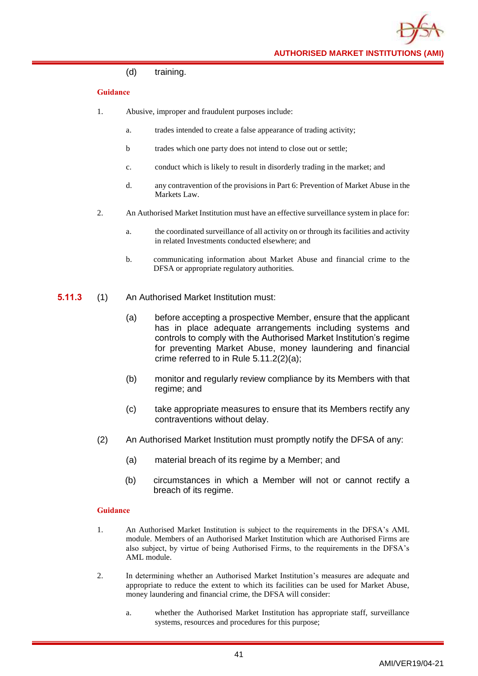(d) training.

## **Guidance**

- 1. Abusive, improper and fraudulent purposes include:
	- a. trades intended to create a false appearance of trading activity;
	- b trades which one party does not intend to close out or settle;
	- c. conduct which is likely to result in disorderly trading in the market; and
	- d. any contravention of the provisions in Part 6: Prevention of Market Abuse in the Markets Law.
- 2. An Authorised Market Institution must have an effective surveillance system in place for:
	- a. the coordinated surveillance of all activity on or through its facilities and activity in related Investments conducted elsewhere; and
	- b. communicating information about Market Abuse and financial crime to the DFSA or appropriate regulatory authorities.
- **5.11.3** (1) An Authorised Market Institution must:
	- (a) before accepting a prospective Member, ensure that the applicant has in place adequate arrangements including systems and controls to comply with the Authorised Market Institution's regime for preventing Market Abuse, money laundering and financial crime referred to in Rule 5.11.2(2)(a);
	- (b) monitor and regularly review compliance by its Members with that regime; and
	- (c) take appropriate measures to ensure that its Members rectify any contraventions without delay.
	- (2) An Authorised Market Institution must promptly notify the DFSA of any:
		- (a) material breach of its regime by a Member; and
		- (b) circumstances in which a Member will not or cannot rectify a breach of its regime.

- 1. An Authorised Market Institution is subject to the requirements in the DFSA's AML module. Members of an Authorised Market Institution which are Authorised Firms are also subject, by virtue of being Authorised Firms, to the requirements in the DFSA's AML module.
- 2. In determining whether an Authorised Market Institution's measures are adequate and appropriate to reduce the extent to which its facilities can be used for Market Abuse, money laundering and financial crime, the DFSA will consider:
	- a. whether the Authorised Market Institution has appropriate staff, surveillance systems, resources and procedures for this purpose;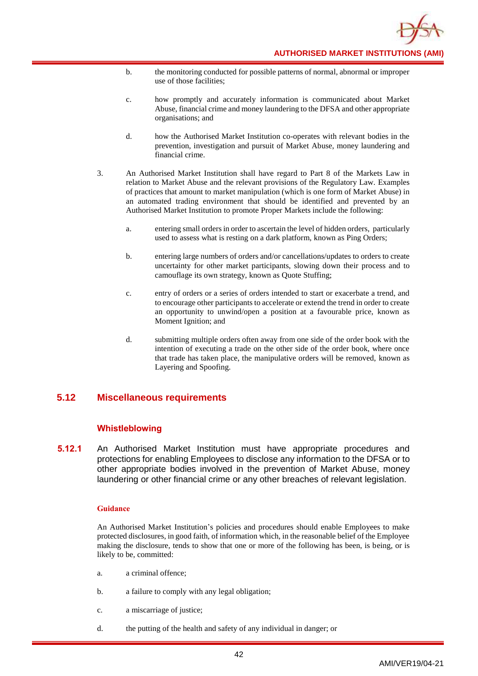

- b. the monitoring conducted for possible patterns of normal, abnormal or improper use of those facilities;
- c. how promptly and accurately information is communicated about Market Abuse, financial crime and money laundering to the DFSA and other appropriate organisations; and
- d. how the Authorised Market Institution co-operates with relevant bodies in the prevention, investigation and pursuit of Market Abuse, money laundering and financial crime.
- 3. An Authorised Market Institution shall have regard to Part 8 of the Markets Law in relation to Market Abuse and the relevant provisions of the Regulatory Law. Examples of practices that amount to market manipulation (which is one form of Market Abuse) in an automated trading environment that should be identified and prevented by an Authorised Market Institution to promote Proper Markets include the following:
	- a. entering small orders in order to ascertain the level of hidden orders, particularly used to assess what is resting on a dark platform, known as Ping Orders;
	- b. entering large numbers of orders and/or cancellations/updates to orders to create uncertainty for other market participants, slowing down their process and to camouflage its own strategy, known as Quote Stuffing;
	- c. entry of orders or a series of orders intended to start or exacerbate a trend, and to encourage other participants to accelerate or extend the trend in order to create an opportunity to unwind/open a position at a favourable price, known as Moment Ignition; and
	- d. submitting multiple orders often away from one side of the order book with the intention of executing a trade on the other side of the order book, where once that trade has taken place, the manipulative orders will be removed, known as Layering and Spoofing.

# **5.12 Miscellaneous requirements**

## **Whistleblowing**

**5.12.1** An Authorised Market Institution must have appropriate procedures and protections for enabling Employees to disclose any information to the DFSA or to other appropriate bodies involved in the prevention of Market Abuse, money laundering or other financial crime or any other breaches of relevant legislation.

### **Guidance**

An Authorised Market Institution's policies and procedures should enable Employees to make protected disclosures, in good faith, of information which, in the reasonable belief of the Employee making the disclosure, tends to show that one or more of the following has been, is being, or is likely to be, committed:

- a. a criminal offence;
- b. a failure to comply with any legal obligation;
- c. a miscarriage of justice;
- d. the putting of the health and safety of any individual in danger; or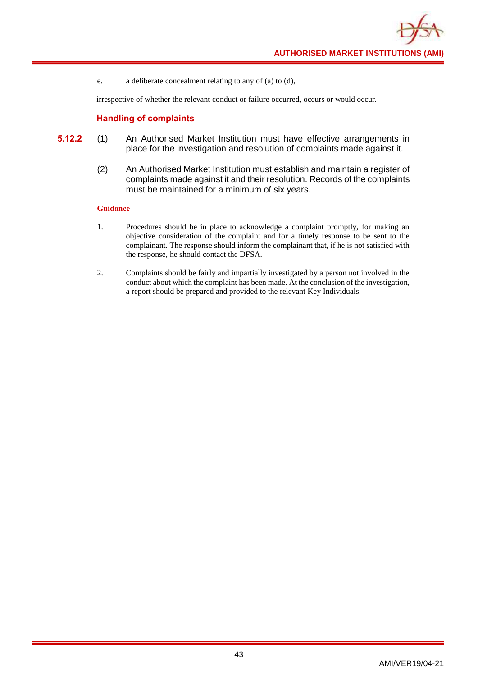e. a deliberate concealment relating to any of (a) to (d),

irrespective of whether the relevant conduct or failure occurred, occurs or would occur.

## **Handling of complaints**

- **5.12.2** (1) An Authorised Market Institution must have effective arrangements in place for the investigation and resolution of complaints made against it.
	- (2) An Authorised Market Institution must establish and maintain a register of complaints made against it and their resolution. Records of the complaints must be maintained for a minimum of six years.

- 1. Procedures should be in place to acknowledge a complaint promptly, for making an objective consideration of the complaint and for a timely response to be sent to the complainant. The response should inform the complainant that, if he is not satisfied with the response, he should contact the DFSA.
- 2. Complaints should be fairly and impartially investigated by a person not involved in the conduct about which the complaint has been made. At the conclusion of the investigation, a report should be prepared and provided to the relevant Key Individuals.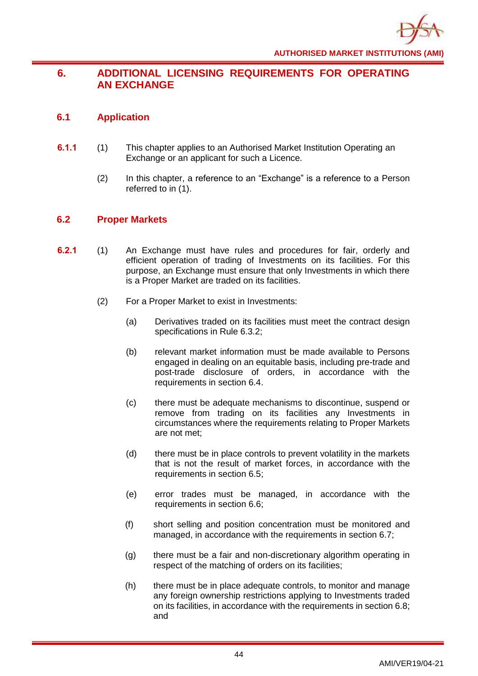# **6. ADDITIONAL LICENSING REQUIREMENTS FOR OPERATING AN EXCHANGE**

# **6.1 Application**

- **6.1.1** (1) This chapter applies to an Authorised Market Institution Operating an Exchange or an applicant for such a Licence.
	- (2) In this chapter, a reference to an "Exchange" is a reference to a Person referred to in (1).

# **6.2 Proper Markets**

- **6.2.1** (1) An Exchange must have rules and procedures for fair, orderly and efficient operation of trading of Investments on its facilities. For this purpose, an Exchange must ensure that only Investments in which there is a Proper Market are traded on its facilities.
	- (2) For a Proper Market to exist in Investments:
		- (a) Derivatives traded on its facilities must meet the contract design specifications in Rule 6.3.2;
		- (b) relevant market information must be made available to Persons engaged in dealing on an equitable basis, including pre-trade and post-trade disclosure of orders, in accordance with the requirements in section 6.4.
		- (c) there must be adequate mechanisms to discontinue, suspend or remove from trading on its facilities any Investments in circumstances where the requirements relating to Proper Markets are not met;
		- (d) there must be in place controls to prevent volatility in the markets that is not the result of market forces, in accordance with the requirements in section 6.5;
		- (e) error trades must be managed, in accordance with the requirements in section 6.6;
		- (f) short selling and position concentration must be monitored and managed, in accordance with the requirements in section 6.7;
		- (g) there must be a fair and non-discretionary algorithm operating in respect of the matching of orders on its facilities;
		- (h) there must be in place adequate controls, to monitor and manage any foreign ownership restrictions applying to Investments traded on its facilities, in accordance with the requirements in section 6.8; and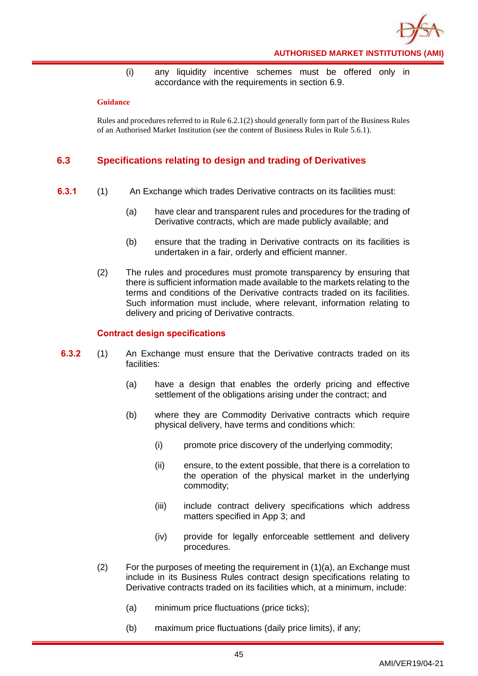

(i) any liquidity incentive schemes must be offered only in accordance with the requirements in section 6.9.

### **Guidance**

Rules and procedures referred to in Rule 6.2.1(2) should generally form part of the Business Rules of an Authorised Market Institution (see the content of Business Rules in Rule 5.6.1).

# **6.3 Specifications relating to design and trading of Derivatives**

- **6.3.1** (1) An Exchange which trades Derivative contracts on its facilities must:
	- (a) have clear and transparent rules and procedures for the trading of Derivative contracts, which are made publicly available; and
	- (b) ensure that the trading in Derivative contracts on its facilities is undertaken in a fair, orderly and efficient manner.
	- (2) The rules and procedures must promote transparency by ensuring that there is sufficient information made available to the markets relating to the terms and conditions of the Derivative contracts traded on its facilities. Such information must include, where relevant, information relating to delivery and pricing of Derivative contracts.

## **Contract design specifications**

- **6.3.2** (1) An Exchange must ensure that the Derivative contracts traded on its facilities:
	- (a) have a design that enables the orderly pricing and effective settlement of the obligations arising under the contract; and
	- (b) where they are Commodity Derivative contracts which require physical delivery, have terms and conditions which:
		- (i) promote price discovery of the underlying commodity;
		- (ii) ensure, to the extent possible, that there is a correlation to the operation of the physical market in the underlying commodity;
		- (iii) include contract delivery specifications which address matters specified in App 3; and
		- (iv) provide for legally enforceable settlement and delivery procedures.
	- (2) For the purposes of meeting the requirement in  $(1)(a)$ , an Exchange must include in its Business Rules contract design specifications relating to Derivative contracts traded on its facilities which, at a minimum, include:
		- (a) minimum price fluctuations (price ticks);
		- (b) maximum price fluctuations (daily price limits), if any;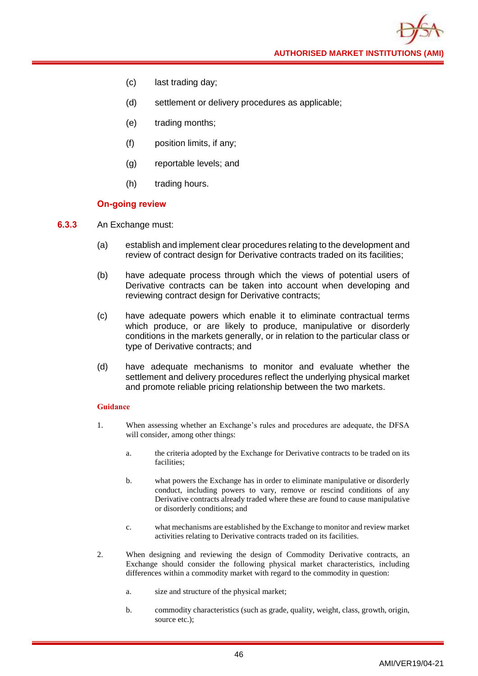**AUTHORISED MARKET INSTITUTIONS (AMI)**

- (c) last trading day;
- (d) settlement or delivery procedures as applicable;
- (e) trading months;
- (f) position limits, if any;
- (g) reportable levels; and
- (h) trading hours.

## **On-going review**

- **6.3.3** An Exchange must:
	- (a) establish and implement clear procedures relating to the development and review of contract design for Derivative contracts traded on its facilities;
	- (b) have adequate process through which the views of potential users of Derivative contracts can be taken into account when developing and reviewing contract design for Derivative contracts;
	- (c) have adequate powers which enable it to eliminate contractual terms which produce, or are likely to produce, manipulative or disorderly conditions in the markets generally, or in relation to the particular class or type of Derivative contracts; and
	- (d) have adequate mechanisms to monitor and evaluate whether the settlement and delivery procedures reflect the underlying physical market and promote reliable pricing relationship between the two markets.

- 1. When assessing whether an Exchange's rules and procedures are adequate, the DFSA will consider, among other things:
	- a. the criteria adopted by the Exchange for Derivative contracts to be traded on its facilities;
	- b. what powers the Exchange has in order to eliminate manipulative or disorderly conduct, including powers to vary, remove or rescind conditions of any Derivative contracts already traded where these are found to cause manipulative or disorderly conditions; and
	- c. what mechanisms are established by the Exchange to monitor and review market activities relating to Derivative contracts traded on its facilities.
- 2. When designing and reviewing the design of Commodity Derivative contracts, an Exchange should consider the following physical market characteristics, including differences within a commodity market with regard to the commodity in question:
	- a. size and structure of the physical market;
	- b. commodity characteristics (such as grade, quality, weight, class, growth, origin, source etc.);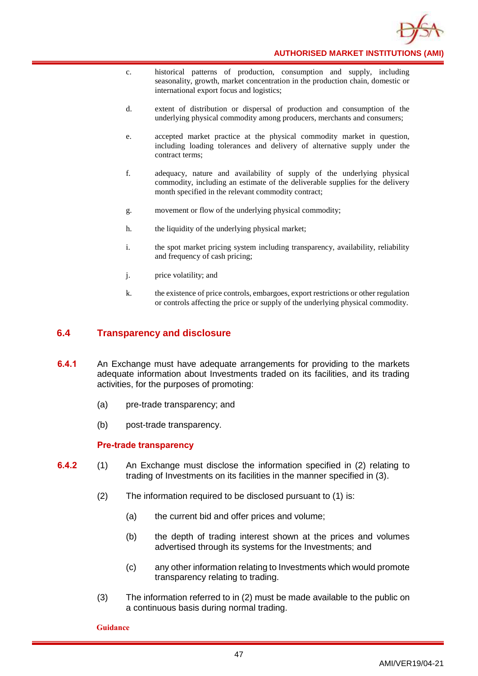

- c. historical patterns of production, consumption and supply, including seasonality, growth, market concentration in the production chain, domestic or international export focus and logistics;
- d. extent of distribution or dispersal of production and consumption of the underlying physical commodity among producers, merchants and consumers;
- e. accepted market practice at the physical commodity market in question, including loading tolerances and delivery of alternative supply under the contract terms;
- f. adequacy, nature and availability of supply of the underlying physical commodity, including an estimate of the deliverable supplies for the delivery month specified in the relevant commodity contract;
- g. movement or flow of the underlying physical commodity;
- h. the liquidity of the underlying physical market;
- i. the spot market pricing system including transparency, availability, reliability and frequency of cash pricing;
- j. price volatility; and
- k. the existence of price controls, embargoes, export restrictions or other regulation or controls affecting the price or supply of the underlying physical commodity.

## **6.4 Transparency and disclosure**

- **6.4.1** An Exchange must have adequate arrangements for providing to the markets adequate information about Investments traded on its facilities, and its trading activities, for the purposes of promoting:
	- (a) pre-trade transparency; and
	- (b) post-trade transparency.

## **Pre-trade transparency**

- **6.4.2** (1) An Exchange must disclose the information specified in (2) relating to trading of Investments on its facilities in the manner specified in (3).
	- (2) The information required to be disclosed pursuant to (1) is:
		- (a) the current bid and offer prices and volume;
		- (b) the depth of trading interest shown at the prices and volumes advertised through its systems for the Investments; and
		- (c) any other information relating to Investments which would promote transparency relating to trading.
	- (3) The information referred to in (2) must be made available to the public on a continuous basis during normal trading.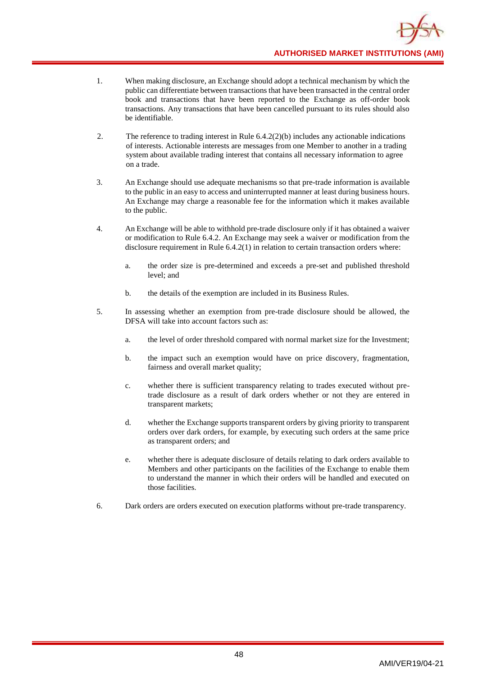- 1. When making disclosure, an Exchange should adopt a technical mechanism by which the public can differentiate between transactions that have been transacted in the central order book and transactions that have been reported to the Exchange as off-order book transactions. Any transactions that have been cancelled pursuant to its rules should also be identifiable.
- 2. The reference to trading interest in Rule 6.4.2(2)(b) includes any actionable indications of interests. Actionable interests are messages from one Member to another in a trading system about available trading interest that contains all necessary information to agree on a trade.
- 3. An Exchange should use adequate mechanisms so that pre-trade information is available to the public in an easy to access and uninterrupted manner at least during business hours. An Exchange may charge a reasonable fee for the information which it makes available to the public.
- 4. An Exchange will be able to withhold pre-trade disclosure only if it has obtained a waiver or modification to Rule 6.4.2. An Exchange may seek a waiver or modification from the disclosure requirement in Rule 6.4.2(1) in relation to certain transaction orders where:
	- a. the order size is pre-determined and exceeds a pre-set and published threshold level; and
	- b. the details of the exemption are included in its Business Rules.
- 5. In assessing whether an exemption from pre-trade disclosure should be allowed, the DFSA will take into account factors such as:
	- a. the level of order threshold compared with normal market size for the Investment;
	- b. the impact such an exemption would have on price discovery, fragmentation, fairness and overall market quality;
	- c. whether there is sufficient transparency relating to trades executed without pretrade disclosure as a result of dark orders whether or not they are entered in transparent markets;
	- d. whether the Exchange supports transparent orders by giving priority to transparent orders over dark orders, for example, by executing such orders at the same price as transparent orders; and
	- e. whether there is adequate disclosure of details relating to dark orders available to Members and other participants on the facilities of the Exchange to enable them to understand the manner in which their orders will be handled and executed on those facilities.
- 6. Dark orders are orders executed on execution platforms without pre-trade transparency.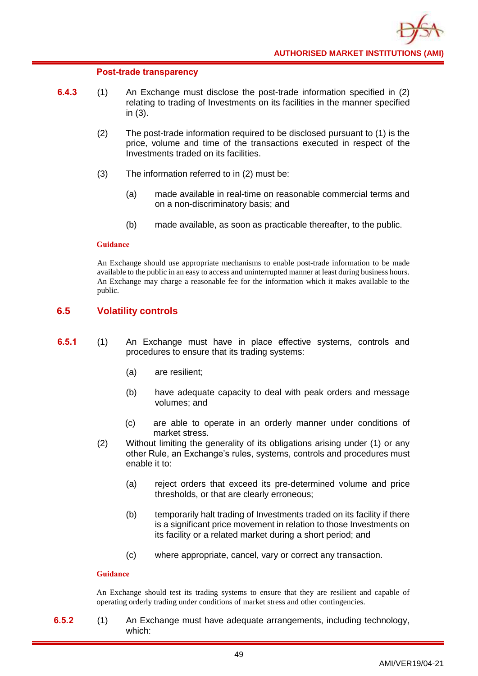### **Post-trade transparency**

- **6.4.3** (1) An Exchange must disclose the post-trade information specified in (2) relating to trading of Investments on its facilities in the manner specified in (3).
	- (2) The post-trade information required to be disclosed pursuant to (1) is the price, volume and time of the transactions executed in respect of the Investments traded on its facilities.
	- (3) The information referred to in (2) must be:
		- (a) made available in real-time on reasonable commercial terms and on a non-discriminatory basis; and
		- (b) made available, as soon as practicable thereafter, to the public.

### **Guidance**

An Exchange should use appropriate mechanisms to enable post-trade information to be made available to the public in an easy to access and uninterrupted manner at least during business hours. An Exchange may charge a reasonable fee for the information which it makes available to the public.

# **6.5 Volatility controls**

- **6.5.1** (1) An Exchange must have in place effective systems, controls and procedures to ensure that its trading systems:
	- (a) are resilient;
	- (b) have adequate capacity to deal with peak orders and message volumes; and
	- (c) are able to operate in an orderly manner under conditions of market stress.
	- (2) Without limiting the generality of its obligations arising under (1) or any other Rule, an Exchange's rules, systems, controls and procedures must enable it to:
		- (a) reject orders that exceed its pre-determined volume and price thresholds, or that are clearly erroneous;
		- (b) temporarily halt trading of Investments traded on its facility if there is a significant price movement in relation to those Investments on its facility or a related market during a short period; and
		- (c) where appropriate, cancel, vary or correct any transaction.

## **Guidance**

An Exchange should test its trading systems to ensure that they are resilient and capable of operating orderly trading under conditions of market stress and other contingencies.

**6.5.2** (1) An Exchange must have adequate arrangements, including technology, which: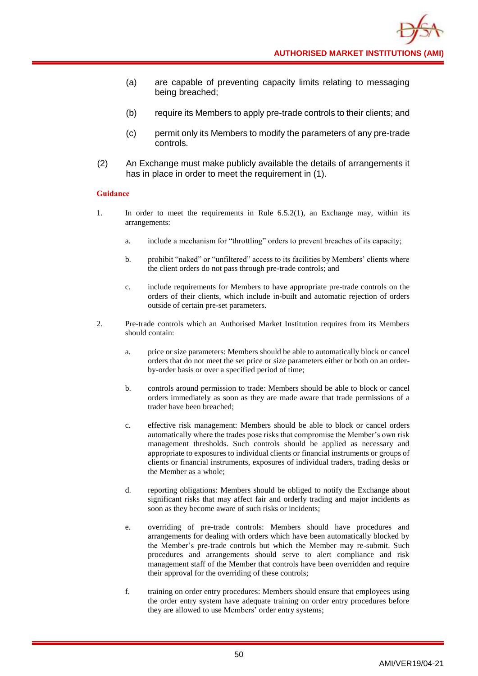- (a) are capable of preventing capacity limits relating to messaging being breached;
- (b) require its Members to apply pre-trade controls to their clients; and
- (c) permit only its Members to modify the parameters of any pre-trade controls.
- (2) An Exchange must make publicly available the details of arrangements it has in place in order to meet the requirement in (1).

- 1. In order to meet the requirements in Rule 6.5.2(1), an Exchange may, within its arrangements:
	- a. include a mechanism for "throttling" orders to prevent breaches of its capacity;
	- b. prohibit "naked" or "unfiltered" access to its facilities by Members' clients where the client orders do not pass through pre-trade controls; and
	- c. include requirements for Members to have appropriate pre-trade controls on the orders of their clients, which include in-built and automatic rejection of orders outside of certain pre-set parameters.
- 2. Pre-trade controls which an Authorised Market Institution requires from its Members should contain:
	- a. price or size parameters: Members should be able to automatically block or cancel orders that do not meet the set price or size parameters either or both on an orderby-order basis or over a specified period of time;
	- b. controls around permission to trade: Members should be able to block or cancel orders immediately as soon as they are made aware that trade permissions of a trader have been breached;
	- c. effective risk management: Members should be able to block or cancel orders automatically where the trades pose risks that compromise the Member's own risk management thresholds. Such controls should be applied as necessary and appropriate to exposures to individual clients or financial instruments or groups of clients or financial instruments, exposures of individual traders, trading desks or the Member as a whole;
	- d. reporting obligations: Members should be obliged to notify the Exchange about significant risks that may affect fair and orderly trading and major incidents as soon as they become aware of such risks or incidents;
	- e. overriding of pre-trade controls: Members should have procedures and arrangements for dealing with orders which have been automatically blocked by the Member's pre-trade controls but which the Member may re-submit. Such procedures and arrangements should serve to alert compliance and risk management staff of the Member that controls have been overridden and require their approval for the overriding of these controls;
	- f. training on order entry procedures: Members should ensure that employees using the order entry system have adequate training on order entry procedures before they are allowed to use Members' order entry systems;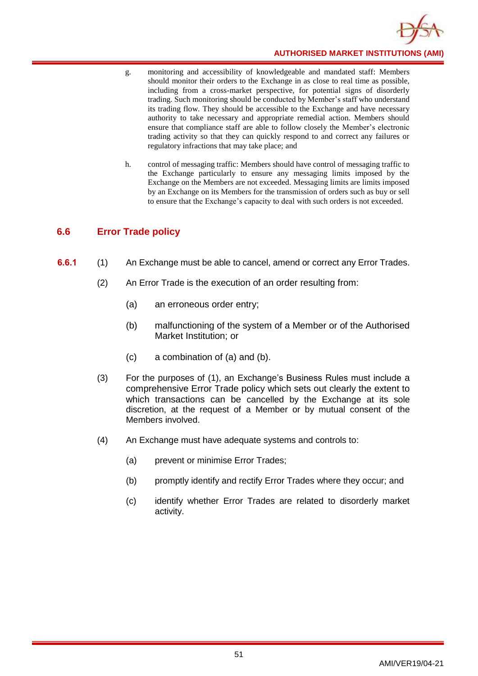

- g. monitoring and accessibility of knowledgeable and mandated staff: Members should monitor their orders to the Exchange in as close to real time as possible, including from a cross-market perspective, for potential signs of disorderly trading. Such monitoring should be conducted by Member's staff who understand its trading flow. They should be accessible to the Exchange and have necessary authority to take necessary and appropriate remedial action. Members should ensure that compliance staff are able to follow closely the Member's electronic trading activity so that they can quickly respond to and correct any failures or regulatory infractions that may take place; and
- h. control of messaging traffic: Members should have control of messaging traffic to the Exchange particularly to ensure any messaging limits imposed by the Exchange on the Members are not exceeded. Messaging limits are limits imposed by an Exchange on its Members for the transmission of orders such as buy or sell to ensure that the Exchange's capacity to deal with such orders is not exceeded.

# **6.6 Error Trade policy**

- **6.6.1** (1) An Exchange must be able to cancel, amend or correct any Error Trades.
	- (2) An Error Trade is the execution of an order resulting from:
		- (a) an erroneous order entry;
		- (b) malfunctioning of the system of a Member or of the Authorised Market Institution; or
		- (c) a combination of (a) and (b).
	- (3) For the purposes of (1), an Exchange's Business Rules must include a comprehensive Error Trade policy which sets out clearly the extent to which transactions can be cancelled by the Exchange at its sole discretion, at the request of a Member or by mutual consent of the Members involved.
	- (4) An Exchange must have adequate systems and controls to:
		- (a) prevent or minimise Error Trades;
		- (b) promptly identify and rectify Error Trades where they occur; and
		- (c) identify whether Error Trades are related to disorderly market activity.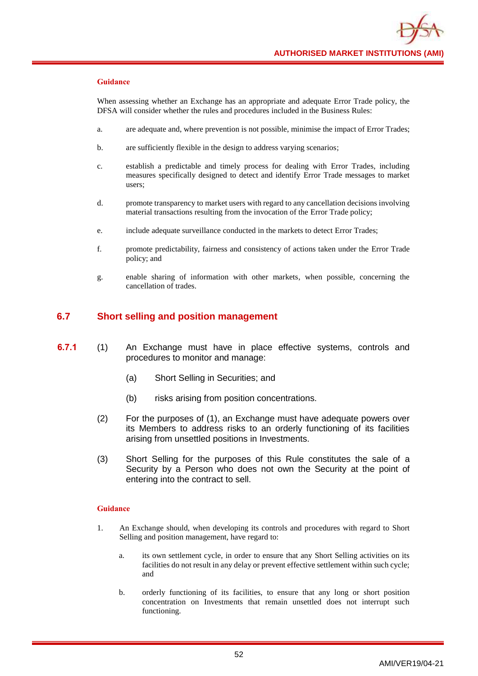When assessing whether an Exchange has an appropriate and adequate Error Trade policy, the DFSA will consider whether the rules and procedures included in the Business Rules:

- a. are adequate and, where prevention is not possible, minimise the impact of Error Trades;
- b. are sufficiently flexible in the design to address varying scenarios;
- c. establish a predictable and timely process for dealing with Error Trades, including measures specifically designed to detect and identify Error Trade messages to market users;
- d. promote transparency to market users with regard to any cancellation decisions involving material transactions resulting from the invocation of the Error Trade policy;
- e. include adequate surveillance conducted in the markets to detect Error Trades;
- f. promote predictability, fairness and consistency of actions taken under the Error Trade policy; and
- g. enable sharing of information with other markets, when possible, concerning the cancellation of trades.

# **6.7 Short selling and position management**

- **6.7.1** (1) An Exchange must have in place effective systems, controls and procedures to monitor and manage:
	- (a) Short Selling in Securities; and
	- (b) risks arising from position concentrations.
	- (2) For the purposes of (1), an Exchange must have adequate powers over its Members to address risks to an orderly functioning of its facilities arising from unsettled positions in Investments.
	- (3) Short Selling for the purposes of this Rule constitutes the sale of a Security by a Person who does not own the Security at the point of entering into the contract to sell.

- 1. An Exchange should, when developing its controls and procedures with regard to Short Selling and position management, have regard to:
	- a. its own settlement cycle, in order to ensure that any Short Selling activities on its facilities do not result in any delay or prevent effective settlement within such cycle; and
	- b. orderly functioning of its facilities, to ensure that any long or short position concentration on Investments that remain unsettled does not interrupt such functioning.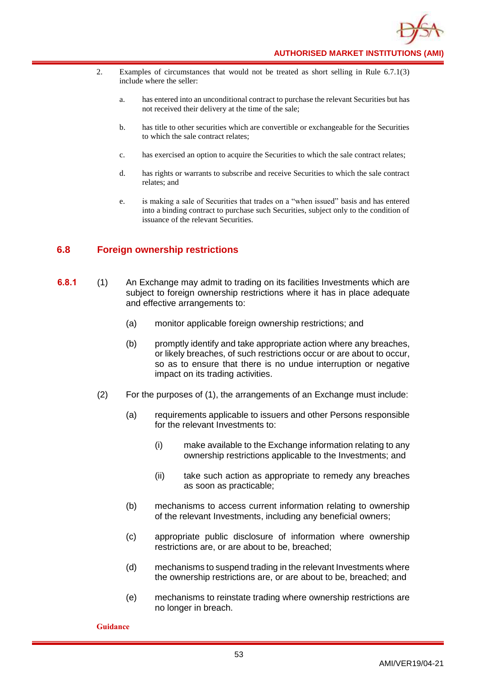- 2. Examples of circumstances that would not be treated as short selling in Rule 6.7.1(3) include where the seller:
	- a. has entered into an unconditional contract to purchase the relevant Securities but has not received their delivery at the time of the sale;
	- b. has title to other securities which are convertible or exchangeable for the Securities to which the sale contract relates;
	- c. has exercised an option to acquire the Securities to which the sale contract relates;
	- d. has rights or warrants to subscribe and receive Securities to which the sale contract relates; and
	- e. is making a sale of Securities that trades on a "when issued" basis and has entered into a binding contract to purchase such Securities, subject only to the condition of issuance of the relevant Securities.

# **6.8 Foreign ownership restrictions**

- **6.8.1** (1) An Exchange may admit to trading on its facilities Investments which are subject to foreign ownership restrictions where it has in place adequate and effective arrangements to:
	- (a) monitor applicable foreign ownership restrictions; and
	- (b) promptly identify and take appropriate action where any breaches, or likely breaches, of such restrictions occur or are about to occur, so as to ensure that there is no undue interruption or negative impact on its trading activities.
	- (2) For the purposes of (1), the arrangements of an Exchange must include:
		- (a) requirements applicable to issuers and other Persons responsible for the relevant Investments to:
			- (i) make available to the Exchange information relating to any ownership restrictions applicable to the Investments; and
			- (ii) take such action as appropriate to remedy any breaches as soon as practicable;
		- (b) mechanisms to access current information relating to ownership of the relevant Investments, including any beneficial owners;
		- (c) appropriate public disclosure of information where ownership restrictions are, or are about to be, breached;
		- (d) mechanisms to suspend trading in the relevant Investments where the ownership restrictions are, or are about to be, breached; and
		- (e) mechanisms to reinstate trading where ownership restrictions are no longer in breach.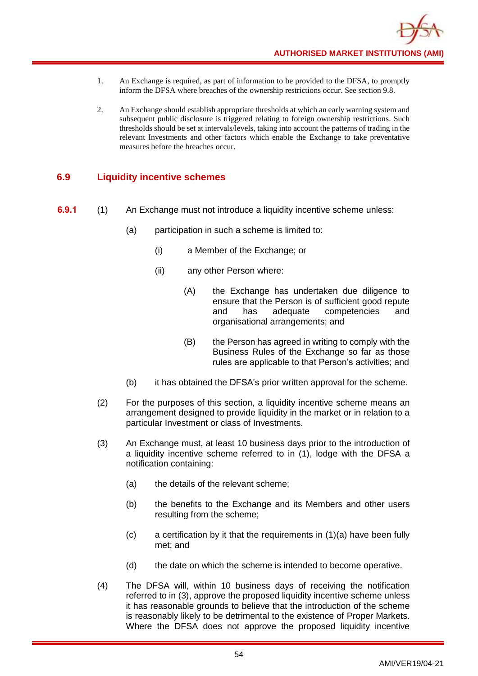- 1. An Exchange is required, as part of information to be provided to the DFSA, to promptly inform the DFSA where breaches of the ownership restrictions occur. See section 9.8.
- 2. An Exchange should establish appropriate thresholds at which an early warning system and subsequent public disclosure is triggered relating to foreign ownership restrictions. Such thresholds should be set at intervals/levels, taking into account the patterns of trading in the relevant Investments and other factors which enable the Exchange to take preventative measures before the breaches occur.

# **6.9 Liquidity incentive schemes**

- **6.9.1** (1) An Exchange must not introduce a liquidity incentive scheme unless:
	- (a) participation in such a scheme is limited to:
		- (i) a Member of the Exchange; or
		- (ii) any other Person where:
			- (A) the Exchange has undertaken due diligence to ensure that the Person is of sufficient good repute and has adequate competencies and organisational arrangements; and
			- (B) the Person has agreed in writing to comply with the Business Rules of the Exchange so far as those rules are applicable to that Person's activities; and
	- (b) it has obtained the DFSA's prior written approval for the scheme.
	- (2) For the purposes of this section, a liquidity incentive scheme means an arrangement designed to provide liquidity in the market or in relation to a particular Investment or class of Investments.
	- (3) An Exchange must, at least 10 business days prior to the introduction of a liquidity incentive scheme referred to in (1), lodge with the DFSA a notification containing:
		- (a) the details of the relevant scheme;
		- (b) the benefits to the Exchange and its Members and other users resulting from the scheme;
		- $(c)$  a certification by it that the requirements in  $(1)(a)$  have been fully met; and
		- (d) the date on which the scheme is intended to become operative.
	- (4) The DFSA will, within 10 business days of receiving the notification referred to in (3), approve the proposed liquidity incentive scheme unless it has reasonable grounds to believe that the introduction of the scheme is reasonably likely to be detrimental to the existence of Proper Markets. Where the DFSA does not approve the proposed liquidity incentive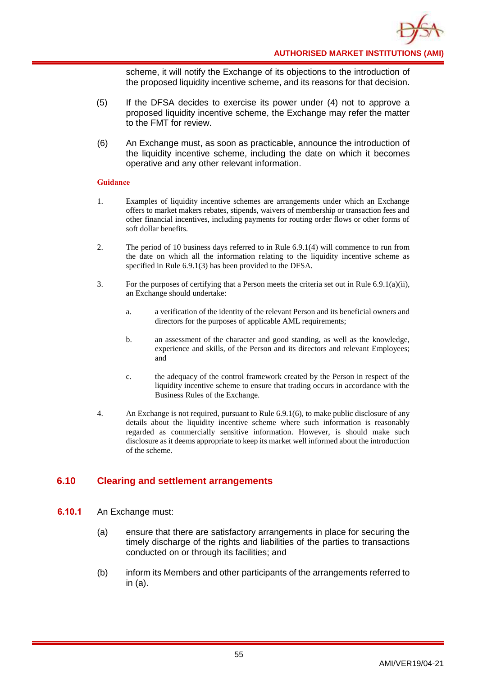

scheme, it will notify the Exchange of its objections to the introduction of the proposed liquidity incentive scheme, and its reasons for that decision.

- (5) If the DFSA decides to exercise its power under (4) not to approve a proposed liquidity incentive scheme, the Exchange may refer the matter to the FMT for review.
- (6) An Exchange must, as soon as practicable, announce the introduction of the liquidity incentive scheme, including the date on which it becomes operative and any other relevant information.

### **Guidance**

- 1. Examples of liquidity incentive schemes are arrangements under which an Exchange offers to market makers rebates, stipends, waivers of membership or transaction fees and other financial incentives, including payments for routing order flows or other forms of soft dollar benefits.
- 2. The period of 10 business days referred to in Rule 6.9.1(4) will commence to run from the date on which all the information relating to the liquidity incentive scheme as specified in Rule 6.9.1(3) has been provided to the DFSA.
- 3. For the purposes of certifying that a Person meets the criteria set out in Rule 6.9.1(a)(ii), an Exchange should undertake:
	- a. a verification of the identity of the relevant Person and its beneficial owners and directors for the purposes of applicable AML requirements;
	- b. an assessment of the character and good standing, as well as the knowledge, experience and skills, of the Person and its directors and relevant Employees; and
	- c. the adequacy of the control framework created by the Person in respect of the liquidity incentive scheme to ensure that trading occurs in accordance with the Business Rules of the Exchange.
- 4. An Exchange is not required, pursuant to Rule 6.9.1(6), to make public disclosure of any details about the liquidity incentive scheme where such information is reasonably regarded as commercially sensitive information. However, is should make such disclosure as it deems appropriate to keep its market well informed about the introduction of the scheme.

# **6.10 Clearing and settlement arrangements**

- **6.10.1** An Exchange must:
	- (a) ensure that there are satisfactory arrangements in place for securing the timely discharge of the rights and liabilities of the parties to transactions conducted on or through its facilities; and
	- (b) inform its Members and other participants of the arrangements referred to in (a).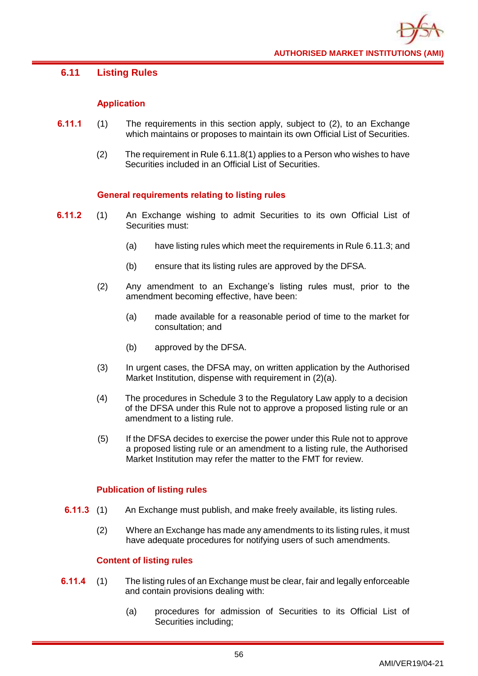# **6.11 Listing Rules**

# **Application**

- **6.11.1** (1) The requirements in this section apply, subject to (2), to an Exchange which maintains or proposes to maintain its own Official List of Securities.
	- (2) The requirement in Rule 6.11.8(1) applies to a Person who wishes to have Securities included in an Official List of Securities.

# **General requirements relating to listing rules**

- **6.11.2** (1) An Exchange wishing to admit Securities to its own Official List of Securities must:
	- (a) have listing rules which meet the requirements in Rule 6.11.3; and
	- (b) ensure that its listing rules are approved by the DFSA.
	- (2) Any amendment to an Exchange's listing rules must, prior to the amendment becoming effective, have been:
		- (a) made available for a reasonable period of time to the market for consultation; and
		- (b) approved by the DFSA.
	- (3) In urgent cases, the DFSA may, on written application by the Authorised Market Institution, dispense with requirement in (2)(a).
	- (4) The procedures in Schedule 3 to the Regulatory Law apply to a decision of the DFSA under this Rule not to approve a proposed listing rule or an amendment to a listing rule.
	- (5) If the DFSA decides to exercise the power under this Rule not to approve a proposed listing rule or an amendment to a listing rule, the Authorised Market Institution may refer the matter to the FMT for review.

## **Publication of listing rules**

- **6.11.3** (1) An Exchange must publish, and make freely available, its listing rules.
	- (2) Where an Exchange has made any amendments to its listing rules, it must have adequate procedures for notifying users of such amendments.

# **Content of listing rules**

- **6.11.4** (1) The listing rules of an Exchange must be clear, fair and legally enforceable and contain provisions dealing with:
	- (a) procedures for admission of Securities to its Official List of Securities including;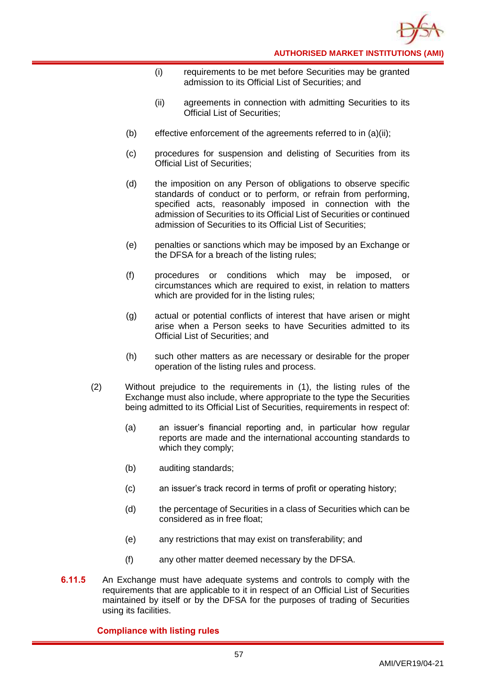

- (i) requirements to be met before Securities may be granted admission to its Official List of Securities; and
- (ii) agreements in connection with admitting Securities to its Official List of Securities;
- (b) effective enforcement of the agreements referred to in (a)(ii);
- (c) procedures for suspension and delisting of Securities from its Official List of Securities;
- (d) the imposition on any Person of obligations to observe specific standards of conduct or to perform, or refrain from performing, specified acts, reasonably imposed in connection with the admission of Securities to its Official List of Securities or continued admission of Securities to its Official List of Securities;
- (e) penalties or sanctions which may be imposed by an Exchange or the DFSA for a breach of the listing rules;
- (f) procedures or conditions which may be imposed, or circumstances which are required to exist, in relation to matters which are provided for in the listing rules:
- (g) actual or potential conflicts of interest that have arisen or might arise when a Person seeks to have Securities admitted to its Official List of Securities; and
- (h) such other matters as are necessary or desirable for the proper operation of the listing rules and process.
- (2) Without prejudice to the requirements in (1), the listing rules of the Exchange must also include, where appropriate to the type the Securities being admitted to its Official List of Securities, requirements in respect of:
	- (a) an issuer's financial reporting and, in particular how regular reports are made and the international accounting standards to which they comply;
	- (b) auditing standards;
	- (c) an issuer's track record in terms of profit or operating history;
	- (d) the percentage of Securities in a class of Securities which can be considered as in free float;
	- (e) any restrictions that may exist on transferability; and
	- (f) any other matter deemed necessary by the DFSA.
- **6.11.5** An Exchange must have adequate systems and controls to comply with the requirements that are applicable to it in respect of an Official List of Securities maintained by itself or by the DFSA for the purposes of trading of Securities using its facilities.

# **Compliance with listing rules**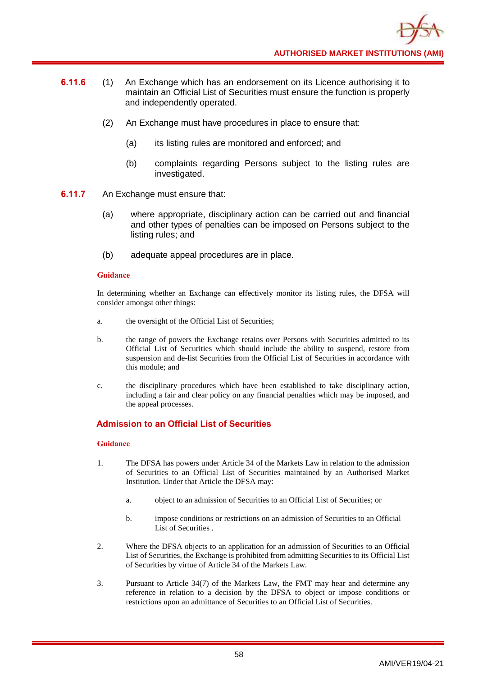- **6.11.6** (1) An Exchange which has an endorsement on its Licence authorising it to maintain an Official List of Securities must ensure the function is properly and independently operated.
	- (2) An Exchange must have procedures in place to ensure that:
		- (a) its listing rules are monitored and enforced; and
		- (b) complaints regarding Persons subject to the listing rules are investigated.
- **6.11.7** An Exchange must ensure that:
	- (a) where appropriate, disciplinary action can be carried out and financial and other types of penalties can be imposed on Persons subject to the listing rules; and
	- (b) adequate appeal procedures are in place.

In determining whether an Exchange can effectively monitor its listing rules, the DFSA will consider amongst other things:

- a. the oversight of the Official List of Securities;
- b. the range of powers the Exchange retains over Persons with Securities admitted to its Official List of Securities which should include the ability to suspend, restore from suspension and de-list Securities from the Official List of Securities in accordance with this module; and
- c. the disciplinary procedures which have been established to take disciplinary action, including a fair and clear policy on any financial penalties which may be imposed, and the appeal processes.

## **Admission to an Official List of Securities**

- 1. The DFSA has powers under Article 34 of the Markets Law in relation to the admission of Securities to an Official List of Securities maintained by an Authorised Market Institution. Under that Article the DFSA may:
	- a. object to an admission of Securities to an Official List of Securities; or
	- b. impose conditions or restrictions on an admission of Securities to an Official List of Securities .
- 2. Where the DFSA objects to an application for an admission of Securities to an Official List of Securities, the Exchange is prohibited from admitting Securities to its Official List of Securities by virtue of Article 34 of the Markets Law.
- 3. Pursuant to Article 34(7) of the Markets Law, the FMT may hear and determine any reference in relation to a decision by the DFSA to object or impose conditions or restrictions upon an admittance of Securities to an Official List of Securities.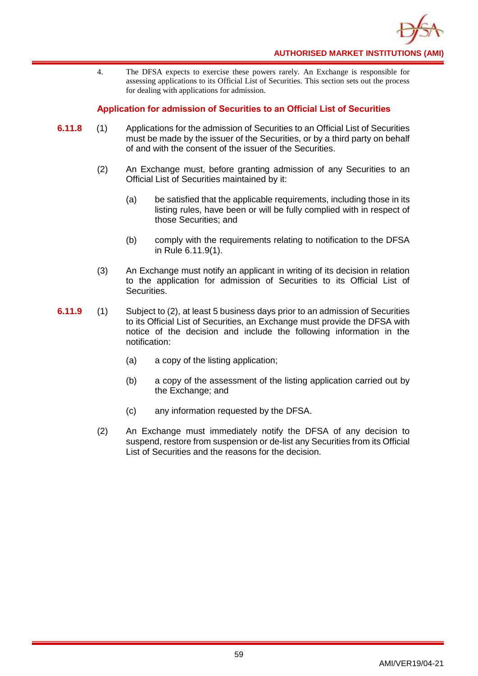

4. The DFSA expects to exercise these powers rarely. An Exchange is responsible for assessing applications to its Official List of Securities. This section sets out the process for dealing with applications for admission.

## **Application for admission of Securities to an Official List of Securities**

- **6.11.8** (1) Applications for the admission of Securities to an Official List of Securities must be made by the issuer of the Securities, or by a third party on behalf of and with the consent of the issuer of the Securities.
	- (2) An Exchange must, before granting admission of any Securities to an Official List of Securities maintained by it:
		- (a) be satisfied that the applicable requirements, including those in its listing rules, have been or will be fully complied with in respect of those Securities; and
		- (b) comply with the requirements relating to notification to the DFSA in Rule 6.11.9(1).
	- (3) An Exchange must notify an applicant in writing of its decision in relation to the application for admission of Securities to its Official List of Securities.
- **6.11.9** (1) Subject to (2), at least 5 business days prior to an admission of Securities to its Official List of Securities, an Exchange must provide the DFSA with notice of the decision and include the following information in the notification:
	- (a) a copy of the listing application;
	- (b) a copy of the assessment of the listing application carried out by the Exchange; and
	- (c) any information requested by the DFSA.
	- (2) An Exchange must immediately notify the DFSA of any decision to suspend, restore from suspension or de-list any Securities from its Official List of Securities and the reasons for the decision.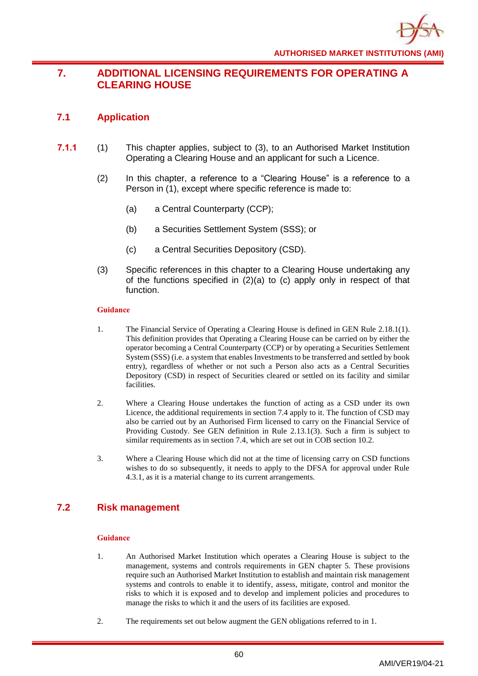# **7. ADDITIONAL LICENSING REQUIREMENTS FOR OPERATING A CLEARING HOUSE**

# **7.1 Application**

- **7.1.1** (1) This chapter applies, subject to (3), to an Authorised Market Institution Operating a Clearing House and an applicant for such a Licence.
	- (2) In this chapter, a reference to a "Clearing House" is a reference to a Person in (1), except where specific reference is made to:
		- (a) a Central Counterparty (CCP);
		- (b) a Securities Settlement System (SSS); or
		- (c) a Central Securities Depository (CSD).
	- (3) Specific references in this chapter to a Clearing House undertaking any of the functions specified in (2)(a) to (c) apply only in respect of that function.

## **Guidance**

- 1. The Financial Service of Operating a Clearing House is defined in GEN Rule 2.18.1(1). This definition provides that Operating a Clearing House can be carried on by either the operator becoming a Central Counterparty (CCP) or by operating a Securities Settlement System (SSS) (i.e. a system that enables Investments to be transferred and settled by book entry), regardless of whether or not such a Person also acts as a Central Securities Depository (CSD) in respect of Securities cleared or settled on its facility and similar facilities.
- 2. Where a Clearing House undertakes the function of acting as a CSD under its own Licence, the additional requirements in section 7.4 apply to it. The function of CSD may also be carried out by an Authorised Firm licensed to carry on the Financial Service of Providing Custody. See GEN definition in Rule 2.13.1(3). Such a firm is subject to similar requirements as in section 7.4, which are set out in COB section 10.2.
- 3. Where a Clearing House which did not at the time of licensing carry on CSD functions wishes to do so subsequently, it needs to apply to the DFSA for approval under Rule 4.3.1, as it is a material change to its current arrangements.

# **7.2 Risk management**

- 1. An Authorised Market Institution which operates a Clearing House is subject to the management, systems and controls requirements in GEN chapter 5. These provisions require such an Authorised Market Institution to establish and maintain risk management systems and controls to enable it to identify, assess, mitigate, control and monitor the risks to which it is exposed and to develop and implement policies and procedures to manage the risks to which it and the users of its facilities are exposed.
- 2. The requirements set out below augment the GEN obligations referred to in 1.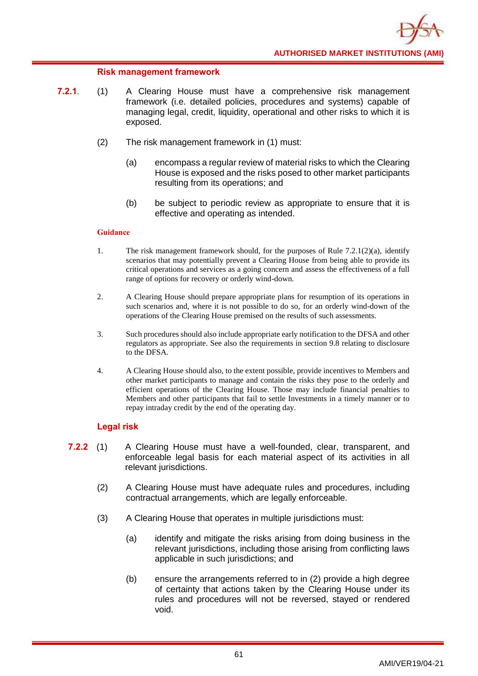## **Risk management framework**

- **7.2.1**. (1) A Clearing House must have a comprehensive risk management framework (i.e. detailed policies, procedures and systems) capable of managing legal, credit, liquidity, operational and other risks to which it is exposed.
	- (2) The risk management framework in (1) must:
		- (a) encompass a regular review of material risks to which the Clearing House is exposed and the risks posed to other market participants resulting from its operations; and
		- (b) be subject to periodic review as appropriate to ensure that it is effective and operating as intended.

### **Guidance**

- 1. The risk management framework should, for the purposes of Rule  $7.2.1(2)(a)$ , identify scenarios that may potentially prevent a Clearing House from being able to provide its critical operations and services as a going concern and assess the effectiveness of a full range of options for recovery or orderly wind-down.
- 2. A Clearing House should prepare appropriate plans for resumption of its operations in such scenarios and, where it is not possible to do so, for an orderly wind-down of the operations of the Clearing House premised on the results of such assessments.
- 3. Such procedures should also include appropriate early notification to the DFSA and other regulators as appropriate. See also the requirements in section 9.8 relating to disclosure to the DFSA.
- 4. A Clearing House should also, to the extent possible, provide incentives to Members and other market participants to manage and contain the risks they pose to the orderly and efficient operations of the Clearing House. Those may include financial penalties to Members and other participants that fail to settle Investments in a timely manner or to repay intraday credit by the end of the operating day.

## **Legal risk**

- **7.2.2** (1) A Clearing House must have a well-founded, clear, transparent, and enforceable legal basis for each material aspect of its activities in all relevant jurisdictions.
	- (2) A Clearing House must have adequate rules and procedures, including contractual arrangements, which are legally enforceable.
	- (3) A Clearing House that operates in multiple jurisdictions must:
		- (a) identify and mitigate the risks arising from doing business in the relevant jurisdictions, including those arising from conflicting laws applicable in such jurisdictions; and
		- (b) ensure the arrangements referred to in (2) provide a high degree of certainty that actions taken by the Clearing House under its rules and procedures will not be reversed, stayed or rendered void.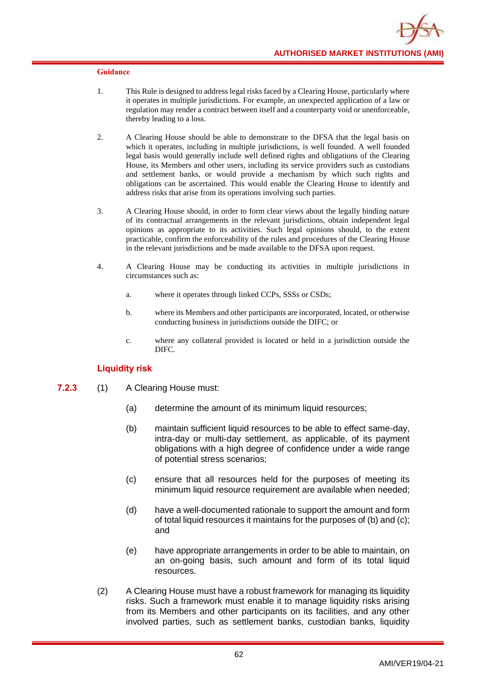- 1. This Rule is designed to address legal risks faced by a Clearing House, particularly where it operates in multiple jurisdictions. For example, an unexpected application of a law or regulation may render a contract between itself and a counterparty void or unenforceable, thereby leading to a loss.
- 2. A Clearing House should be able to demonstrate to the DFSA that the legal basis on which it operates, including in multiple jurisdictions, is well founded. A well founded legal basis would generally include well defined rights and obligations of the Clearing House, its Members and other users, including its service providers such as custodians and settlement banks, or would provide a mechanism by which such rights and obligations can be ascertained. This would enable the Clearing House to identify and address risks that arise from its operations involving such parties.
- 3. A Clearing House should, in order to form clear views about the legally binding nature of its contractual arrangements in the relevant jurisdictions, obtain independent legal opinions as appropriate to its activities. Such legal opinions should, to the extent practicable, confirm the enforceability of the rules and procedures of the Clearing House in the relevant jurisdictions and be made available to the DFSA upon request.
- 4. A Clearing House may be conducting its activities in multiple jurisdictions in circumstances such as:
	- a. where it operates through linked CCPs, SSSs or CSDs;
	- b. where its Members and other participants are incorporated, located, or otherwise conducting business in jurisdictions outside the DIFC; or
	- c. where any collateral provided is located or held in a jurisdiction outside the DIFC.

## **Liquidity risk**

- **7.2.3** (1) A Clearing House must:
	- (a) determine the amount of its minimum liquid resources;
	- (b) maintain sufficient liquid resources to be able to effect same-day, intra-day or multi-day settlement, as applicable, of its payment obligations with a high degree of confidence under a wide range of potential stress scenarios;
	- (c) ensure that all resources held for the purposes of meeting its minimum liquid resource requirement are available when needed;
	- (d) have a well-documented rationale to support the amount and form of total liquid resources it maintains for the purposes of (b) and (c); and
	- (e) have appropriate arrangements in order to be able to maintain, on an on-going basis, such amount and form of its total liquid resources.
	- (2) A Clearing House must have a robust framework for managing its liquidity risks. Such a framework must enable it to manage liquidity risks arising from its Members and other participants on its facilities, and any other involved parties, such as settlement banks, custodian banks, liquidity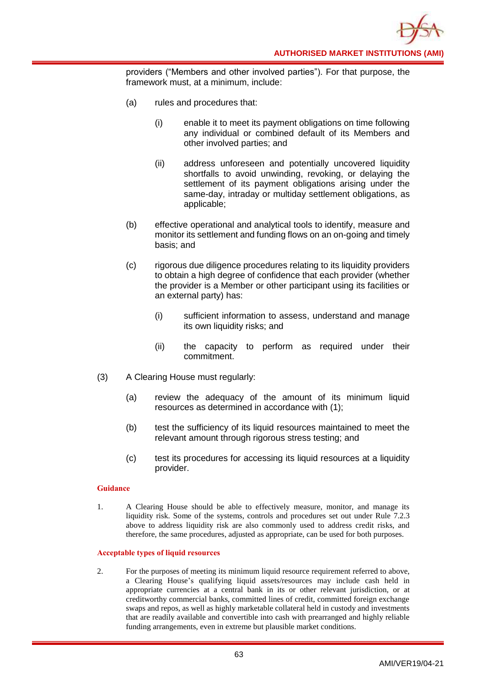providers ("Members and other involved parties"). For that purpose, the framework must, at a minimum, include:

- (a) rules and procedures that:
	- (i) enable it to meet its payment obligations on time following any individual or combined default of its Members and other involved parties; and
	- (ii) address unforeseen and potentially uncovered liquidity shortfalls to avoid unwinding, revoking, or delaying the settlement of its payment obligations arising under the same-day, intraday or multiday settlement obligations, as applicable;
- (b) effective operational and analytical tools to identify, measure and monitor its settlement and funding flows on an on-going and timely basis; and
- (c) rigorous due diligence procedures relating to its liquidity providers to obtain a high degree of confidence that each provider (whether the provider is a Member or other participant using its facilities or an external party) has:
	- (i) sufficient information to assess, understand and manage its own liquidity risks; and
	- (ii) the capacity to perform as required under their commitment.
- (3) A Clearing House must regularly:
	- (a) review the adequacy of the amount of its minimum liquid resources as determined in accordance with (1);
	- (b) test the sufficiency of its liquid resources maintained to meet the relevant amount through rigorous stress testing; and
	- (c) test its procedures for accessing its liquid resources at a liquidity provider.

### **Guidance**

1. A Clearing House should be able to effectively measure, monitor, and manage its liquidity risk. Some of the systems, controls and procedures set out under Rule 7.2.3 above to address liquidity risk are also commonly used to address credit risks, and therefore, the same procedures, adjusted as appropriate, can be used for both purposes.

### **Acceptable types of liquid resources**

2. For the purposes of meeting its minimum liquid resource requirement referred to above, a Clearing House's qualifying liquid assets/resources may include cash held in appropriate currencies at a central bank in its or other relevant jurisdiction, or at creditworthy commercial banks, committed lines of credit, committed foreign exchange swaps and repos, as well as highly marketable collateral held in custody and investments that are readily available and convertible into cash with prearranged and highly reliable funding arrangements, even in extreme but plausible market conditions.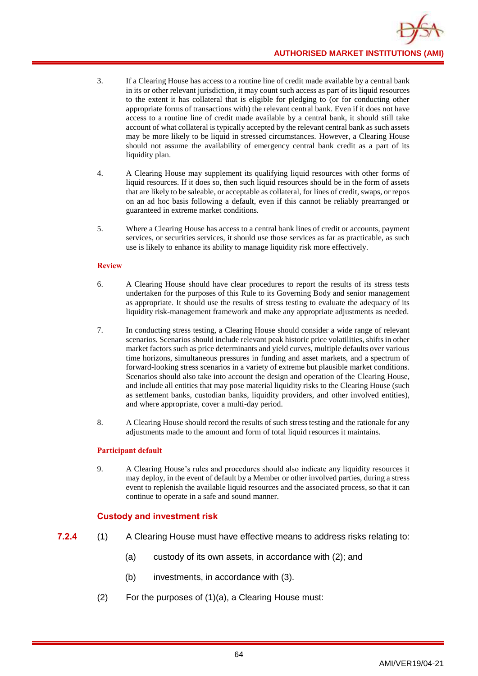- 3. If a Clearing House has access to a routine line of credit made available by a central bank in its or other relevant jurisdiction, it may count such access as part of its liquid resources to the extent it has collateral that is eligible for pledging to (or for conducting other appropriate forms of transactions with) the relevant central bank. Even if it does not have access to a routine line of credit made available by a central bank, it should still take account of what collateral is typically accepted by the relevant central bank as such assets may be more likely to be liquid in stressed circumstances. However, a Clearing House should not assume the availability of emergency central bank credit as a part of its liquidity plan.
- 4. A Clearing House may supplement its qualifying liquid resources with other forms of liquid resources. If it does so, then such liquid resources should be in the form of assets that are likely to be saleable, or acceptable as collateral, for lines of credit, swaps, or repos on an ad hoc basis following a default, even if this cannot be reliably prearranged or guaranteed in extreme market conditions.
- 5. Where a Clearing House has access to a central bank lines of credit or accounts, payment services, or securities services, it should use those services as far as practicable, as such use is likely to enhance its ability to manage liquidity risk more effectively.

### **Review**

- 6. A Clearing House should have clear procedures to report the results of its stress tests undertaken for the purposes of this Rule to its Governing Body and senior management as appropriate. It should use the results of stress testing to evaluate the adequacy of its liquidity risk-management framework and make any appropriate adjustments as needed.
- 7. In conducting stress testing, a Clearing House should consider a wide range of relevant scenarios. Scenarios should include relevant peak historic price volatilities, shifts in other market factors such as price determinants and yield curves, multiple defaults over various time horizons, simultaneous pressures in funding and asset markets, and a spectrum of forward-looking stress scenarios in a variety of extreme but plausible market conditions. Scenarios should also take into account the design and operation of the Clearing House, and include all entities that may pose material liquidity risks to the Clearing House (such as settlement banks, custodian banks, liquidity providers, and other involved entities), and where appropriate, cover a multi-day period.
- 8. A Clearing House should record the results of such stress testing and the rationale for any adjustments made to the amount and form of total liquid resources it maintains.

## **Participant default**

9. A Clearing House's rules and procedures should also indicate any liquidity resources it may deploy, in the event of default by a Member or other involved parties, during a stress event to replenish the available liquid resources and the associated process, so that it can continue to operate in a safe and sound manner.

# **Custody and investment risk**

- **7.2.4** (1) A Clearing House must have effective means to address risks relating to:
	- (a) custody of its own assets, in accordance with (2); and
	- (b) investments, in accordance with (3).
	- (2) For the purposes of (1)(a), a Clearing House must: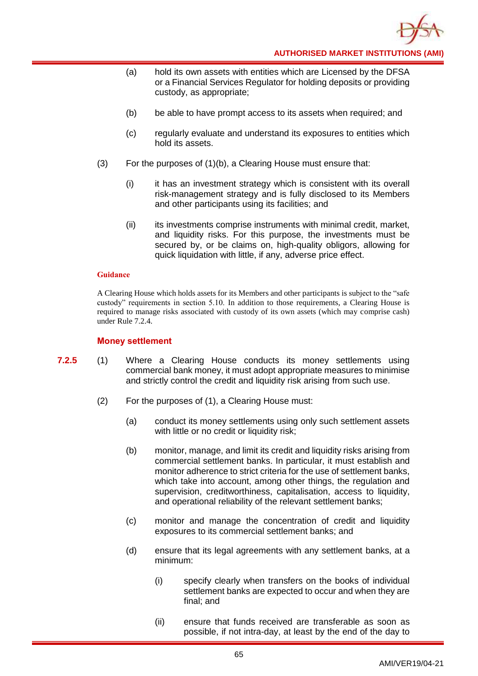

- (a) hold its own assets with entities which are Licensed by the DFSA or a Financial Services Regulator for holding deposits or providing custody, as appropriate;
- (b) be able to have prompt access to its assets when required; and
- (c) regularly evaluate and understand its exposures to entities which hold its assets.
- (3) For the purposes of (1)(b), a Clearing House must ensure that:
	- (i) it has an investment strategy which is consistent with its overall risk-management strategy and is fully disclosed to its Members and other participants using its facilities; and
	- (ii) its investments comprise instruments with minimal credit, market, and liquidity risks. For this purpose, the investments must be secured by, or be claims on, high-quality obligors, allowing for quick liquidation with little, if any, adverse price effect.

A Clearing House which holds assets for its Members and other participants is subject to the "safe custody" requirements in section 5.10. In addition to those requirements, a Clearing House is required to manage risks associated with custody of its own assets (which may comprise cash) under Rule 7.2.4.

### **Money settlement**

- **7.2.5** (1) Where a Clearing House conducts its money settlements using commercial bank money, it must adopt appropriate measures to minimise and strictly control the credit and liquidity risk arising from such use.
	- (2) For the purposes of (1), a Clearing House must:
		- (a) conduct its money settlements using only such settlement assets with little or no credit or liquidity risk;
		- (b) monitor, manage, and limit its credit and liquidity risks arising from commercial settlement banks. In particular, it must establish and monitor adherence to strict criteria for the use of settlement banks, which take into account, among other things, the regulation and supervision, creditworthiness, capitalisation, access to liquidity, and operational reliability of the relevant settlement banks;
		- (c) monitor and manage the concentration of credit and liquidity exposures to its commercial settlement banks; and
		- (d) ensure that its legal agreements with any settlement banks, at a minimum:
			- (i) specify clearly when transfers on the books of individual settlement banks are expected to occur and when they are final; and
			- (ii) ensure that funds received are transferable as soon as possible, if not intra-day, at least by the end of the day to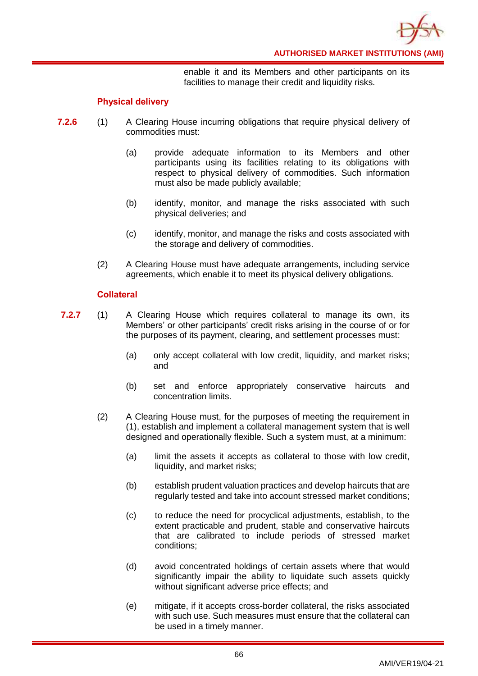

enable it and its Members and other participants on its facilities to manage their credit and liquidity risks.

## **Physical delivery**

- **7.2.6** (1) A Clearing House incurring obligations that require physical delivery of commodities must:
	- (a) provide adequate information to its Members and other participants using its facilities relating to its obligations with respect to physical delivery of commodities. Such information must also be made publicly available;
	- (b) identify, monitor, and manage the risks associated with such physical deliveries; and
	- (c) identify, monitor, and manage the risks and costs associated with the storage and delivery of commodities.
	- (2) A Clearing House must have adequate arrangements, including service agreements, which enable it to meet its physical delivery obligations.

# **Collateral**

- **7.2.7** (1) A Clearing House which requires collateral to manage its own, its Members' or other participants' credit risks arising in the course of or for the purposes of its payment, clearing, and settlement processes must:
	- (a) only accept collateral with low credit, liquidity, and market risks; and
	- (b) set and enforce appropriately conservative haircuts and concentration limits.
	- (2) A Clearing House must, for the purposes of meeting the requirement in (1), establish and implement a collateral management system that is well designed and operationally flexible. Such a system must, at a minimum:
		- (a) limit the assets it accepts as collateral to those with low credit, liquidity, and market risks;
		- (b) establish prudent valuation practices and develop haircuts that are regularly tested and take into account stressed market conditions;
		- (c) to reduce the need for procyclical adjustments, establish, to the extent practicable and prudent, stable and conservative haircuts that are calibrated to include periods of stressed market conditions;
		- (d) avoid concentrated holdings of certain assets where that would significantly impair the ability to liquidate such assets quickly without significant adverse price effects; and
		- (e) mitigate, if it accepts cross-border collateral, the risks associated with such use. Such measures must ensure that the collateral can be used in a timely manner.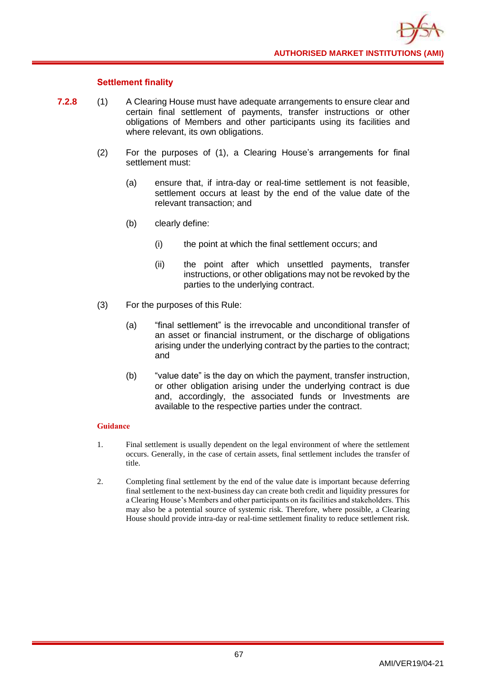## **Settlement finality**

- **7.2.8** (1) A Clearing House must have adequate arrangements to ensure clear and certain final settlement of payments, transfer instructions or other obligations of Members and other participants using its facilities and where relevant, its own obligations.
	- (2) For the purposes of (1), a Clearing House's arrangements for final settlement must:
		- (a) ensure that, if intra-day or real-time settlement is not feasible, settlement occurs at least by the end of the value date of the relevant transaction; and
		- (b) clearly define:
			- (i) the point at which the final settlement occurs; and
			- (ii) the point after which unsettled payments, transfer instructions, or other obligations may not be revoked by the parties to the underlying contract.
	- (3) For the purposes of this Rule:
		- (a) "final settlement" is the irrevocable and unconditional transfer of an asset or financial instrument, or the discharge of obligations arising under the underlying contract by the parties to the contract; and
		- (b) "value date" is the day on which the payment, transfer instruction, or other obligation arising under the underlying contract is due and, accordingly, the associated funds or Investments are available to the respective parties under the contract.

- 1. Final settlement is usually dependent on the legal environment of where the settlement occurs. Generally, in the case of certain assets, final settlement includes the transfer of title.
- 2. Completing final settlement by the end of the value date is important because deferring final settlement to the next-business day can create both credit and liquidity pressures for a Clearing House's Members and other participants on its facilities and stakeholders. This may also be a potential source of systemic risk. Therefore, where possible, a Clearing House should provide intra-day or real-time settlement finality to reduce settlement risk.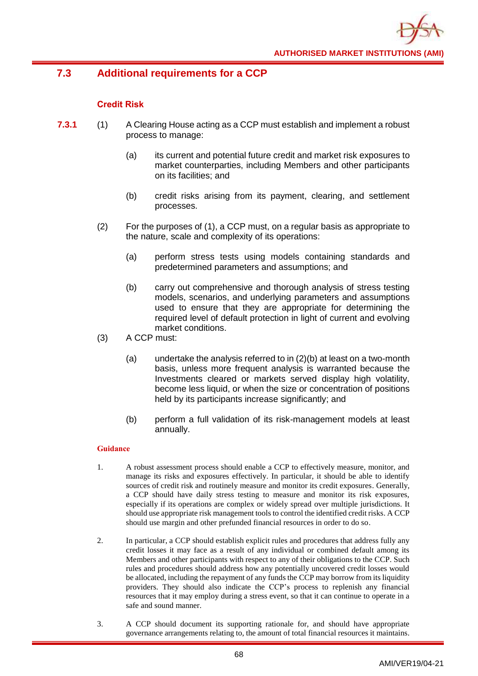

# **7.3 Additional requirements for a CCP**

# **Credit Risk**

- **7.3.1** (1) A Clearing House acting as a CCP must establish and implement a robust process to manage:
	- (a) its current and potential future credit and market risk exposures to market counterparties, including Members and other participants on its facilities; and
	- (b) credit risks arising from its payment, clearing, and settlement processes.
	- (2) For the purposes of (1), a CCP must, on a regular basis as appropriate to the nature, scale and complexity of its operations:
		- (a) perform stress tests using models containing standards and predetermined parameters and assumptions; and
		- (b) carry out comprehensive and thorough analysis of stress testing models, scenarios, and underlying parameters and assumptions used to ensure that they are appropriate for determining the required level of default protection in light of current and evolving market conditions.
	- (3) A CCP must:
		- (a) undertake the analysis referred to in (2)(b) at least on a two-month basis, unless more frequent analysis is warranted because the Investments cleared or markets served display high volatility, become less liquid, or when the size or concentration of positions held by its participants increase significantly; and
		- (b) perform a full validation of its risk-management models at least annually.

- 1. A robust assessment process should enable a CCP to effectively measure, monitor, and manage its risks and exposures effectively. In particular, it should be able to identify sources of credit risk and routinely measure and monitor its credit exposures. Generally, a CCP should have daily stress testing to measure and monitor its risk exposures, especially if its operations are complex or widely spread over multiple jurisdictions. It should use appropriate risk management tools to control the identified credit risks. A CCP should use margin and other prefunded financial resources in order to do so.
- 2. In particular, a CCP should establish explicit rules and procedures that address fully any credit losses it may face as a result of any individual or combined default among its Members and other participants with respect to any of their obligations to the CCP. Such rules and procedures should address how any potentially uncovered credit losses would be allocated, including the repayment of any funds the CCP may borrow from its liquidity providers. They should also indicate the CCP's process to replenish any financial resources that it may employ during a stress event, so that it can continue to operate in a safe and sound manner.
- 3. A CCP should document its supporting rationale for, and should have appropriate governance arrangements relating to, the amount of total financial resources it maintains.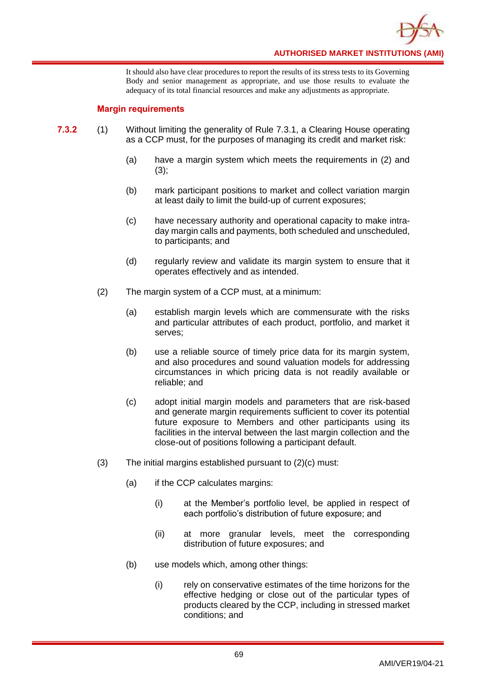

It should also have clear procedures to report the results of its stress tests to its Governing Body and senior management as appropriate, and use those results to evaluate the adequacy of its total financial resources and make any adjustments as appropriate.

## **Margin requirements**

- **7.3.2** (1) Without limiting the generality of Rule 7.3.1, a Clearing House operating as a CCP must, for the purposes of managing its credit and market risk:
	- (a) have a margin system which meets the requirements in (2) and  $(3);$
	- (b) mark participant positions to market and collect variation margin at least daily to limit the build-up of current exposures;
	- (c) have necessary authority and operational capacity to make intraday margin calls and payments, both scheduled and unscheduled, to participants; and
	- (d) regularly review and validate its margin system to ensure that it operates effectively and as intended.
	- (2) The margin system of a CCP must, at a minimum:
		- (a) establish margin levels which are commensurate with the risks and particular attributes of each product, portfolio, and market it serves;
		- (b) use a reliable source of timely price data for its margin system, and also procedures and sound valuation models for addressing circumstances in which pricing data is not readily available or reliable; and
		- (c) adopt initial margin models and parameters that are risk-based and generate margin requirements sufficient to cover its potential future exposure to Members and other participants using its facilities in the interval between the last margin collection and the close-out of positions following a participant default.
	- (3) The initial margins established pursuant to (2)(c) must:
		- (a) if the CCP calculates margins:
			- (i) at the Member's portfolio level, be applied in respect of each portfolio's distribution of future exposure; and
			- (ii) at more granular levels, meet the corresponding distribution of future exposures; and
		- (b) use models which, among other things:
			- (i) rely on conservative estimates of the time horizons for the effective hedging or close out of the particular types of products cleared by the CCP, including in stressed market conditions; and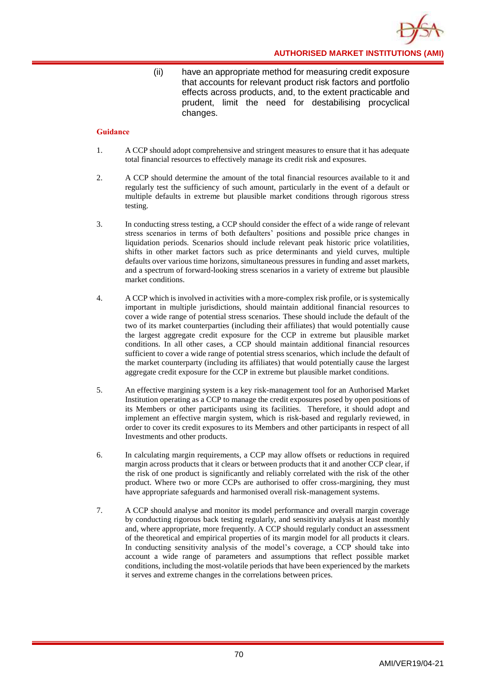**AUTHORISED MARKET INSTITUTIONS (AMI)**

(ii) have an appropriate method for measuring credit exposure that accounts for relevant product risk factors and portfolio effects across products, and, to the extent practicable and prudent, limit the need for destabilising procyclical changes.

- 1. A CCP should adopt comprehensive and stringent measures to ensure that it has adequate total financial resources to effectively manage its credit risk and exposures.
- 2. A CCP should determine the amount of the total financial resources available to it and regularly test the sufficiency of such amount, particularly in the event of a default or multiple defaults in extreme but plausible market conditions through rigorous stress testing.
- 3. In conducting stress testing, a CCP should consider the effect of a wide range of relevant stress scenarios in terms of both defaulters' positions and possible price changes in liquidation periods. Scenarios should include relevant peak historic price volatilities, shifts in other market factors such as price determinants and yield curves, multiple defaults over various time horizons, simultaneous pressures in funding and asset markets, and a spectrum of forward-looking stress scenarios in a variety of extreme but plausible market conditions.
- 4. A CCP which is involved in activities with a more-complex risk profile, or is systemically important in multiple jurisdictions, should maintain additional financial resources to cover a wide range of potential stress scenarios. These should include the default of the two of its market counterparties (including their affiliates) that would potentially cause the largest aggregate credit exposure for the CCP in extreme but plausible market conditions. In all other cases, a CCP should maintain additional financial resources sufficient to cover a wide range of potential stress scenarios, which include the default of the market counterparty (including its affiliates) that would potentially cause the largest aggregate credit exposure for the CCP in extreme but plausible market conditions.
- 5. An effective margining system is a key risk-management tool for an Authorised Market Institution operating as a CCP to manage the credit exposures posed by open positions of its Members or other participants using its facilities. Therefore, it should adopt and implement an effective margin system, which is risk-based and regularly reviewed, in order to cover its credit exposures to its Members and other participants in respect of all Investments and other products.
- 6. In calculating margin requirements, a CCP may allow offsets or reductions in required margin across products that it clears or between products that it and another CCP clear, if the risk of one product is significantly and reliably correlated with the risk of the other product. Where two or more CCPs are authorised to offer cross-margining, they must have appropriate safeguards and harmonised overall risk-management systems.
- 7. A CCP should analyse and monitor its model performance and overall margin coverage by conducting rigorous back testing regularly, and sensitivity analysis at least monthly and, where appropriate, more frequently. A CCP should regularly conduct an assessment of the theoretical and empirical properties of its margin model for all products it clears. In conducting sensitivity analysis of the model's coverage, a CCP should take into account a wide range of parameters and assumptions that reflect possible market conditions, including the most-volatile periods that have been experienced by the markets it serves and extreme changes in the correlations between prices.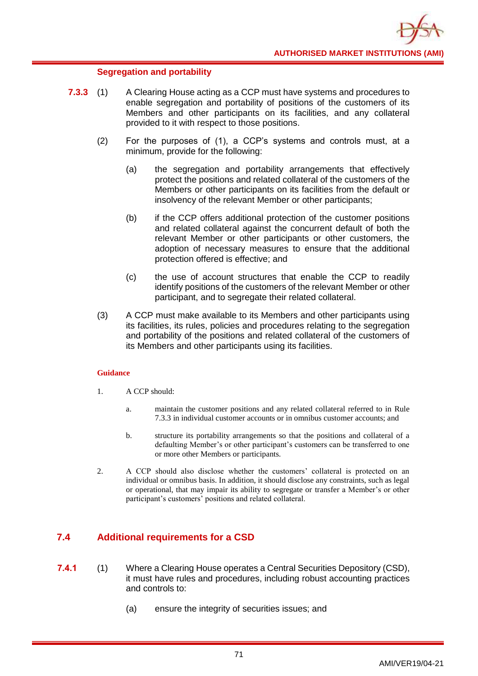## **Segregation and portability**

- **7.3.3** (1) A Clearing House acting as a CCP must have systems and procedures to enable segregation and portability of positions of the customers of its Members and other participants on its facilities, and any collateral provided to it with respect to those positions.
	- (2) For the purposes of (1), a CCP's systems and controls must, at a minimum, provide for the following:
		- (a) the segregation and portability arrangements that effectively protect the positions and related collateral of the customers of the Members or other participants on its facilities from the default or insolvency of the relevant Member or other participants;
		- (b) if the CCP offers additional protection of the customer positions and related collateral against the concurrent default of both the relevant Member or other participants or other customers, the adoption of necessary measures to ensure that the additional protection offered is effective; and
		- (c) the use of account structures that enable the CCP to readily identify positions of the customers of the relevant Member or other participant, and to segregate their related collateral.
	- (3) A CCP must make available to its Members and other participants using its facilities, its rules, policies and procedures relating to the segregation and portability of the positions and related collateral of the customers of its Members and other participants using its facilities.

### **Guidance**

- 1. A CCP should:
	- a. maintain the customer positions and any related collateral referred to in Rule 7.3.3 in individual customer accounts or in omnibus customer accounts; and
	- b. structure its portability arrangements so that the positions and collateral of a defaulting Member's or other participant's customers can be transferred to one or more other Members or participants.
- 2. A CCP should also disclose whether the customers' collateral is protected on an individual or omnibus basis. In addition, it should disclose any constraints, such as legal or operational, that may impair its ability to segregate or transfer a Member's or other participant's customers' positions and related collateral.

# **7.4 Additional requirements for a CSD**

- **7.4.1** (1) Where a Clearing House operates a Central Securities Depository (CSD), it must have rules and procedures, including robust accounting practices and controls to:
	- (a) ensure the integrity of securities issues; and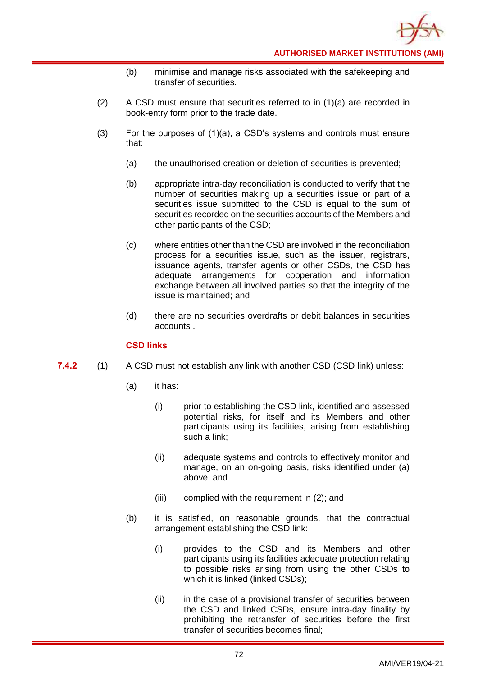- (b) minimise and manage risks associated with the safekeeping and transfer of securities.
- (2) A CSD must ensure that securities referred to in  $(1)(a)$  are recorded in book-entry form prior to the trade date.
- (3) For the purposes of  $(1)(a)$ , a CSD's systems and controls must ensure that:
	- (a) the unauthorised creation or deletion of securities is prevented;
	- (b) appropriate intra-day reconciliation is conducted to verify that the number of securities making up a securities issue or part of a securities issue submitted to the CSD is equal to the sum of securities recorded on the securities accounts of the Members and other participants of the CSD;
	- (c) where entities other than the CSD are involved in the reconciliation process for a securities issue, such as the issuer, registrars, issuance agents, transfer agents or other CSDs, the CSD has adequate arrangements for cooperation and information exchange between all involved parties so that the integrity of the issue is maintained; and
	- (d) there are no securities overdrafts or debit balances in securities accounts .

## **CSD links**

- **7.4.2** (1) A CSD must not establish any link with another CSD (CSD link) unless:
	- (a) it has:
		- (i) prior to establishing the CSD link, identified and assessed potential risks, for itself and its Members and other participants using its facilities, arising from establishing such a link;
		- (ii) adequate systems and controls to effectively monitor and manage, on an on-going basis, risks identified under (a) above; and
		- (iii) complied with the requirement in (2); and
	- (b) it is satisfied, on reasonable grounds, that the contractual arrangement establishing the CSD link:
		- (i) provides to the CSD and its Members and other participants using its facilities adequate protection relating to possible risks arising from using the other CSDs to which it is linked (linked CSDs);
		- (ii) in the case of a provisional transfer of securities between the CSD and linked CSDs, ensure intra-day finality by prohibiting the retransfer of securities before the first transfer of securities becomes final;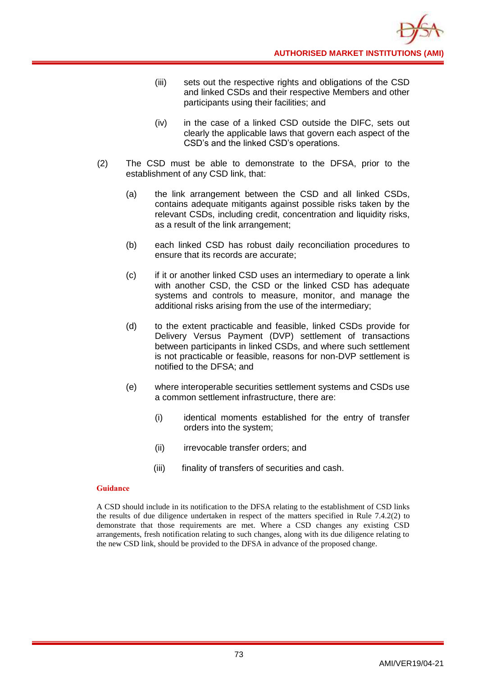- (iii) sets out the respective rights and obligations of the CSD and linked CSDs and their respective Members and other participants using their facilities; and
- (iv) in the case of a linked CSD outside the DIFC, sets out clearly the applicable laws that govern each aspect of the CSD's and the linked CSD's operations.
- (2) The CSD must be able to demonstrate to the DFSA, prior to the establishment of any CSD link, that:
	- (a) the link arrangement between the CSD and all linked CSDs, contains adequate mitigants against possible risks taken by the relevant CSDs, including credit, concentration and liquidity risks, as a result of the link arrangement;
	- (b) each linked CSD has robust daily reconciliation procedures to ensure that its records are accurate;
	- (c) if it or another linked CSD uses an intermediary to operate a link with another CSD, the CSD or the linked CSD has adequate systems and controls to measure, monitor, and manage the additional risks arising from the use of the intermediary;
	- (d) to the extent practicable and feasible, linked CSDs provide for Delivery Versus Payment (DVP) settlement of transactions between participants in linked CSDs, and where such settlement is not practicable or feasible, reasons for non-DVP settlement is notified to the DFSA; and
	- (e) where interoperable securities settlement systems and CSDs use a common settlement infrastructure, there are:
		- (i) identical moments established for the entry of transfer orders into the system;
		- (ii) irrevocable transfer orders; and
		- (iii) finality of transfers of securities and cash.

### **Guidance**

A CSD should include in its notification to the DFSA relating to the establishment of CSD links the results of due diligence undertaken in respect of the matters specified in Rule 7.4.2(2) to demonstrate that those requirements are met. Where a CSD changes any existing CSD arrangements, fresh notification relating to such changes, along with its due diligence relating to the new CSD link, should be provided to the DFSA in advance of the proposed change.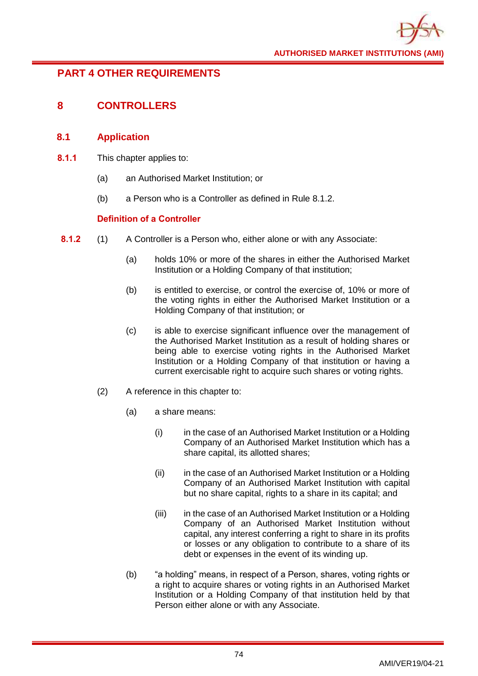# **PART 4 OTHER REQUIREMENTS**

# **8 CONTROLLERS**

# **8.1 Application**

- **8.1.1** This chapter applies to:
	- (a) an Authorised Market Institution; or
	- (b) a Person who is a Controller as defined in Rule 8.1.2.

# **Definition of a Controller**

- **8.1.2** (1) A Controller is a Person who, either alone or with any Associate:
	- (a) holds 10% or more of the shares in either the Authorised Market Institution or a Holding Company of that institution;
	- (b) is entitled to exercise, or control the exercise of, 10% or more of the voting rights in either the Authorised Market Institution or a Holding Company of that institution; or
	- (c) is able to exercise significant influence over the management of the Authorised Market Institution as a result of holding shares or being able to exercise voting rights in the Authorised Market Institution or a Holding Company of that institution or having a current exercisable right to acquire such shares or voting rights.
	- (2) A reference in this chapter to:
		- (a) a share means:
			- (i) in the case of an Authorised Market Institution or a Holding Company of an Authorised Market Institution which has a share capital, its allotted shares;
			- (ii) in the case of an Authorised Market Institution or a Holding Company of an Authorised Market Institution with capital but no share capital, rights to a share in its capital; and
			- (iii) in the case of an Authorised Market Institution or a Holding Company of an Authorised Market Institution without capital, any interest conferring a right to share in its profits or losses or any obligation to contribute to a share of its debt or expenses in the event of its winding up.
		- (b) "a holding" means, in respect of a Person, shares, voting rights or a right to acquire shares or voting rights in an Authorised Market Institution or a Holding Company of that institution held by that Person either alone or with any Associate.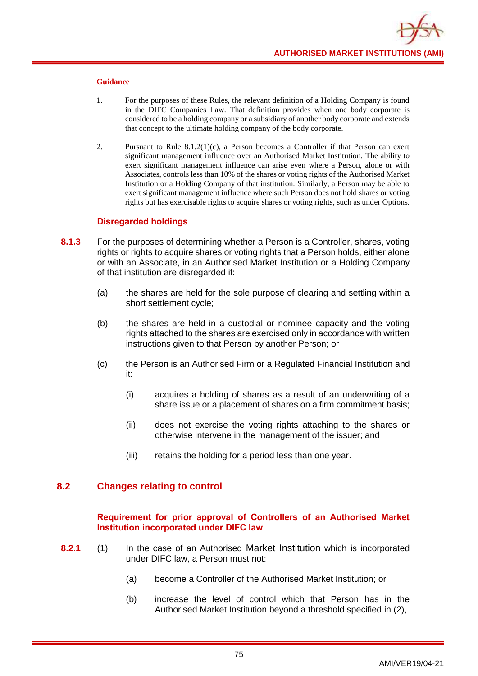

#### **Guidance**

- 1. For the purposes of these Rules, the relevant definition of a Holding Company is found in the DIFC Companies Law. That definition provides when one body corporate is considered to be a holding company or a subsidiary of another body corporate and extends that concept to the ultimate holding company of the body corporate.
- 2. Pursuant to Rule  $8.1.2(1)(c)$ , a Person becomes a Controller if that Person can exert significant management influence over an Authorised Market Institution. The ability to exert significant management influence can arise even where a Person, alone or with Associates, controls less than 10% of the shares or voting rights of the Authorised Market Institution or a Holding Company of that institution. Similarly, a Person may be able to exert significant management influence where such Person does not hold shares or voting rights but has exercisable rights to acquire shares or voting rights, such as under Options.

### **Disregarded holdings**

- **8.1.3** For the purposes of determining whether a Person is a Controller, shares, voting rights or rights to acquire shares or voting rights that a Person holds, either alone or with an Associate, in an Authorised Market Institution or a Holding Company of that institution are disregarded if:
	- (a) the shares are held for the sole purpose of clearing and settling within a short settlement cycle;
	- (b) the shares are held in a custodial or nominee capacity and the voting rights attached to the shares are exercised only in accordance with written instructions given to that Person by another Person; or
	- (c) the Person is an Authorised Firm or a Regulated Financial Institution and it:
		- (i) acquires a holding of shares as a result of an underwriting of a share issue or a placement of shares on a firm commitment basis;
		- (ii) does not exercise the voting rights attaching to the shares or otherwise intervene in the management of the issuer; and
		- (iii) retains the holding for a period less than one year.

# **8.2 Changes relating to control**

### **Requirement for prior approval of Controllers of an Authorised Market Institution incorporated under DIFC law**

- **8.2.1** (1) In the case of an Authorised Market Institution which is incorporated under DIFC law, a Person must not:
	- (a) become a Controller of the Authorised Market Institution; or
	- (b) increase the level of control which that Person has in the Authorised Market Institution beyond a threshold specified in (2),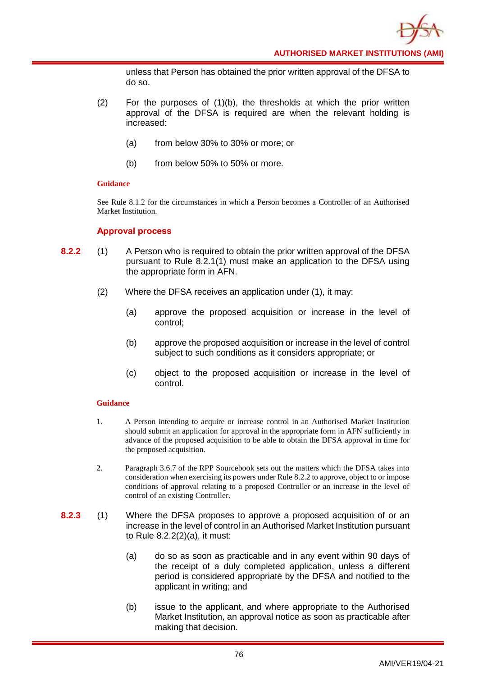unless that Person has obtained the prior written approval of the DFSA to do so.

- $(2)$  For the purposes of  $(1)(b)$ , the thresholds at which the prior written approval of the DFSA is required are when the relevant holding is increased:
	- (a) from below 30% to 30% or more; or
	- (b) from below 50% to 50% or more.

### **Guidance**

See Rule 8.1.2 for the circumstances in which a Person becomes a Controller of an Authorised Market Institution.

### **Approval process**

- **8.2.2** (1) A Person who is required to obtain the prior written approval of the DFSA pursuant to Rule 8.2.1(1) must make an application to the DFSA using the appropriate form in AFN.
	- (2) Where the DFSA receives an application under (1), it may:
		- (a) approve the proposed acquisition or increase in the level of control;
		- (b) approve the proposed acquisition or increase in the level of control subject to such conditions as it considers appropriate; or
		- (c) object to the proposed acquisition or increase in the level of control.

- 1. A Person intending to acquire or increase control in an Authorised Market Institution should submit an application for approval in the appropriate form in AFN sufficiently in advance of the proposed acquisition to be able to obtain the DFSA approval in time for the proposed acquisition.
- 2. Paragraph 3.6.7 of the RPP Sourcebook sets out the matters which the DFSA takes into consideration when exercising its powers under Rule 8.2.2 to approve, object to or impose conditions of approval relating to a proposed Controller or an increase in the level of control of an existing Controller.
- **8.2.3** (1) Where the DFSA proposes to approve a proposed acquisition of or an increase in the level of control in an Authorised Market Institution pursuant to Rule 8.2.2(2)(a), it must:
	- (a) do so as soon as practicable and in any event within 90 days of the receipt of a duly completed application, unless a different period is considered appropriate by the DFSA and notified to the applicant in writing; and
	- (b) issue to the applicant, and where appropriate to the Authorised Market Institution, an approval notice as soon as practicable after making that decision.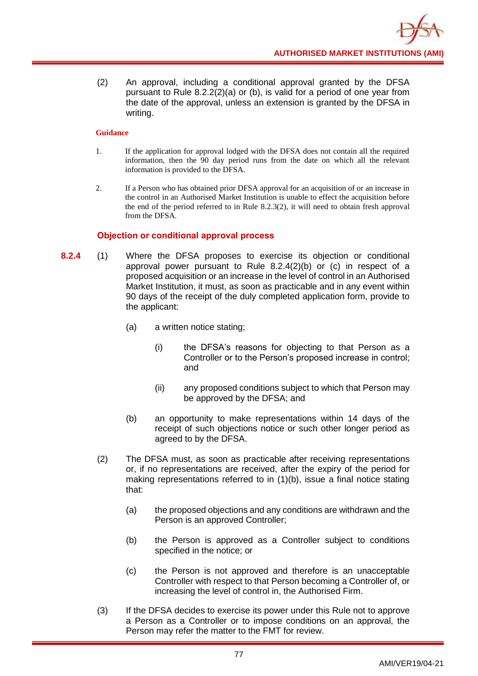(2) An approval, including a conditional approval granted by the DFSA pursuant to Rule 8.2.2(2)(a) or (b), is valid for a period of one year from the date of the approval, unless an extension is granted by the DFSA in writing.

## **Guidance**

- 1. If the application for approval lodged with the DFSA does not contain all the required information, then the 90 day period runs from the date on which all the relevant information is provided to the DFSA.
- 2. If a Person who has obtained prior DFSA approval for an acquisition of or an increase in the control in an Authorised Market Institution is unable to effect the acquisition before the end of the period referred to in Rule 8.2.3(2), it will need to obtain fresh approval from the DFSA.

# **Objection or conditional approval process**

- **8.2.4** (1) Where the DFSA proposes to exercise its objection or conditional approval power pursuant to Rule 8.2.4(2)(b) or (c) in respect of a proposed acquisition or an increase in the level of control in an Authorised Market Institution, it must, as soon as practicable and in any event within 90 days of the receipt of the duly completed application form, provide to the applicant:
	- (a) a written notice stating;
		- (i) the DFSA's reasons for objecting to that Person as a Controller or to the Person's proposed increase in control; and
		- (ii) any proposed conditions subject to which that Person may be approved by the DFSA; and
	- (b) an opportunity to make representations within 14 days of the receipt of such objections notice or such other longer period as agreed to by the DFSA.
	- (2) The DFSA must, as soon as practicable after receiving representations or, if no representations are received, after the expiry of the period for making representations referred to in (1)(b), issue a final notice stating that:
		- (a) the proposed objections and any conditions are withdrawn and the Person is an approved Controller;
		- (b) the Person is approved as a Controller subject to conditions specified in the notice; or
		- (c) the Person is not approved and therefore is an unacceptable Controller with respect to that Person becoming a Controller of, or increasing the level of control in, the Authorised Firm.
	- (3) If the DFSA decides to exercise its power under this Rule not to approve a Person as a Controller or to impose conditions on an approval, the Person may refer the matter to the FMT for review.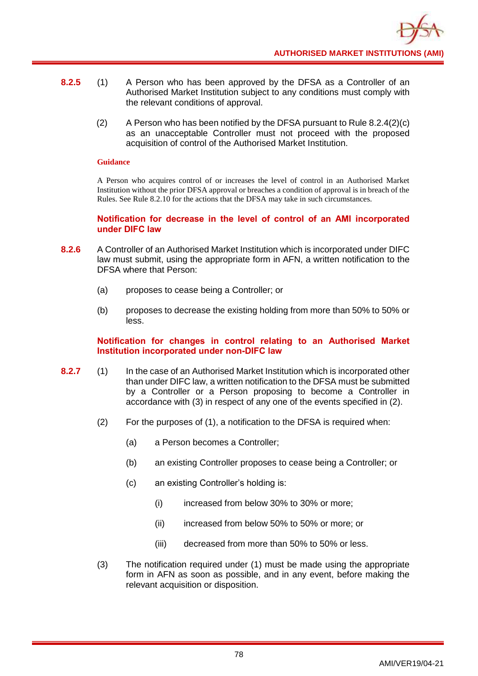- **8.2.5** (1) A Person who has been approved by the DFSA as a Controller of an Authorised Market Institution subject to any conditions must comply with the relevant conditions of approval.
	- $(2)$  A Person who has been notified by the DFSA pursuant to Rule 8.2.4(2)(c) as an unacceptable Controller must not proceed with the proposed acquisition of control of the Authorised Market Institution.

#### **Guidance**

A Person who acquires control of or increases the level of control in an Authorised Market Institution without the prior DFSA approval or breaches a condition of approval is in breach of the Rules. See Rule 8.2.10 for the actions that the DFSA may take in such circumstances.

**Notification for decrease in the level of control of an AMI incorporated under DIFC law**

- **8.2.6** A Controller of an Authorised Market Institution which is incorporated under DIFC law must submit, using the appropriate form in AFN, a written notification to the DFSA where that Person:
	- (a) proposes to cease being a Controller; or
	- (b) proposes to decrease the existing holding from more than 50% to 50% or less.

# **Notification for changes in control relating to an Authorised Market Institution incorporated under non-DIFC law**

- **8.2.7** (1) In the case of an Authorised Market Institution which is incorporated other than under DIFC law, a written notification to the DFSA must be submitted by a Controller or a Person proposing to become a Controller in accordance with (3) in respect of any one of the events specified in (2).
	- (2) For the purposes of (1), a notification to the DFSA is required when:
		- (a) a Person becomes a Controller;
		- (b) an existing Controller proposes to cease being a Controller; or
		- (c) an existing Controller's holding is:
			- (i) increased from below 30% to 30% or more;
			- (ii) increased from below 50% to 50% or more; or
			- (iii) decreased from more than 50% to 50% or less.
	- (3) The notification required under (1) must be made using the appropriate form in AFN as soon as possible, and in any event, before making the relevant acquisition or disposition.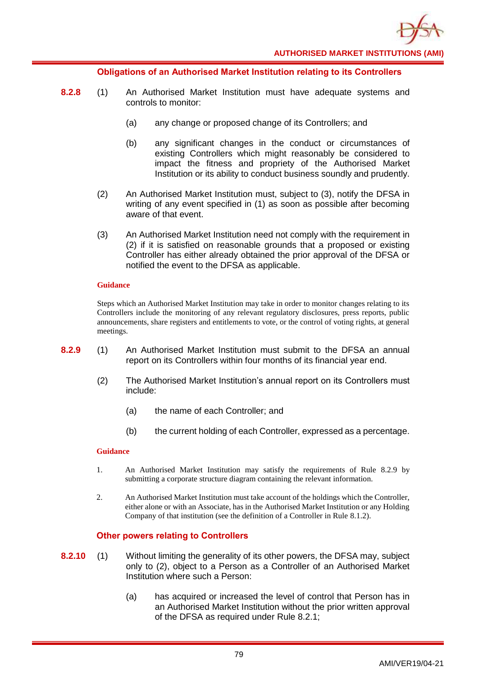

### **Obligations of an Authorised Market Institution relating to its Controllers**

- **8.2.8** (1) An Authorised Market Institution must have adequate systems and controls to monitor:
	- (a) any change or proposed change of its Controllers; and
	- (b) any significant changes in the conduct or circumstances of existing Controllers which might reasonably be considered to impact the fitness and propriety of the Authorised Market Institution or its ability to conduct business soundly and prudently.
	- (2) An Authorised Market Institution must, subject to (3), notify the DFSA in writing of any event specified in (1) as soon as possible after becoming aware of that event.
	- (3) An Authorised Market Institution need not comply with the requirement in (2) if it is satisfied on reasonable grounds that a proposed or existing Controller has either already obtained the prior approval of the DFSA or notified the event to the DFSA as applicable.

#### **Guidance**

Steps which an Authorised Market Institution may take in order to monitor changes relating to its Controllers include the monitoring of any relevant regulatory disclosures, press reports, public announcements, share registers and entitlements to vote, or the control of voting rights, at general meetings.

- **8.2.9** (1) An Authorised Market Institution must submit to the DFSA an annual report on its Controllers within four months of its financial year end.
	- (2) The Authorised Market Institution's annual report on its Controllers must include:
		- (a) the name of each Controller; and
		- (b) the current holding of each Controller, expressed as a percentage.

### **Guidance**

- 1. An Authorised Market Institution may satisfy the requirements of Rule 8.2.9 by submitting a corporate structure diagram containing the relevant information.
- 2. An Authorised Market Institution must take account of the holdings which the Controller, either alone or with an Associate, has in the Authorised Market Institution or any Holding Company of that institution (see the definition of a Controller in Rule 8.1.2).

### **Other powers relating to Controllers**

- **8.2.10** (1) Without limiting the generality of its other powers, the DFSA may, subject only to (2), object to a Person as a Controller of an Authorised Market Institution where such a Person:
	- (a) has acquired or increased the level of control that Person has in an Authorised Market Institution without the prior written approval of the DFSA as required under Rule 8.2.1;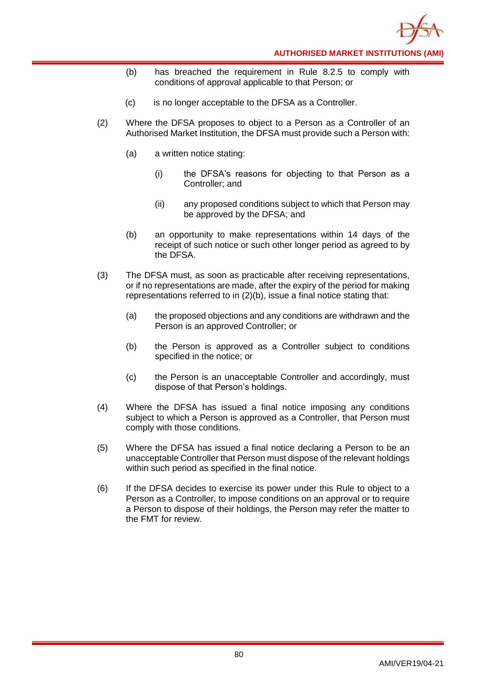

- (b) has breached the requirement in Rule 8.2.5 to comply with conditions of approval applicable to that Person; or
- (c) is no longer acceptable to the DFSA as a Controller.
- (2) Where the DFSA proposes to object to a Person as a Controller of an Authorised Market Institution, the DFSA must provide such a Person with:
	- (a) a written notice stating:
		- (i) the DFSA's reasons for objecting to that Person as a Controller; and
		- (ii) any proposed conditions subject to which that Person may be approved by the DFSA; and
	- (b) an opportunity to make representations within 14 days of the receipt of such notice or such other longer period as agreed to by the DFSA.
- (3) The DFSA must, as soon as practicable after receiving representations, or if no representations are made, after the expiry of the period for making representations referred to in (2)(b), issue a final notice stating that:
	- (a) the proposed objections and any conditions are withdrawn and the Person is an approved Controller; or
	- (b) the Person is approved as a Controller subject to conditions specified in the notice; or
	- (c) the Person is an unacceptable Controller and accordingly, must dispose of that Person's holdings.
- (4) Where the DFSA has issued a final notice imposing any conditions subject to which a Person is approved as a Controller, that Person must comply with those conditions.
- (5) Where the DFSA has issued a final notice declaring a Person to be an unacceptable Controller that Person must dispose of the relevant holdings within such period as specified in the final notice.
- (6) If the DFSA decides to exercise its power under this Rule to object to a Person as a Controller, to impose conditions on an approval or to require a Person to dispose of their holdings, the Person may refer the matter to the FMT for review.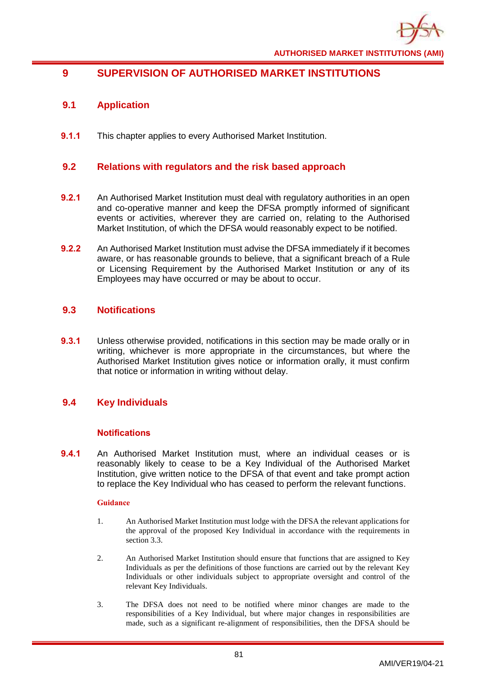

# **9 SUPERVISION OF AUTHORISED MARKET INSTITUTIONS**

# **9.1 Application**

**9.1.1** This chapter applies to every Authorised Market Institution.

# **9.2 Relations with regulators and the risk based approach**

- **9.2.1** An Authorised Market Institution must deal with regulatory authorities in an open and co-operative manner and keep the DFSA promptly informed of significant events or activities, wherever they are carried on, relating to the Authorised Market Institution, of which the DFSA would reasonably expect to be notified.
- **9.2.2** An Authorised Market Institution must advise the DFSA immediately if it becomes aware, or has reasonable grounds to believe, that a significant breach of a Rule or Licensing Requirement by the Authorised Market Institution or any of its Employees may have occurred or may be about to occur.

# **9.3 Notifications**

**9.3.1** Unless otherwise provided, notifications in this section may be made orally or in writing, whichever is more appropriate in the circumstances, but where the Authorised Market Institution gives notice or information orally, it must confirm that notice or information in writing without delay.

# **9.4 Key Individuals**

### **Notifications**

**9.4.1** An Authorised Market Institution must, where an individual ceases or is reasonably likely to cease to be a Key Individual of the Authorised Market Institution, give written notice to the DFSA of that event and take prompt action to replace the Key Individual who has ceased to perform the relevant functions.

- 1. An Authorised Market Institution must lodge with the DFSA the relevant applications for the approval of the proposed Key Individual in accordance with the requirements in section 3.3.
- 2. An Authorised Market Institution should ensure that functions that are assigned to Key Individuals as per the definitions of those functions are carried out by the relevant Key Individuals or other individuals subject to appropriate oversight and control of the relevant Key Individuals.
- 3. The DFSA does not need to be notified where minor changes are made to the responsibilities of a Key Individual, but where major changes in responsibilities are made, such as a significant re-alignment of responsibilities, then the DFSA should be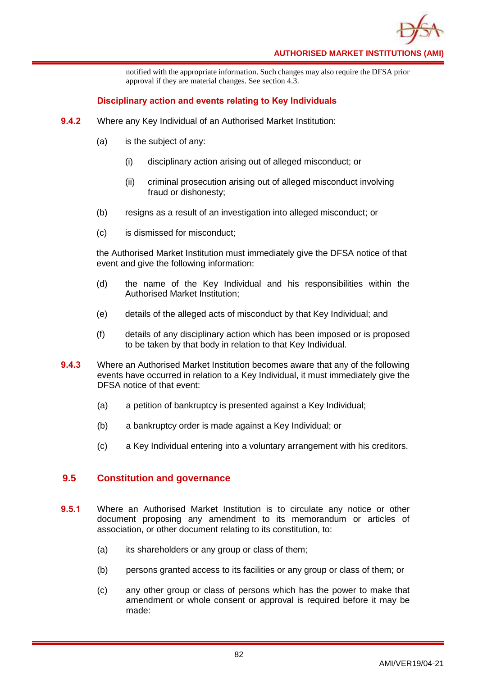

notified with the appropriate information. Such changes may also require the DFSA prior approval if they are material changes. See section 4.3.

## **Disciplinary action and events relating to Key Individuals**

- **9.4.2** Where any Key Individual of an Authorised Market Institution:
	- (a) is the subject of any:
		- (i) disciplinary action arising out of alleged misconduct; or
		- (ii) criminal prosecution arising out of alleged misconduct involving fraud or dishonesty;
	- (b) resigns as a result of an investigation into alleged misconduct; or
	- (c) is dismissed for misconduct;

the Authorised Market Institution must immediately give the DFSA notice of that event and give the following information:

- (d) the name of the Key Individual and his responsibilities within the Authorised Market Institution;
- (e) details of the alleged acts of misconduct by that Key Individual; and
- (f) details of any disciplinary action which has been imposed or is proposed to be taken by that body in relation to that Key Individual.
- **9.4.3** Where an Authorised Market Institution becomes aware that any of the following events have occurred in relation to a Key Individual, it must immediately give the DFSA notice of that event:
	- (a) a petition of bankruptcy is presented against a Key Individual;
	- (b) a bankruptcy order is made against a Key Individual; or
	- (c) a Key Individual entering into a voluntary arrangement with his creditors.

# **9.5 Constitution and governance**

- **9.5.1** Where an Authorised Market Institution is to circulate any notice or other document proposing any amendment to its memorandum or articles of association, or other document relating to its constitution, to:
	- (a) its shareholders or any group or class of them;
	- (b) persons granted access to its facilities or any group or class of them; or
	- (c) any other group or class of persons which has the power to make that amendment or whole consent or approval is required before it may be made: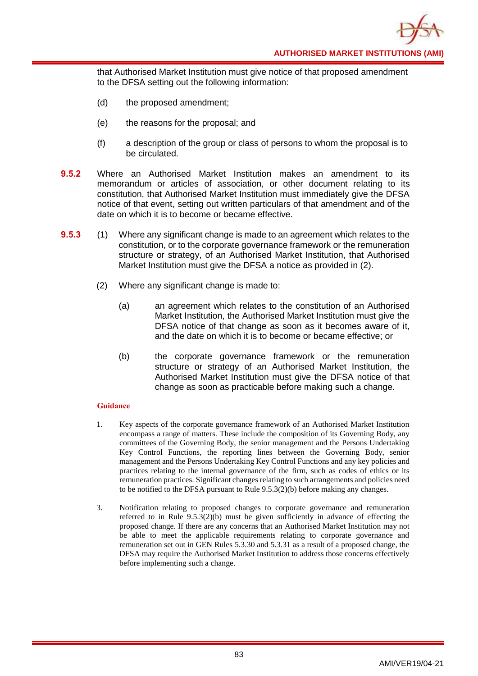**AUTHORISED MARKET INSTITUTIONS (AMI)**

that Authorised Market Institution must give notice of that proposed amendment to the DFSA setting out the following information:

- (d) the proposed amendment;
- (e) the reasons for the proposal; and
- (f) a description of the group or class of persons to whom the proposal is to be circulated.
- **9.5.2** Where an Authorised Market Institution makes an amendment to its memorandum or articles of association, or other document relating to its constitution, that Authorised Market Institution must immediately give the DFSA notice of that event, setting out written particulars of that amendment and of the date on which it is to become or became effective.
- **9.5.3** (1) Where any significant change is made to an agreement which relates to the constitution, or to the corporate governance framework or the remuneration structure or strategy, of an Authorised Market Institution, that Authorised Market Institution must give the DFSA a notice as provided in (2).
	- (2) Where any significant change is made to:
		- (a) an agreement which relates to the constitution of an Authorised Market Institution, the Authorised Market Institution must give the DFSA notice of that change as soon as it becomes aware of it, and the date on which it is to become or became effective; or
		- (b) the corporate governance framework or the remuneration structure or strategy of an Authorised Market Institution, the Authorised Market Institution must give the DFSA notice of that change as soon as practicable before making such a change.

- 1. Key aspects of the corporate governance framework of an Authorised Market Institution encompass a range of matters. These include the composition of its Governing Body, any committees of the Governing Body, the senior management and the Persons Undertaking Key Control Functions, the reporting lines between the Governing Body, senior management and the Persons Undertaking Key Control Functions and any key policies and practices relating to the internal governance of the firm, such as codes of ethics or its remuneration practices. Significant changes relating to such arrangements and policies need to be notified to the DFSA pursuant to Rule 9.5.3(2)(b) before making any changes.
- 3. Notification relating to proposed changes to corporate governance and remuneration referred to in Rule  $9.5.3(2)(b)$  must be given sufficiently in advance of effecting the proposed change. If there are any concerns that an Authorised Market Institution may not be able to meet the applicable requirements relating to corporate governance and remuneration set out in GEN Rules 5.3.30 and 5.3.31 as a result of a proposed change, the DFSA may require the Authorised Market Institution to address those concerns effectively before implementing such a change.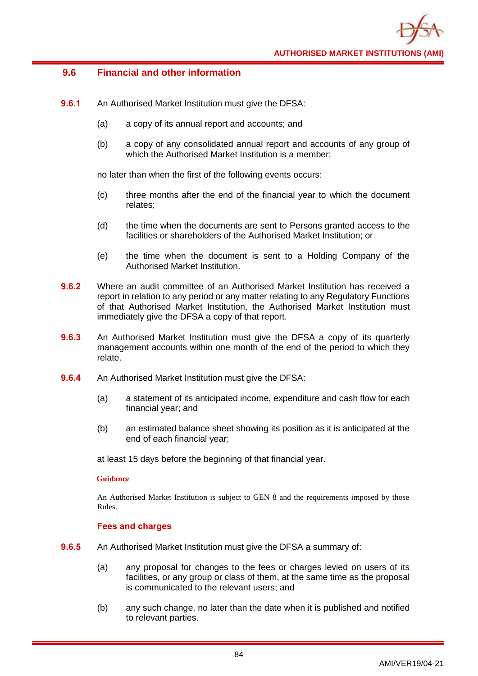# **9.6 Financial and other information**

- **9.6.1** An Authorised Market Institution must give the DFSA:
	- (a) a copy of its annual report and accounts; and
	- (b) a copy of any consolidated annual report and accounts of any group of which the Authorised Market Institution is a member;

no later than when the first of the following events occurs:

- (c) three months after the end of the financial year to which the document relates;
- (d) the time when the documents are sent to Persons granted access to the facilities or shareholders of the Authorised Market Institution; or
- (e) the time when the document is sent to a Holding Company of the Authorised Market Institution.
- **9.6.2** Where an audit committee of an Authorised Market Institution has received a report in relation to any period or any matter relating to any Regulatory Functions of that Authorised Market Institution, the Authorised Market Institution must immediately give the DFSA a copy of that report.
- **9.6.3** An Authorised Market Institution must give the DFSA a copy of its quarterly management accounts within one month of the end of the period to which they relate.
- **9.6.4** An Authorised Market Institution must give the DFSA:
	- (a) a statement of its anticipated income, expenditure and cash flow for each financial year; and
	- (b) an estimated balance sheet showing its position as it is anticipated at the end of each financial year;

at least 15 days before the beginning of that financial year.

### **Guidance**

An Authorised Market Institution is subject to GEN 8 and the requirements imposed by those Rules.

### **Fees and charges**

- **9.6.5** An Authorised Market Institution must give the DFSA a summary of:
	- (a) any proposal for changes to the fees or charges levied on users of its facilities, or any group or class of them, at the same time as the proposal is communicated to the relevant users; and
	- (b) any such change, no later than the date when it is published and notified to relevant parties.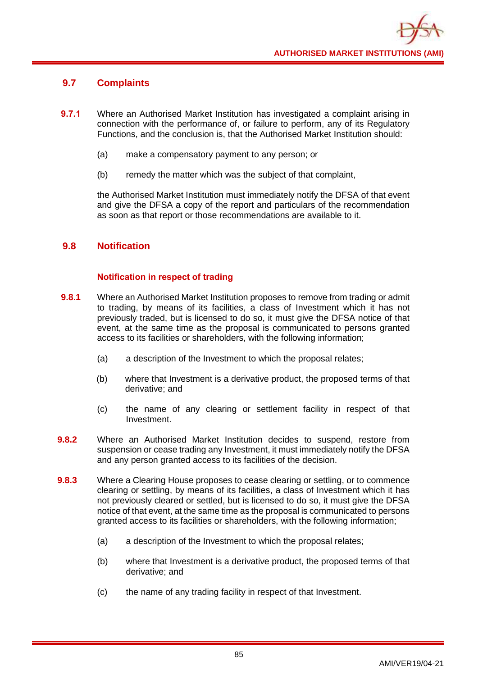# **9.7 Complaints**

- **9.7.1** Where an Authorised Market Institution has investigated a complaint arising in connection with the performance of, or failure to perform, any of its Regulatory Functions, and the conclusion is, that the Authorised Market Institution should:
	- (a) make a compensatory payment to any person; or
	- (b) remedy the matter which was the subject of that complaint,

the Authorised Market Institution must immediately notify the DFSA of that event and give the DFSA a copy of the report and particulars of the recommendation as soon as that report or those recommendations are available to it.

# **9.8 Notification**

# **Notification in respect of trading**

- **9.8.1** Where an Authorised Market Institution proposes to remove from trading or admit to trading, by means of its facilities, a class of Investment which it has not previously traded, but is licensed to do so, it must give the DFSA notice of that event, at the same time as the proposal is communicated to persons granted access to its facilities or shareholders, with the following information;
	- (a) a description of the Investment to which the proposal relates;
	- (b) where that Investment is a derivative product, the proposed terms of that derivative; and
	- (c) the name of any clearing or settlement facility in respect of that Investment.
- **9.8.2** Where an Authorised Market Institution decides to suspend, restore from suspension or cease trading any Investment, it must immediately notify the DFSA and any person granted access to its facilities of the decision.
- **9.8.3** Where a Clearing House proposes to cease clearing or settling, or to commence clearing or settling, by means of its facilities, a class of Investment which it has not previously cleared or settled, but is licensed to do so, it must give the DFSA notice of that event, at the same time as the proposal is communicated to persons granted access to its facilities or shareholders, with the following information;
	- (a) a description of the Investment to which the proposal relates;
	- (b) where that Investment is a derivative product, the proposed terms of that derivative; and
	- (c) the name of any trading facility in respect of that Investment.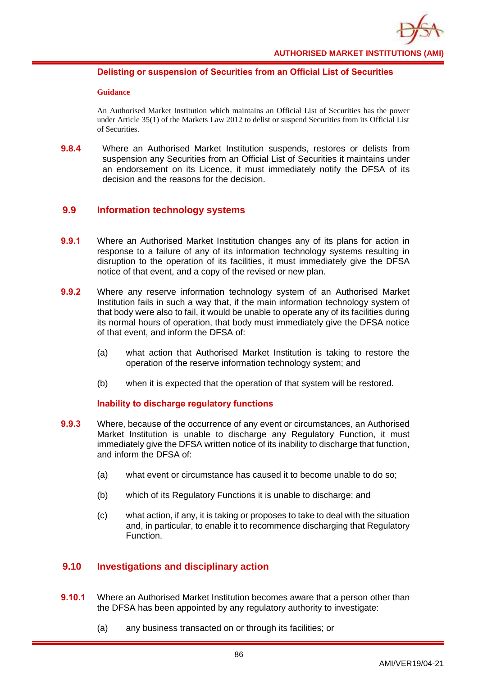

## **Delisting or suspension of Securities from an Official List of Securities**

#### **Guidance**

An Authorised Market Institution which maintains an Official List of Securities has the power under Article 35(1) of the Markets Law 2012 to delist or suspend Securities from its Official List of Securities.

**9.8.4** Where an Authorised Market Institution suspends, restores or delists from suspension any Securities from an Official List of Securities it maintains under an endorsement on its Licence, it must immediately notify the DFSA of its decision and the reasons for the decision.

# **9.9 Information technology systems**

- **9.9.1** Where an Authorised Market Institution changes any of its plans for action in response to a failure of any of its information technology systems resulting in disruption to the operation of its facilities, it must immediately give the DFSA notice of that event, and a copy of the revised or new plan.
- **9.9.2** Where any reserve information technology system of an Authorised Market Institution fails in such a way that, if the main information technology system of that body were also to fail, it would be unable to operate any of its facilities during its normal hours of operation, that body must immediately give the DFSA notice of that event, and inform the DFSA of:
	- (a) what action that Authorised Market Institution is taking to restore the operation of the reserve information technology system; and
	- (b) when it is expected that the operation of that system will be restored.

### **Inability to discharge regulatory functions**

- **9.9.3** Where, because of the occurrence of any event or circumstances, an Authorised Market Institution is unable to discharge any Regulatory Function, it must immediately give the DFSA written notice of its inability to discharge that function, and inform the DFSA of:
	- (a) what event or circumstance has caused it to become unable to do so;
	- (b) which of its Regulatory Functions it is unable to discharge; and
	- (c) what action, if any, it is taking or proposes to take to deal with the situation and, in particular, to enable it to recommence discharging that Regulatory Function.

# **9.10 Investigations and disciplinary action**

- **9.10.1** Where an Authorised Market Institution becomes aware that a person other than the DFSA has been appointed by any regulatory authority to investigate:
	- (a) any business transacted on or through its facilities; or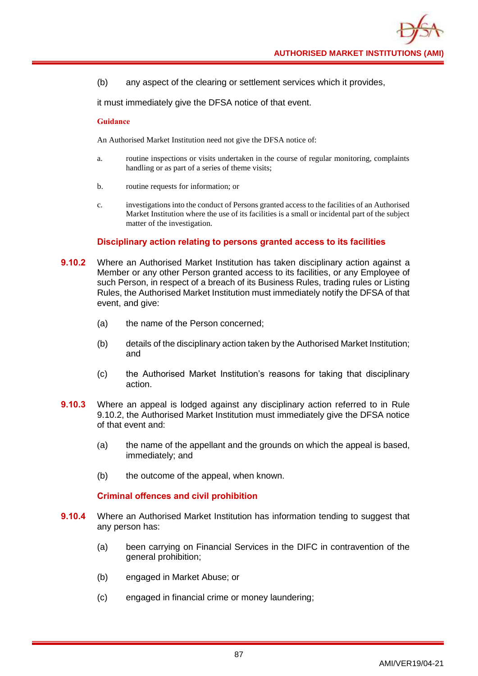(b) any aspect of the clearing or settlement services which it provides,

it must immediately give the DFSA notice of that event.

#### **Guidance**

An Authorised Market Institution need not give the DFSA notice of:

- a. routine inspections or visits undertaken in the course of regular monitoring, complaints handling or as part of a series of theme visits;
- b. routine requests for information; or
- c. investigations into the conduct of Persons granted access to the facilities of an Authorised Market Institution where the use of its facilities is a small or incidental part of the subject matter of the investigation.

### **Disciplinary action relating to persons granted access to its facilities**

- **9.10.2** Where an Authorised Market Institution has taken disciplinary action against a Member or any other Person granted access to its facilities, or any Employee of such Person, in respect of a breach of its Business Rules, trading rules or Listing Rules, the Authorised Market Institution must immediately notify the DFSA of that event, and give:
	- (a) the name of the Person concerned;
	- (b) details of the disciplinary action taken by the Authorised Market Institution; and
	- (c) the Authorised Market Institution's reasons for taking that disciplinary action.
- **9.10.3** Where an appeal is lodged against any disciplinary action referred to in Rule 9.10.2, the Authorised Market Institution must immediately give the DFSA notice of that event and:
	- (a) the name of the appellant and the grounds on which the appeal is based, immediately; and
	- (b) the outcome of the appeal, when known.

### **Criminal offences and civil prohibition**

- **9.10.4** Where an Authorised Market Institution has information tending to suggest that any person has:
	- (a) been carrying on Financial Services in the DIFC in contravention of the general prohibition;
	- (b) engaged in Market Abuse; or
	- (c) engaged in financial crime or money laundering;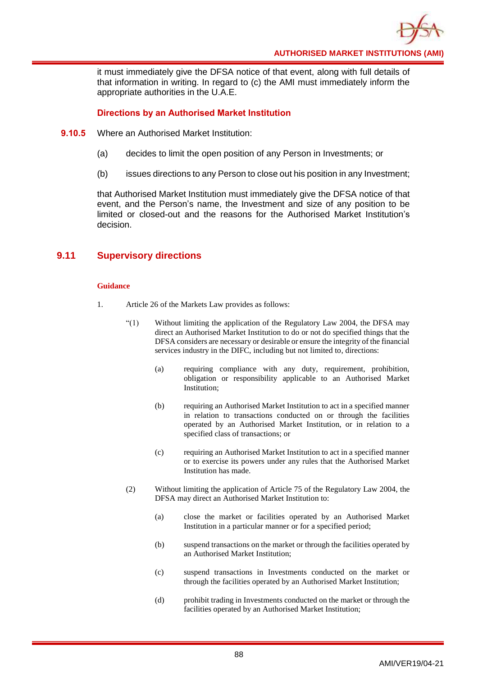

it must immediately give the DFSA notice of that event, along with full details of that information in writing. In regard to (c) the AMI must immediately inform the appropriate authorities in the U.A.E.

## **Directions by an Authorised Market Institution**

- **9.10.5** Where an Authorised Market Institution:
	- (a) decides to limit the open position of any Person in Investments; or
	- (b) issues directions to any Person to close out his position in any Investment;

that Authorised Market Institution must immediately give the DFSA notice of that event, and the Person's name, the Investment and size of any position to be limited or closed-out and the reasons for the Authorised Market Institution's decision.

# **9.11 Supervisory directions**

- 1. Article 26 of the Markets Law provides as follows:
	- "(1) Without limiting the application of the Regulatory Law 2004, the DFSA may direct an Authorised Market Institution to do or not do specified things that the DFSA considers are necessary or desirable or ensure the integrity of the financial services industry in the DIFC, including but not limited to, directions:
		- (a) requiring compliance with any duty, requirement, prohibition, obligation or responsibility applicable to an Authorised Market Institution;
		- (b) requiring an Authorised Market Institution to act in a specified manner in relation to transactions conducted on or through the facilities operated by an Authorised Market Institution, or in relation to a specified class of transactions; or
		- (c) requiring an Authorised Market Institution to act in a specified manner or to exercise its powers under any rules that the Authorised Market Institution has made.
	- (2) Without limiting the application of Article 75 of the Regulatory Law 2004, the DFSA may direct an Authorised Market Institution to:
		- (a) close the market or facilities operated by an Authorised Market Institution in a particular manner or for a specified period;
		- (b) suspend transactions on the market or through the facilities operated by an Authorised Market Institution;
		- (c) suspend transactions in Investments conducted on the market or through the facilities operated by an Authorised Market Institution;
		- (d) prohibit trading in Investments conducted on the market or through the facilities operated by an Authorised Market Institution;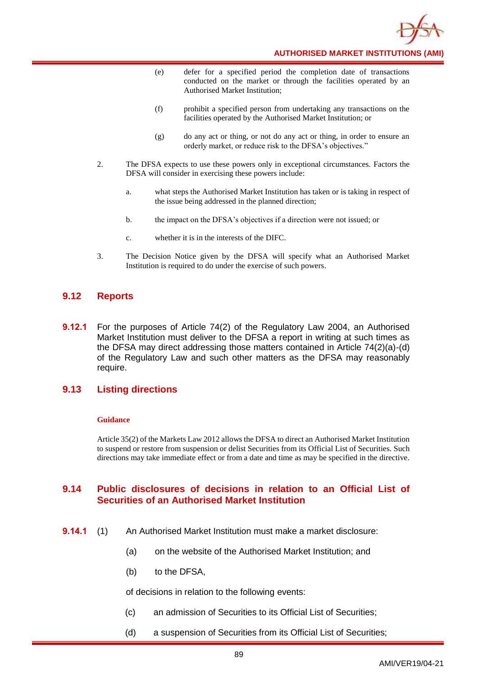

**AUTHORISED MARKET INSTITUTIONS (AMI)**

- (e) defer for a specified period the completion date of transactions conducted on the market or through the facilities operated by an Authorised Market Institution;
- (f) prohibit a specified person from undertaking any transactions on the facilities operated by the Authorised Market Institution; or
- (g) do any act or thing, or not do any act or thing, in order to ensure an orderly market, or reduce risk to the DFSA's objectives."
- 2. The DFSA expects to use these powers only in exceptional circumstances. Factors the DFSA will consider in exercising these powers include:
	- a. what steps the Authorised Market Institution has taken or is taking in respect of the issue being addressed in the planned direction;
	- b. the impact on the DFSA's objectives if a direction were not issued; or
	- c. whether it is in the interests of the DIFC.
- 3. The Decision Notice given by the DFSA will specify what an Authorised Market Institution is required to do under the exercise of such powers.

# **9.12 Reports**

**9.12.1** For the purposes of Article 74(2) of the Regulatory Law 2004, an Authorised Market Institution must deliver to the DFSA a report in writing at such times as the DFSA may direct addressing those matters contained in Article 74(2)(a)-(d) of the Regulatory Law and such other matters as the DFSA may reasonably require.

# **9.13 Listing directions**

#### **Guidance**

Article 35(2) of the Markets Law 2012 allows the DFSA to direct an Authorised Market Institution to suspend or restore from suspension or delist Securities from its Official List of Securities. Such directions may take immediate effect or from a date and time as may be specified in the directive.

# **9.14 Public disclosures of decisions in relation to an Official List of Securities of an Authorised Market Institution**

- **9.14.1** (1) An Authorised Market Institution must make a market disclosure:
	- (a) on the website of the Authorised Market Institution; and
	- (b) to the DFSA,

of decisions in relation to the following events:

- (c) an admission of Securities to its Official List of Securities;
- (d) a suspension of Securities from its Official List of Securities;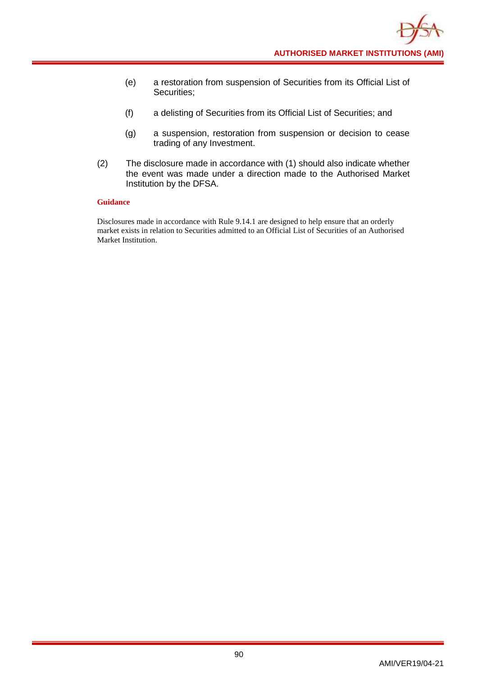- (e) a restoration from suspension of Securities from its Official List of Securities;
- (f) a delisting of Securities from its Official List of Securities; and
- (g) a suspension, restoration from suspension or decision to cease trading of any Investment.
- (2) The disclosure made in accordance with (1) should also indicate whether the event was made under a direction made to the Authorised Market Institution by the DFSA.

#### **Guidance**

Disclosures made in accordance with Rule 9.14.1 are designed to help ensure that an orderly market exists in relation to Securities admitted to an Official List of Securities of an Authorised Market Institution.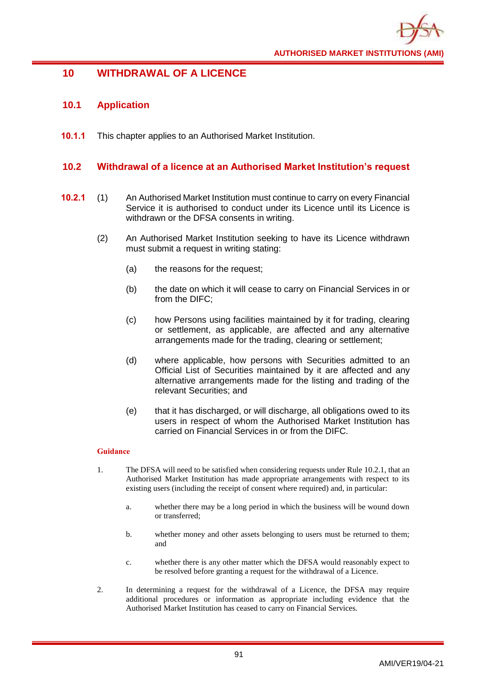

# **10 WITHDRAWAL OF A LICENCE**

# **10.1 Application**

**10.1.1** This chapter applies to an Authorised Market Institution.

## **10.2 Withdrawal of a licence at an Authorised Market Institution's request**

- **10.2.1** (1) An Authorised Market Institution must continue to carry on every Financial Service it is authorised to conduct under its Licence until its Licence is withdrawn or the DFSA consents in writing.
	- (2) An Authorised Market Institution seeking to have its Licence withdrawn must submit a request in writing stating:
		- (a) the reasons for the request;
		- (b) the date on which it will cease to carry on Financial Services in or from the DIFC;
		- (c) how Persons using facilities maintained by it for trading, clearing or settlement, as applicable, are affected and any alternative arrangements made for the trading, clearing or settlement;
		- (d) where applicable, how persons with Securities admitted to an Official List of Securities maintained by it are affected and any alternative arrangements made for the listing and trading of the relevant Securities; and
		- (e) that it has discharged, or will discharge, all obligations owed to its users in respect of whom the Authorised Market Institution has carried on Financial Services in or from the DIFC.

- 1. The DFSA will need to be satisfied when considering requests under Rule 10.2.1, that an Authorised Market Institution has made appropriate arrangements with respect to its existing users (including the receipt of consent where required) and, in particular:
	- a. whether there may be a long period in which the business will be wound down or transferred;
	- b. whether money and other assets belonging to users must be returned to them; and
	- c. whether there is any other matter which the DFSA would reasonably expect to be resolved before granting a request for the withdrawal of a Licence.
- 2. In determining a request for the withdrawal of a Licence, the DFSA may require additional procedures or information as appropriate including evidence that the Authorised Market Institution has ceased to carry on Financial Services.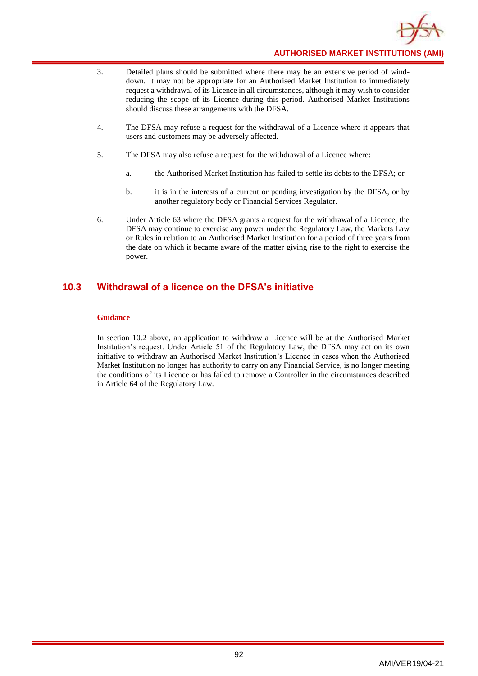

- 3. Detailed plans should be submitted where there may be an extensive period of winddown. It may not be appropriate for an Authorised Market Institution to immediately request a withdrawal of its Licence in all circumstances, although it may wish to consider reducing the scope of its Licence during this period. Authorised Market Institutions should discuss these arrangements with the DFSA.
- 4. The DFSA may refuse a request for the withdrawal of a Licence where it appears that users and customers may be adversely affected.
- 5. The DFSA may also refuse a request for the withdrawal of a Licence where:
	- a. the Authorised Market Institution has failed to settle its debts to the DFSA; or
	- b. it is in the interests of a current or pending investigation by the DFSA, or by another regulatory body or Financial Services Regulator.
- 6. Under Article 63 where the DFSA grants a request for the withdrawal of a Licence, the DFSA may continue to exercise any power under the Regulatory Law, the Markets Law or Rules in relation to an Authorised Market Institution for a period of three years from the date on which it became aware of the matter giving rise to the right to exercise the power.

# **10.3 Withdrawal of a licence on the DFSA's initiative**

#### **Guidance**

In section 10.2 above, an application to withdraw a Licence will be at the Authorised Market Institution's request. Under Article 51 of the Regulatory Law, the DFSA may act on its own initiative to withdraw an Authorised Market Institution's Licence in cases when the Authorised Market Institution no longer has authority to carry on any Financial Service, is no longer meeting the conditions of its Licence or has failed to remove a Controller in the circumstances described in Article 64 of the Regulatory Law.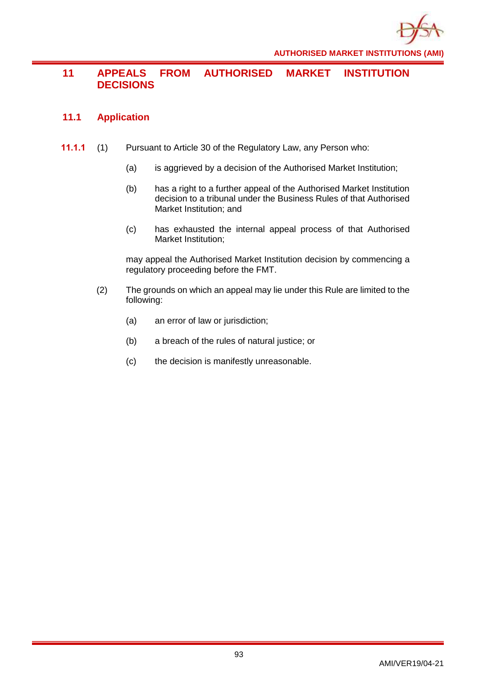

# **11 APPEALS FROM AUTHORISED MARKET INSTITUTION DECISIONS**

# **11.1 Application**

- **11.1.1** (1) Pursuant to Article 30 of the Regulatory Law, any Person who:
	- (a) is aggrieved by a decision of the Authorised Market Institution;
	- (b) has a right to a further appeal of the Authorised Market Institution decision to a tribunal under the Business Rules of that Authorised Market Institution; and
	- (c) has exhausted the internal appeal process of that Authorised Market Institution;

may appeal the Authorised Market Institution decision by commencing a regulatory proceeding before the FMT.

- (2) The grounds on which an appeal may lie under this Rule are limited to the following:
	- (a) an error of law or jurisdiction;
	- (b) a breach of the rules of natural justice; or
	- (c) the decision is manifestly unreasonable.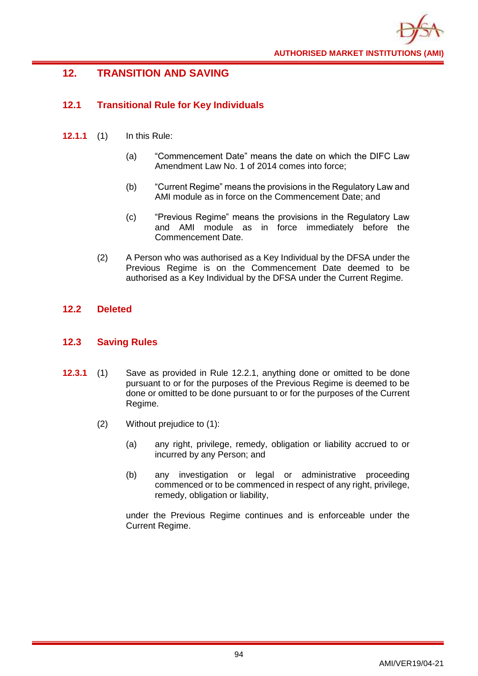

# **12. TRANSITION AND SAVING**

# **12.1 Transitional Rule for Key Individuals**

- **12.1.1** (1) In this Rule:
	- (a) "Commencement Date" means the date on which the DIFC Law Amendment Law No. 1 of 2014 comes into force;
	- (b) "Current Regime" means the provisions in the Regulatory Law and AMI module as in force on the Commencement Date; and
	- (c) "Previous Regime" means the provisions in the Regulatory Law and AMI module as in force immediately before the Commencement Date.
	- (2) A Person who was authorised as a Key Individual by the DFSA under the Previous Regime is on the Commencement Date deemed to be authorised as a Key Individual by the DFSA under the Current Regime.

# **12.2 Deleted**

# **12.3 Saving Rules**

- **12.3.1** (1) Save as provided in Rule 12.2.1, anything done or omitted to be done pursuant to or for the purposes of the Previous Regime is deemed to be done or omitted to be done pursuant to or for the purposes of the Current Regime.
	- (2) Without prejudice to (1):
		- (a) any right, privilege, remedy, obligation or liability accrued to or incurred by any Person; and
		- (b) any investigation or legal or administrative proceeding commenced or to be commenced in respect of any right, privilege, remedy, obligation or liability,

under the Previous Regime continues and is enforceable under the Current Regime.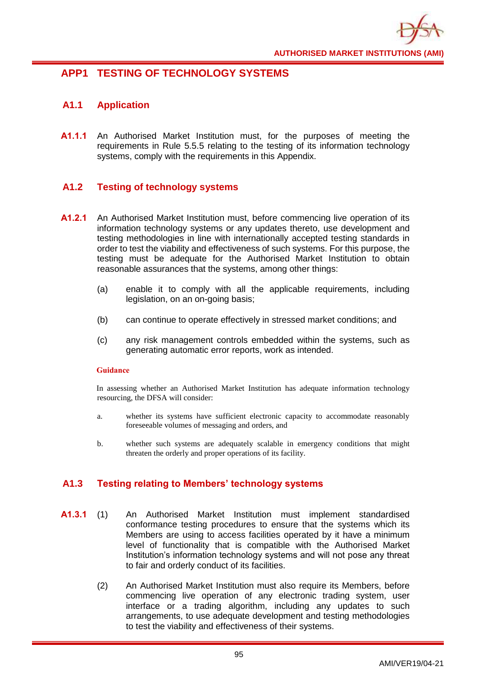

# **APP1 TESTING OF TECHNOLOGY SYSTEMS**

# **A1.1 Application**

**A1.1.1** An Authorised Market Institution must, for the purposes of meeting the requirements in Rule 5.5.5 relating to the testing of its information technology systems, comply with the requirements in this Appendix.

# **A1.2 Testing of technology systems**

- **A1.2.1** An Authorised Market Institution must, before commencing live operation of its information technology systems or any updates thereto, use development and testing methodologies in line with internationally accepted testing standards in order to test the viability and effectiveness of such systems. For this purpose, the testing must be adequate for the Authorised Market Institution to obtain reasonable assurances that the systems, among other things:
	- (a) enable it to comply with all the applicable requirements, including legislation, on an on-going basis;
	- (b) can continue to operate effectively in stressed market conditions; and
	- (c) any risk management controls embedded within the systems, such as generating automatic error reports, work as intended.

#### **Guidance**

In assessing whether an Authorised Market Institution has adequate information technology resourcing, the DFSA will consider:

- a. whether its systems have sufficient electronic capacity to accommodate reasonably foreseeable volumes of messaging and orders, and
- b. whether such systems are adequately scalable in emergency conditions that might threaten the orderly and proper operations of its facility.

# **A1.3 Testing relating to Members' technology systems**

- **A1.3.1** (1) An Authorised Market Institution must implement standardised conformance testing procedures to ensure that the systems which its Members are using to access facilities operated by it have a minimum level of functionality that is compatible with the Authorised Market Institution's information technology systems and will not pose any threat to fair and orderly conduct of its facilities.
	- (2) An Authorised Market Institution must also require its Members, before commencing live operation of any electronic trading system, user interface or a trading algorithm, including any updates to such arrangements, to use adequate development and testing methodologies to test the viability and effectiveness of their systems.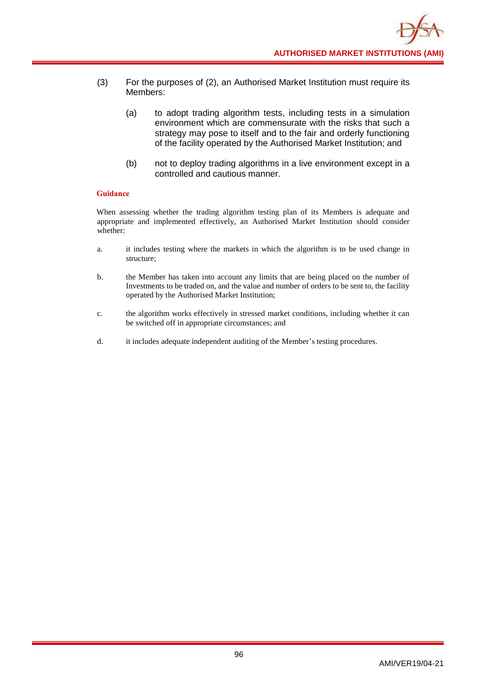- (3) For the purposes of (2), an Authorised Market Institution must require its Members:
	- (a) to adopt trading algorithm tests, including tests in a simulation environment which are commensurate with the risks that such a strategy may pose to itself and to the fair and orderly functioning of the facility operated by the Authorised Market Institution; and
	- (b) not to deploy trading algorithms in a live environment except in a controlled and cautious manner.

#### **Guidance**

When assessing whether the trading algorithm testing plan of its Members is adequate and appropriate and implemented effectively, an Authorised Market Institution should consider whether:

- a. it includes testing where the markets in which the algorithm is to be used change in structure;
- b. the Member has taken into account any limits that are being placed on the number of Investments to be traded on, and the value and number of orders to be sent to, the facility operated by the Authorised Market Institution;
- c. the algorithm works effectively in stressed market conditions, including whether it can be switched off in appropriate circumstances; and
- d. it includes adequate independent auditing of the Member's testing procedures.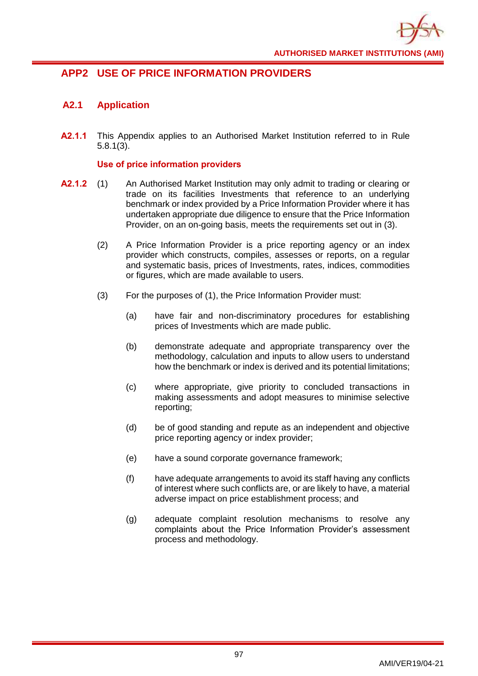

# **APP2 USE OF PRICE INFORMATION PROVIDERS**

# **A2.1 Application**

**A2.1.1** This Appendix applies to an Authorised Market Institution referred to in Rule 5.8.1(3).

## **Use of price information providers**

- **A2.1.2** (1) An Authorised Market Institution may only admit to trading or clearing or trade on its facilities Investments that reference to an underlying benchmark or index provided by a Price Information Provider where it has undertaken appropriate due diligence to ensure that the Price Information Provider, on an on-going basis, meets the requirements set out in (3).
	- (2) A Price Information Provider is a price reporting agency or an index provider which constructs, compiles, assesses or reports, on a regular and systematic basis, prices of Investments, rates, indices, commodities or figures, which are made available to users.
	- (3) For the purposes of (1), the Price Information Provider must:
		- (a) have fair and non-discriminatory procedures for establishing prices of Investments which are made public.
		- (b) demonstrate adequate and appropriate transparency over the methodology, calculation and inputs to allow users to understand how the benchmark or index is derived and its potential limitations;
		- (c) where appropriate, give priority to concluded transactions in making assessments and adopt measures to minimise selective reporting;
		- (d) be of good standing and repute as an independent and objective price reporting agency or index provider;
		- (e) have a sound corporate governance framework;
		- (f) have adequate arrangements to avoid its staff having any conflicts of interest where such conflicts are, or are likely to have, a material adverse impact on price establishment process; and
		- (g) adequate complaint resolution mechanisms to resolve any complaints about the Price Information Provider's assessment process and methodology.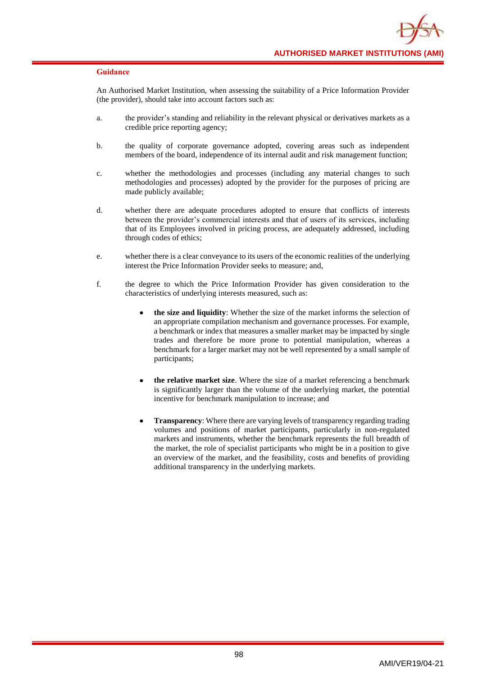#### **Guidance**

An Authorised Market Institution, when assessing the suitability of a Price Information Provider (the provider), should take into account factors such as:

- a. the provider's standing and reliability in the relevant physical or derivatives markets as a credible price reporting agency;
- b. the quality of corporate governance adopted, covering areas such as independent members of the board, independence of its internal audit and risk management function;
- c. whether the methodologies and processes (including any material changes to such methodologies and processes) adopted by the provider for the purposes of pricing are made publicly available;
- d. whether there are adequate procedures adopted to ensure that conflicts of interests between the provider's commercial interests and that of users of its services, including that of its Employees involved in pricing process, are adequately addressed, including through codes of ethics;
- e. whether there is a clear conveyance to its users of the economic realities of the underlying interest the Price Information Provider seeks to measure; and,
- f. the degree to which the Price Information Provider has given consideration to the characteristics of underlying interests measured, such as:
	- **the size and liquidity**: Whether the size of the market informs the selection of an appropriate compilation mechanism and governance processes. For example, a benchmark or index that measures a smaller market may be impacted by single trades and therefore be more prone to potential manipulation, whereas a benchmark for a larger market may not be well represented by a small sample of participants;
	- **the relative market size**. Where the size of a market referencing a benchmark is significantly larger than the volume of the underlying market, the potential incentive for benchmark manipulation to increase; and
	- **Transparency**: Where there are varying levels of transparency regarding trading volumes and positions of market participants, particularly in non-regulated markets and instruments, whether the benchmark represents the full breadth of the market, the role of specialist participants who might be in a position to give an overview of the market, and the feasibility, costs and benefits of providing additional transparency in the underlying markets.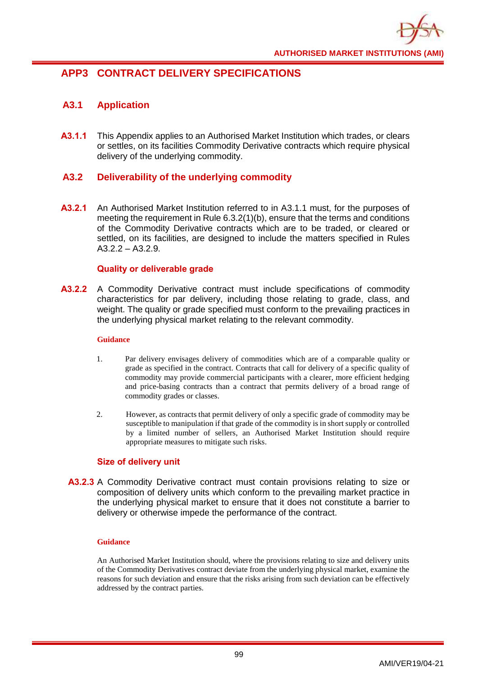

# **APP3 CONTRACT DELIVERY SPECIFICATIONS**

# **A3.1 Application**

**A3.1.1** This Appendix applies to an Authorised Market Institution which trades, or clears or settles, on its facilities Commodity Derivative contracts which require physical delivery of the underlying commodity.

# **A3.2 Deliverability of the underlying commodity**

**A3.2.1** An Authorised Market Institution referred to in A3.1.1 must, for the purposes of meeting the requirement in Rule 6.3.2(1)(b), ensure that the terms and conditions of the Commodity Derivative contracts which are to be traded, or cleared or settled, on its facilities, are designed to include the matters specified in Rules  $A3.2.2 - A3.2.9.$ 

## **Quality or deliverable grade**

**A3.2.2** A Commodity Derivative contract must include specifications of commodity characteristics for par delivery, including those relating to grade, class, and weight. The quality or grade specified must conform to the prevailing practices in the underlying physical market relating to the relevant commodity.

#### **Guidance**

- 1. Par delivery envisages delivery of commodities which are of a comparable quality or grade as specified in the contract. Contracts that call for delivery of a specific quality of commodity may provide commercial participants with a clearer, more efficient hedging and price-basing contracts than a contract that permits delivery of a broad range of commodity grades or classes.
- 2. However, as contracts that permit delivery of only a specific grade of commodity may be susceptible to manipulation if that grade of the commodity is in short supply or controlled by a limited number of sellers, an Authorised Market Institution should require appropriate measures to mitigate such risks.

# **Size of delivery unit**

**A3.2.3** A Commodity Derivative contract must contain provisions relating to size or composition of delivery units which conform to the prevailing market practice in the underlying physical market to ensure that it does not constitute a barrier to delivery or otherwise impede the performance of the contract.

#### **Guidance**

An Authorised Market Institution should, where the provisions relating to size and delivery units of the Commodity Derivatives contract deviate from the underlying physical market, examine the reasons for such deviation and ensure that the risks arising from such deviation can be effectively addressed by the contract parties.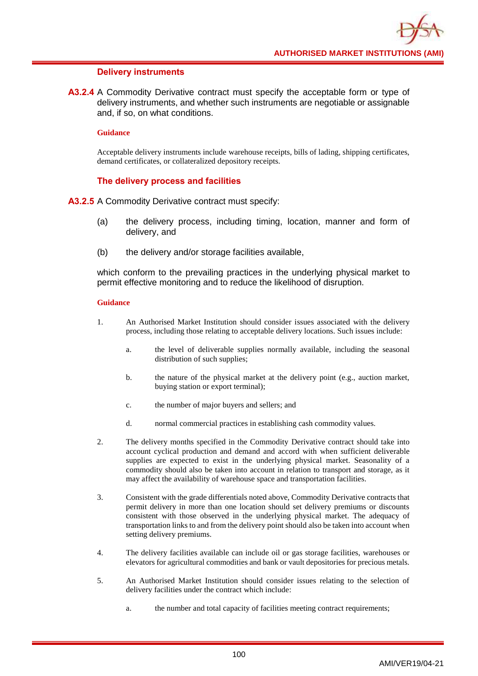#### **Delivery instruments**

**A3.2.4** A Commodity Derivative contract must specify the acceptable form or type of delivery instruments, and whether such instruments are negotiable or assignable and, if so, on what conditions.

#### **Guidance**

Acceptable delivery instruments include warehouse receipts, bills of lading, shipping certificates, demand certificates, or collateralized depository receipts.

### **The delivery process and facilities**

**A3.2.5** A Commodity Derivative contract must specify:

- (a) the delivery process, including timing, location, manner and form of delivery, and
- (b) the delivery and/or storage facilities available,

which conform to the prevailing practices in the underlying physical market to permit effective monitoring and to reduce the likelihood of disruption.

- 1. An Authorised Market Institution should consider issues associated with the delivery process, including those relating to acceptable delivery locations. Such issues include:
	- a. the level of deliverable supplies normally available, including the seasonal distribution of such supplies;
	- b. the nature of the physical market at the delivery point (e.g., auction market, buying station or export terminal);
	- c. the number of major buyers and sellers; and
	- d. normal commercial practices in establishing cash commodity values.
- 2. The delivery months specified in the Commodity Derivative contract should take into account cyclical production and demand and accord with when sufficient deliverable supplies are expected to exist in the underlying physical market. Seasonality of a commodity should also be taken into account in relation to transport and storage, as it may affect the availability of warehouse space and transportation facilities.
- 3. Consistent with the grade differentials noted above, Commodity Derivative contracts that permit delivery in more than one location should set delivery premiums or discounts consistent with those observed in the underlying physical market. The adequacy of transportation links to and from the delivery point should also be taken into account when setting delivery premiums.
- 4. The delivery facilities available can include oil or gas storage facilities, warehouses or elevators for agricultural commodities and bank or vault depositories for precious metals.
- 5. An Authorised Market Institution should consider issues relating to the selection of delivery facilities under the contract which include:
	- a. the number and total capacity of facilities meeting contract requirements;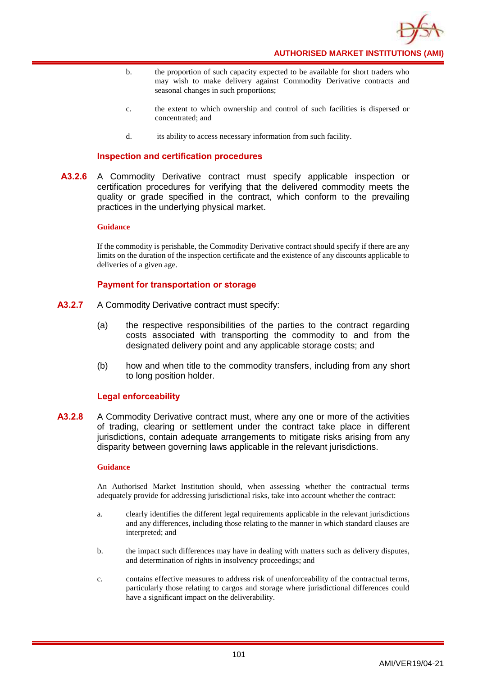

- b. the proportion of such capacity expected to be available for short traders who may wish to make delivery against Commodity Derivative contracts and seasonal changes in such proportions;
- c. the extent to which ownership and control of such facilities is dispersed or concentrated; and
- d. its ability to access necessary information from such facility.

#### **Inspection and certification procedures**

**A3.2.6** A Commodity Derivative contract must specify applicable inspection or certification procedures for verifying that the delivered commodity meets the quality or grade specified in the contract, which conform to the prevailing practices in the underlying physical market.

#### **Guidance**

If the commodity is perishable, the Commodity Derivative contract should specify if there are any limits on the duration of the inspection certificate and the existence of any discounts applicable to deliveries of a given age.

### **Payment for transportation or storage**

- **A3.2.7** A Commodity Derivative contract must specify:
	- (a) the respective responsibilities of the parties to the contract regarding costs associated with transporting the commodity to and from the designated delivery point and any applicable storage costs; and
	- (b) how and when title to the commodity transfers, including from any short to long position holder.

#### **Legal enforceability**

**A3.2.8** A Commodity Derivative contract must, where any one or more of the activities of trading, clearing or settlement under the contract take place in different jurisdictions, contain adequate arrangements to mitigate risks arising from any disparity between governing laws applicable in the relevant jurisdictions.

#### **Guidance**

An Authorised Market Institution should, when assessing whether the contractual terms adequately provide for addressing jurisdictional risks, take into account whether the contract:

- a. clearly identifies the different legal requirements applicable in the relevant jurisdictions and any differences, including those relating to the manner in which standard clauses are interpreted; and
- b. the impact such differences may have in dealing with matters such as delivery disputes, and determination of rights in insolvency proceedings; and
- c. contains effective measures to address risk of unenforceability of the contractual terms, particularly those relating to cargos and storage where jurisdictional differences could have a significant impact on the deliverability.